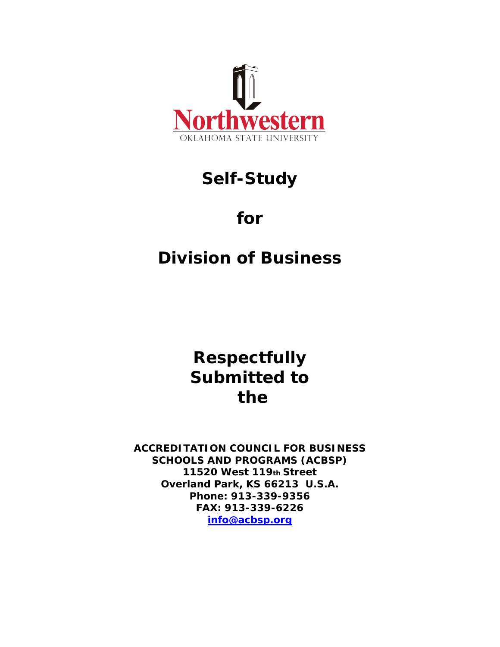

# **Self-Study**

# **for**

# **Division of Business**

**Respectfully Submitted to the**

**ACCREDITATION COUNCIL FOR BUSINESS SCHOOLS AND PROGRAMS (ACBSP) 11520 West 119th Street Overland Park, KS 66213 U.S.A. Phone: 913-339-9356 FAX: 913-339-6226 [info@acbsp.org](mailto:info@acbsp.org)**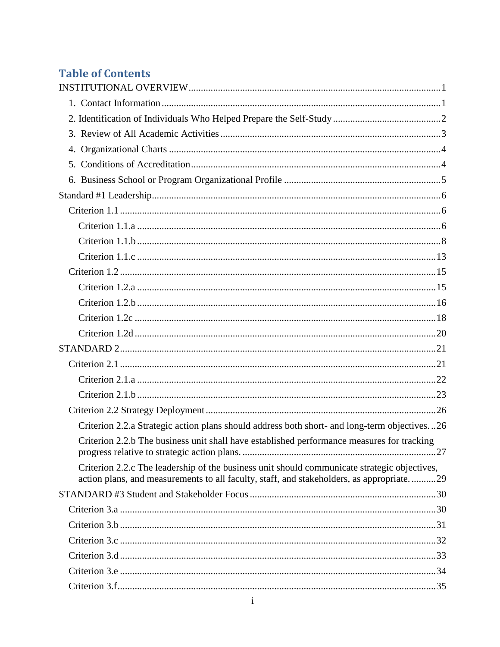# **Table of Contents**

| Criterion 2.2.a Strategic action plans should address both short- and long-term objectives26                                                                                             |
|------------------------------------------------------------------------------------------------------------------------------------------------------------------------------------------|
| Criterion 2.2.b The business unit shall have established performance measures for tracking                                                                                               |
| Criterion 2.2.c The leadership of the business unit should communicate strategic objectives,<br>action plans, and measurements to all faculty, staff, and stakeholders, as appropriate29 |
|                                                                                                                                                                                          |
|                                                                                                                                                                                          |
|                                                                                                                                                                                          |
|                                                                                                                                                                                          |
|                                                                                                                                                                                          |
|                                                                                                                                                                                          |
|                                                                                                                                                                                          |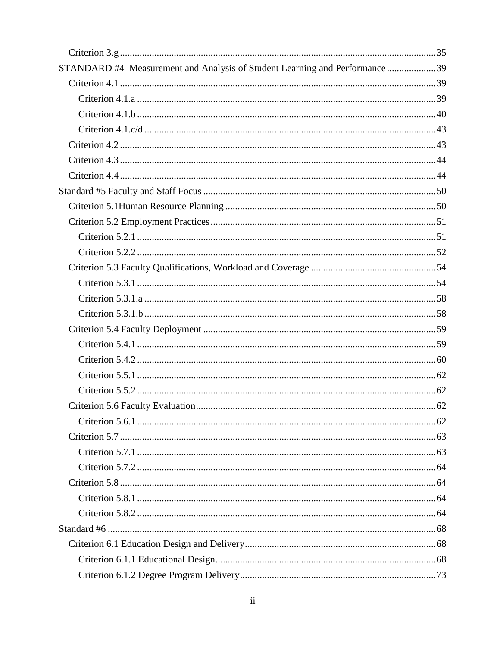| STANDARD #4 Measurement and Analysis of Student Learning and Performance 39 |  |
|-----------------------------------------------------------------------------|--|
|                                                                             |  |
|                                                                             |  |
|                                                                             |  |
|                                                                             |  |
|                                                                             |  |
|                                                                             |  |
|                                                                             |  |
|                                                                             |  |
|                                                                             |  |
|                                                                             |  |
|                                                                             |  |
|                                                                             |  |
|                                                                             |  |
|                                                                             |  |
|                                                                             |  |
|                                                                             |  |
|                                                                             |  |
|                                                                             |  |
|                                                                             |  |
|                                                                             |  |
|                                                                             |  |
|                                                                             |  |
|                                                                             |  |
|                                                                             |  |
|                                                                             |  |
|                                                                             |  |
|                                                                             |  |
|                                                                             |  |
|                                                                             |  |
|                                                                             |  |
|                                                                             |  |
|                                                                             |  |
|                                                                             |  |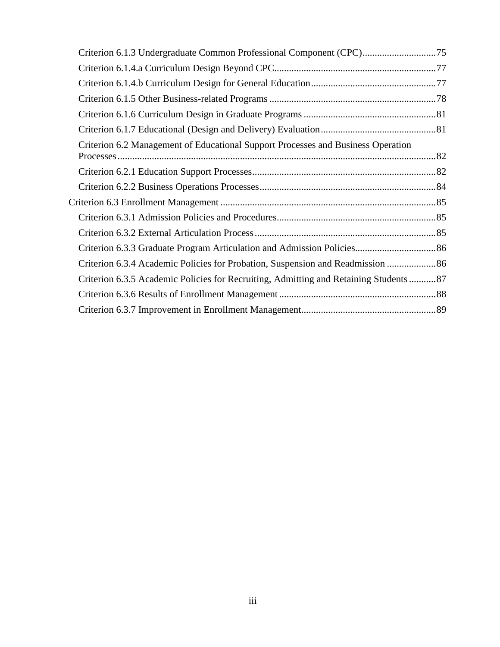| Criterion 6.2 Management of Educational Support Processes and Business Operation      |  |
|---------------------------------------------------------------------------------------|--|
|                                                                                       |  |
|                                                                                       |  |
|                                                                                       |  |
|                                                                                       |  |
|                                                                                       |  |
|                                                                                       |  |
| Criterion 6.3.4 Academic Policies for Probation, Suspension and Readmission  86       |  |
| Criterion 6.3.5 Academic Policies for Recruiting, Admitting and Retaining Students 87 |  |
|                                                                                       |  |
|                                                                                       |  |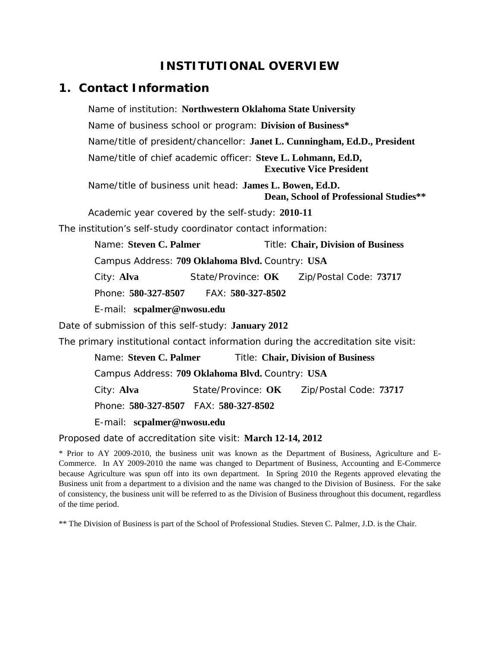# **INSTITUTIONAL OVERVIEW**

# <span id="page-4-1"></span><span id="page-4-0"></span>*1. Contact Information*

Name of institution: **Northwestern Oklahoma State University** Name of business school or program: **Division of Business\*** Name/title of president/chancellor: **Janet L. Cunningham, Ed.D., President** Name/title of chief academic officer: **Steve L. Lohmann, Ed.D, Executive Vice President**

Name/title of business unit head: **James L. Bowen, Ed.D. Dean, School of Professional Studies\*\***

Academic year covered by the self-study: **2010-11**

The institution's self-study coordinator contact information:

Name: **Steven C. Palmer** Title: **Chair, Division of Business**

Campus Address: **709 Oklahoma Blvd.** Country: **USA**

City: **Alva** State/Province: **OK** Zip/Postal Code: **73717**

Phone: **580-327-8507** FAX: **580-327-8502**

E-mail: **scpalmer@nwosu.edu**

Date of submission of this self-study: **January 2012**

The primary institutional contact information during the accreditation site visit:

 Name: **Steven C. Palmer** Title: **Chair, Division of Business** Campus Address: **709 Oklahoma Blvd.** Country: **USA** City: **Alva** State/Province: **OK** Zip/Postal Code: **73717** Phone: **580-327-8507** FAX: **580-327-8502**

E-mail: **scpalmer@nwosu.edu**

Proposed date of accreditation site visit: **March 12-14, 2012**

\* Prior to AY 2009-2010, the business unit was known as the Department of Business, Agriculture and E-Commerce. In AY 2009-2010 the name was changed to Department of Business, Accounting and E-Commerce because Agriculture was spun off into its own department. In Spring 2010 the Regents approved elevating the Business unit from a department to a division and the name was changed to the Division of Business. For the sake of consistency, the business unit will be referred to as the Division of Business throughout this document, regardless of the time period.

\*\* The Division of Business is part of the School of Professional Studies. Steven C. Palmer, J.D. is the Chair.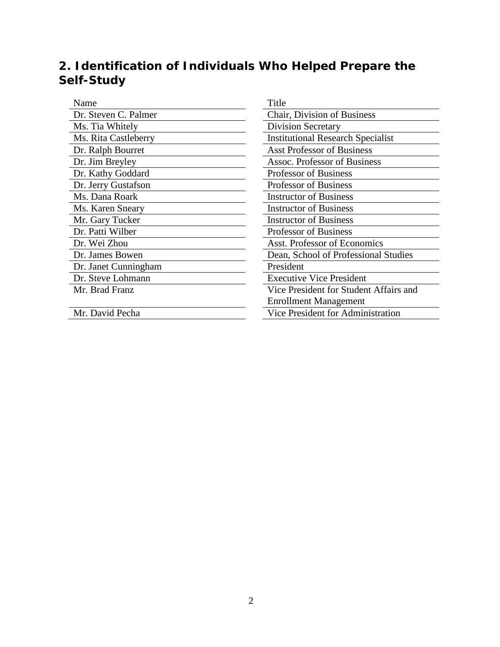# <span id="page-5-0"></span>*2. Identification of Individuals Who Helped Prepare the Self-Study*

| Name                 | Title                                    |
|----------------------|------------------------------------------|
| Dr. Steven C. Palmer | Chair, Division of Business              |
| Ms. Tia Whitely      | <b>Division Secretary</b>                |
| Ms. Rita Castleberry | <b>Institutional Research Specialist</b> |
| Dr. Ralph Bourret    | <b>Asst Professor of Business</b>        |
| Dr. Jim Breyley      | Assoc. Professor of Business             |
| Dr. Kathy Goddard    | <b>Professor of Business</b>             |
| Dr. Jerry Gustafson  | <b>Professor of Business</b>             |
| Ms. Dana Roark       | <b>Instructor of Business</b>            |
| Ms. Karen Sneary     | <b>Instructor of Business</b>            |
| Mr. Gary Tucker      | <b>Instructor of Business</b>            |
| Dr. Patti Wilber     | <b>Professor of Business</b>             |
| Dr. Wei Zhou         | <b>Asst. Professor of Economics</b>      |
| Dr. James Bowen      | Dean, School of Professional Studies     |
| Dr. Janet Cunningham | President                                |
| Dr. Steve Lohmann    | <b>Executive Vice President</b>          |
| Mr. Brad Franz       | Vice President for Student Affairs and   |
|                      | <b>Enrollment Management</b>             |
| Mr. David Pecha      | <b>Vice President for Administration</b> |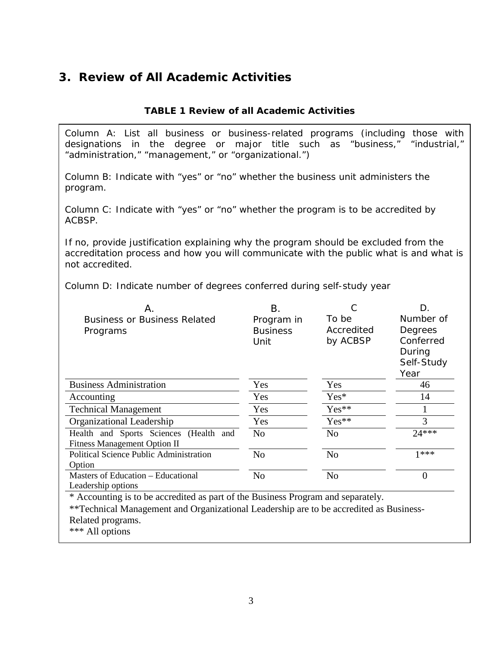# <span id="page-6-0"></span>*3. Review of All Academic Activities*

### **TABLE 1 Review of all Academic Activities**

Column A: List all business or business-related programs (including those with designations in the degree or major title such as "business," "industrial," "administration," "management," or "organizational.")

Column B: Indicate with "yes" or "no" whether the business unit administers the program.

Column C: Indicate with "yes" or "no" whether the program is to be accredited by ACBSP.

If no, provide justification explaining why the program should be excluded from the accreditation process and how you will communicate with the public what is and what is not accredited.

Column D: Indicate number of degrees conferred during self-study year

| A                                              | Β.              |                | D.         |
|------------------------------------------------|-----------------|----------------|------------|
| <b>Business or Business Related</b>            | Program in      | To be          | Number of  |
| Programs                                       | <b>Business</b> | Accredited     | Degrees    |
|                                                | Unit            | by ACBSP       | Conferred  |
|                                                |                 |                | During     |
|                                                |                 |                | Self-Study |
|                                                |                 |                | Year       |
| <b>Business Administration</b>                 | Yes             | Yes            | 46         |
| Accounting                                     | Yes             | Yes*           | 14         |
| <b>Technical Management</b>                    | Yes             | $Yes**$        |            |
| Organizational Leadership                      | Yes             | $Yes**$        | 3          |
| Health and Sports Sciences (Health and         | N <sub>0</sub>  | N <sub>o</sub> | $24***$    |
| <b>Fitness Management Option II</b>            |                 |                |            |
| <b>Political Science Public Administration</b> | N <sub>0</sub>  | N <sub>o</sub> | $1***$     |
| Option                                         |                 |                |            |
| Masters of Education – Educational             | N <sub>o</sub>  | N <sub>o</sub> | 0          |
| Leadership options                             |                 |                |            |

\* Accounting is to be accredited as part of the Business Program and separately.

\*\*Technical Management and Organizational Leadership are to be accredited as Business-Related programs.

\*\*\* All options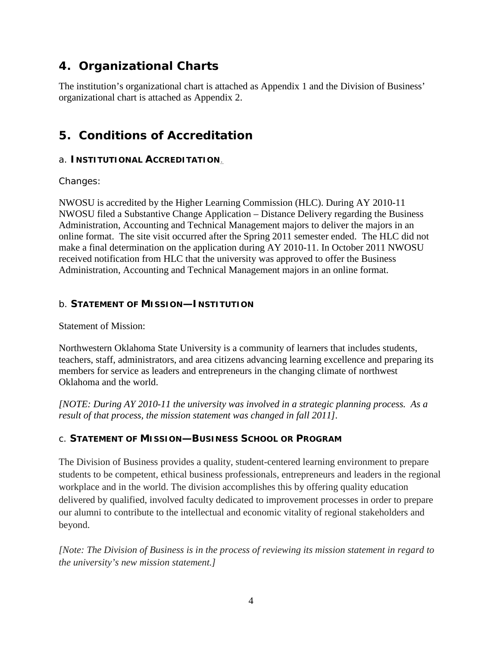# <span id="page-7-0"></span>*4. Organizational Charts*

The institution's organizational chart is attached as Appendix 1 and the Division of Business' organizational chart is attached as Appendix 2.

# <span id="page-7-1"></span>*5. Conditions of Accreditation*

### a. **INSTITUTIONAL ACCREDITATION**.

Changes:

NWOSU is accredited by the Higher Learning Commission (HLC). During AY 2010-11 NWOSU filed a Substantive Change Application – Distance Delivery regarding the Business Administration, Accounting and Technical Management majors to deliver the majors in an online format. The site visit occurred after the Spring 2011 semester ended. The HLC did not make a final determination on the application during AY 2010-11. In October 2011 NWOSU received notification from HLC that the university was approved to offer the Business Administration, Accounting and Technical Management majors in an online format.

### b. **STATEMENT OF MISSION—INSTITUTION**

Statement of Mission:

Northwestern Oklahoma State University is a community of learners that includes students, teachers, staff, administrators, and area citizens advancing learning excellence and preparing its members for service as leaders and entrepreneurs in the changing climate of northwest Oklahoma and the world.

*[NOTE: During AY 2010-11 the university was involved in a strategic planning process. As a result of that process, the mission statement was changed in fall 2011].*

## c. **STATEMENT OF MISSION—BUSINESS SCHOOL OR PROGRAM**

The Division of Business provides a quality, student-centered learning environment to prepare students to be competent, ethical business professionals, entrepreneurs and leaders in the regional workplace and in the world. The division accomplishes this by offering quality education delivered by qualified, involved faculty dedicated to improvement processes in order to prepare our alumni to contribute to the intellectual and economic vitality of regional stakeholders and beyond.

*[Note: The Division of Business is in the process of reviewing its mission statement in regard to the university's new mission statement.]*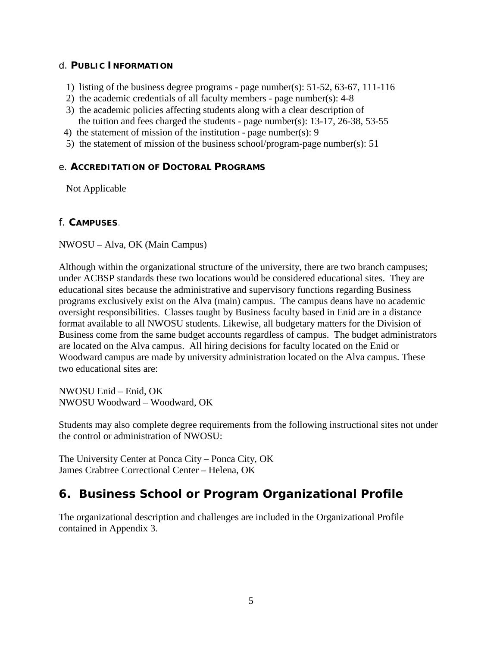### d. **PUBLIC INFORMATION**

- 1) listing of the business degree programs page number(s): 51-52, 63-67, 111-116
- 2) the academic credentials of all faculty members page number(s): 4-8
- 3) the academic policies affecting students along with a clear description of the tuition and fees charged the students - page number(s): 13-17, 26-38, 53-55
- 4) the statement of mission of the institution page number(s): 9
- 5) the statement of mission of the business school/program-page number(s): 51

### e. **ACCREDITATION OF DOCTORAL PROGRAMS**

Not Applicable

### f. **CAMPUSES**.

NWOSU – Alva, OK (Main Campus)

Although within the organizational structure of the university, there are two branch campuses; under ACBSP standards these two locations would be considered educational sites. They are educational sites because the administrative and supervisory functions regarding Business programs exclusively exist on the Alva (main) campus. The campus deans have no academic oversight responsibilities. Classes taught by Business faculty based in Enid are in a distance format available to all NWOSU students. Likewise, all budgetary matters for the Division of Business come from the same budget accounts regardless of campus. The budget administrators are located on the Alva campus. All hiring decisions for faculty located on the Enid or Woodward campus are made by university administration located on the Alva campus. These two educational sites are:

NWOSU Enid – Enid, OK NWOSU Woodward – Woodward, OK

Students may also complete degree requirements from the following instructional sites not under the control or administration of NWOSU:

The University Center at Ponca City – Ponca City, OK James Crabtree Correctional Center – Helena, OK

# <span id="page-8-0"></span>*6. Business School or Program Organizational Profile*

The organizational description and challenges are included in the Organizational Profile contained in Appendix 3.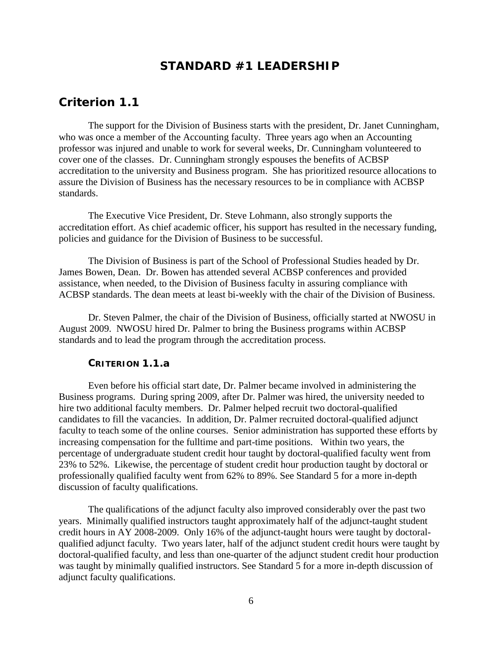## **STANDARD #1 LEADERSHIP**

### <span id="page-9-1"></span><span id="page-9-0"></span>*Criterion 1.1*

The support for the Division of Business starts with the president, Dr. Janet Cunningham, who was once a member of the Accounting faculty. Three years ago when an Accounting professor was injured and unable to work for several weeks, Dr. Cunningham volunteered to cover one of the classes. Dr. Cunningham strongly espouses the benefits of ACBSP accreditation to the university and Business program. She has prioritized resource allocations to assure the Division of Business has the necessary resources to be in compliance with ACBSP standards.

The Executive Vice President, Dr. Steve Lohmann, also strongly supports the accreditation effort. As chief academic officer, his support has resulted in the necessary funding, policies and guidance for the Division of Business to be successful.

The Division of Business is part of the School of Professional Studies headed by Dr. James Bowen, Dean. Dr. Bowen has attended several ACBSP conferences and provided assistance, when needed, to the Division of Business faculty in assuring compliance with ACBSP standards. The dean meets at least bi-weekly with the chair of the Division of Business.

Dr. Steven Palmer, the chair of the Division of Business, officially started at NWOSU in August 2009. NWOSU hired Dr. Palmer to bring the Business programs within ACBSP standards and to lead the program through the accreditation process.

#### **CRITERION 1.1.a**

<span id="page-9-2"></span>Even before his official start date, Dr. Palmer became involved in administering the Business programs. During spring 2009, after Dr. Palmer was hired, the university needed to hire two additional faculty members. Dr. Palmer helped recruit two doctoral-qualified candidates to fill the vacancies. In addition, Dr. Palmer recruited doctoral-qualified adjunct faculty to teach some of the online courses. Senior administration has supported these efforts by increasing compensation for the fulltime and part-time positions. Within two years, the percentage of undergraduate student credit hour taught by doctoral-qualified faculty went from 23% to 52%. Likewise, the percentage of student credit hour production taught by doctoral or professionally qualified faculty went from 62% to 89%. See Standard 5 for a more in-depth discussion of faculty qualifications.

The qualifications of the adjunct faculty also improved considerably over the past two years. Minimally qualified instructors taught approximately half of the adjunct-taught student credit hours in AY 2008-2009. Only 16% of the adjunct-taught hours were taught by doctoralqualified adjunct faculty. Two years later, half of the adjunct student credit hours were taught by doctoral-qualified faculty, and less than one-quarter of the adjunct student credit hour production was taught by minimally qualified instructors. See Standard 5 for a more in-depth discussion of adjunct faculty qualifications.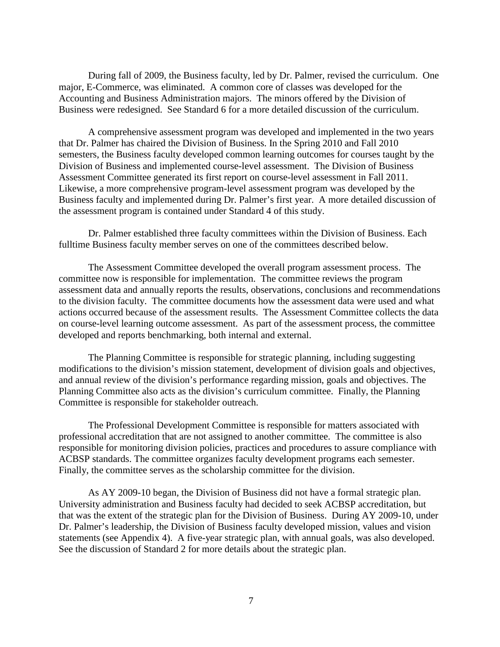During fall of 2009, the Business faculty, led by Dr. Palmer, revised the curriculum. One major, E-Commerce, was eliminated. A common core of classes was developed for the Accounting and Business Administration majors. The minors offered by the Division of Business were redesigned. See Standard 6 for a more detailed discussion of the curriculum.

A comprehensive assessment program was developed and implemented in the two years that Dr. Palmer has chaired the Division of Business. In the Spring 2010 and Fall 2010 semesters, the Business faculty developed common learning outcomes for courses taught by the Division of Business and implemented course-level assessment. The Division of Business Assessment Committee generated its first report on course-level assessment in Fall 2011. Likewise, a more comprehensive program-level assessment program was developed by the Business faculty and implemented during Dr. Palmer's first year. A more detailed discussion of the assessment program is contained under Standard 4 of this study.

Dr. Palmer established three faculty committees within the Division of Business. Each fulltime Business faculty member serves on one of the committees described below.

The Assessment Committee developed the overall program assessment process. The committee now is responsible for implementation. The committee reviews the program assessment data and annually reports the results, observations, conclusions and recommendations to the division faculty. The committee documents how the assessment data were used and what actions occurred because of the assessment results. The Assessment Committee collects the data on course-level learning outcome assessment. As part of the assessment process, the committee developed and reports benchmarking, both internal and external.

The Planning Committee is responsible for strategic planning, including suggesting modifications to the division's mission statement, development of division goals and objectives, and annual review of the division's performance regarding mission, goals and objectives. The Planning Committee also acts as the division's curriculum committee. Finally, the Planning Committee is responsible for stakeholder outreach.

The Professional Development Committee is responsible for matters associated with professional accreditation that are not assigned to another committee. The committee is also responsible for monitoring division policies, practices and procedures to assure compliance with ACBSP standards. The committee organizes faculty development programs each semester. Finally, the committee serves as the scholarship committee for the division.

As AY 2009-10 began, the Division of Business did not have a formal strategic plan. University administration and Business faculty had decided to seek ACBSP accreditation, but that was the extent of the strategic plan for the Division of Business. During AY 2009-10, under Dr. Palmer's leadership, the Division of Business faculty developed mission, values and vision statements (see Appendix 4). A five-year strategic plan, with annual goals, was also developed. See the discussion of Standard 2 for more details about the strategic plan.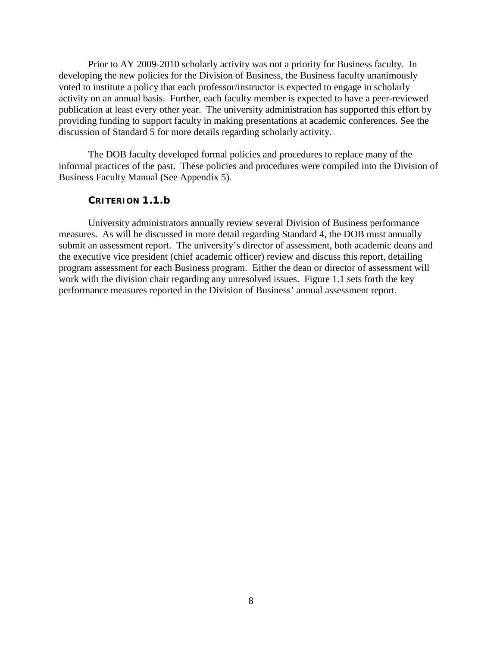Prior to AY 2009-2010 scholarly activity was not a priority for Business faculty. In developing the new policies for the Division of Business, the Business faculty unanimously voted to institute a policy that each professor/instructor is expected to engage in scholarly activity on an annual basis. Further, each faculty member is expected to have a peer-reviewed publication at least every other year. The university administration has supported this effort by providing funding to support faculty in making presentations at academic conferences. See the discussion of Standard 5 for more details regarding scholarly activity.

The DOB faculty developed formal policies and procedures to replace many of the informal practices of the past. These policies and procedures were compiled into the Division of Business Faculty Manual (See Appendix 5).

#### **CRITERION 1.1.b**

<span id="page-11-0"></span>University administrators annually review several Division of Business performance measures. As will be discussed in more detail regarding Standard 4, the DOB must annually submit an assessment report. The university's director of assessment, both academic deans and the executive vice president (chief academic officer) review and discuss this report, detailing program assessment for each Business program. Either the dean or director of assessment will work with the division chair regarding any unresolved issues. Figure 1.1 sets forth the key performance measures reported in the Division of Business' annual assessment report.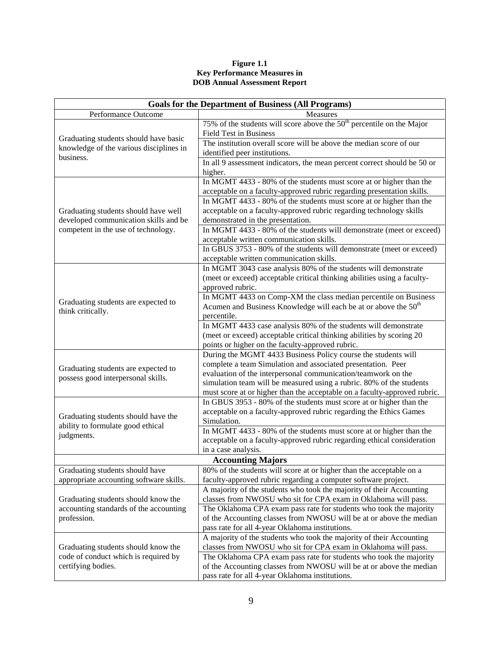#### **Figure 1.1 Key Performance Measures in DOB Annual Assessment Report**

| <b>Goals for the Department of Business (All Programs)</b>                       |                                                                                                                                                                                                                                                                                                                                                     |  |  |  |
|----------------------------------------------------------------------------------|-----------------------------------------------------------------------------------------------------------------------------------------------------------------------------------------------------------------------------------------------------------------------------------------------------------------------------------------------------|--|--|--|
| Performance Outcome                                                              | Measures                                                                                                                                                                                                                                                                                                                                            |  |  |  |
|                                                                                  | 75% of the students will score above the $50th$ percentile on the Major<br><b>Field Test in Business</b>                                                                                                                                                                                                                                            |  |  |  |
| Graduating students should have basic<br>knowledge of the various disciplines in | The institution overall score will be above the median score of our<br>identified peer institutions.                                                                                                                                                                                                                                                |  |  |  |
| business.                                                                        | In all 9 assessment indicators, the mean percent correct should be 50 or<br>higher.                                                                                                                                                                                                                                                                 |  |  |  |
|                                                                                  | In MGMT 4433 - 80% of the students must score at or higher than the<br>acceptable on a faculty-approved rubric regarding presentation skills.                                                                                                                                                                                                       |  |  |  |
| Graduating students should have well                                             | In MGMT 4433 - 80% of the students must score at or higher than the<br>acceptable on a faculty-approved rubric regarding technology skills                                                                                                                                                                                                          |  |  |  |
| developed communication skills and be<br>competent in the use of technology.     | demonstrated in the presentation.<br>In MGMT 4433 - 80% of the students will demonstrate (meet or exceed)<br>acceptable written communication skills.                                                                                                                                                                                               |  |  |  |
|                                                                                  | In GBUS 3753 - 80% of the students will demonstrate (meet or exceed)<br>acceptable written communication skills.                                                                                                                                                                                                                                    |  |  |  |
|                                                                                  | In MGMT 3043 case analysis 80% of the students will demonstrate<br>(meet or exceed) acceptable critical thinking abilities using a faculty-<br>approved rubric.                                                                                                                                                                                     |  |  |  |
| Graduating students are expected to<br>think critically.                         | In MGMT 4433 on Comp-XM the class median percentile on Business<br>Acumen and Business Knowledge will each be at or above the 50 <sup>th</sup><br>percentile.                                                                                                                                                                                       |  |  |  |
|                                                                                  | In MGMT 4433 case analysis 80% of the students will demonstrate<br>(meet or exceed) acceptable critical thinking abilities by scoring 20<br>points or higher on the faculty-approved rubric.                                                                                                                                                        |  |  |  |
| Graduating students are expected to<br>possess good interpersonal skills.        | During the MGMT 4433 Business Policy course the students will<br>complete a team Simulation and associated presentation. Peer<br>evaluation of the interpersonal communication/teamwork on the<br>simulation team will be measured using a rubric. 80% of the students<br>must score at or higher than the acceptable on a faculty-approved rubric. |  |  |  |
| Graduating students should have the<br>ability to formulate good ethical         | In GBUS 3953 - 80% of the students must score at or higher than the<br>acceptable on a faculty-approved rubric regarding the Ethics Games<br>Simulation.                                                                                                                                                                                            |  |  |  |
| judgments.                                                                       | In MGMT 4433 - 80% of the students must score at or higher than the<br>acceptable on a faculty-approved rubric regarding ethical consideration<br>in a case analysis.                                                                                                                                                                               |  |  |  |
|                                                                                  | <b>Accounting Majors</b>                                                                                                                                                                                                                                                                                                                            |  |  |  |
| Graduating students should have<br>appropriate accounting software skills.       | 80% of the students will score at or higher than the acceptable on a<br>faculty-approved rubric regarding a computer software project.                                                                                                                                                                                                              |  |  |  |
| Graduating students should know the                                              | A majority of the students who took the majority of their Accounting<br>classes from NWOSU who sit for CPA exam in Oklahoma will pass.                                                                                                                                                                                                              |  |  |  |
| accounting standards of the accounting<br>profession.                            | The Oklahoma CPA exam pass rate for students who took the majority<br>of the Accounting classes from NWOSU will be at or above the median<br>pass rate for all 4-year Oklahoma institutions.                                                                                                                                                        |  |  |  |
| Graduating students should know the                                              | A majority of the students who took the majority of their Accounting<br>classes from NWOSU who sit for CPA exam in Oklahoma will pass.                                                                                                                                                                                                              |  |  |  |
| code of conduct which is required by<br>certifying bodies.                       | The Oklahoma CPA exam pass rate for students who took the majority<br>of the Accounting classes from NWOSU will be at or above the median<br>pass rate for all 4-year Oklahoma institutions.                                                                                                                                                        |  |  |  |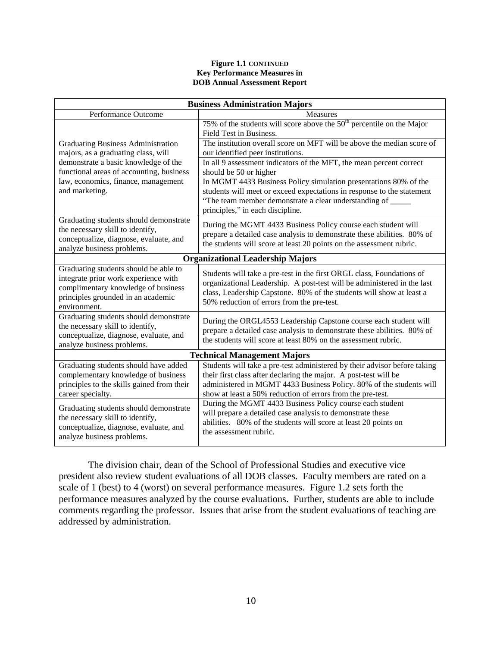#### **Figure 1.1 CONTINUED Key Performance Measures in DOB Annual Assessment Report**

| <b>Business Administration Majors</b>                                                                                                                                      |                                                                                                                                                                                                                                                                                    |  |  |
|----------------------------------------------------------------------------------------------------------------------------------------------------------------------------|------------------------------------------------------------------------------------------------------------------------------------------------------------------------------------------------------------------------------------------------------------------------------------|--|--|
| Performance Outcome                                                                                                                                                        | <b>Measures</b>                                                                                                                                                                                                                                                                    |  |  |
|                                                                                                                                                                            | 75% of the students will score above the $50th$ percentile on the Major<br>Field Test in Business.                                                                                                                                                                                 |  |  |
| <b>Graduating Business Administration</b><br>majors, as a graduating class, will                                                                                           | The institution overall score on MFT will be above the median score of<br>our identified peer institutions.                                                                                                                                                                        |  |  |
| demonstrate a basic knowledge of the<br>functional areas of accounting, business                                                                                           | In all 9 assessment indicators of the MFT, the mean percent correct<br>should be 50 or higher                                                                                                                                                                                      |  |  |
| law, economics, finance, management<br>and marketing.                                                                                                                      | In MGMT 4433 Business Policy simulation presentations 80% of the<br>students will meet or exceed expectations in response to the statement<br>"The team member demonstrate a clear understanding of<br>principles," in each discipline.                                            |  |  |
| Graduating students should demonstrate<br>the necessary skill to identify,<br>conceptualize, diagnose, evaluate, and<br>analyze business problems.                         | During the MGMT 4433 Business Policy course each student will<br>prepare a detailed case analysis to demonstrate these abilities. 80% of<br>the students will score at least 20 points on the assessment rubric.                                                                   |  |  |
|                                                                                                                                                                            | <b>Organizational Leadership Majors</b>                                                                                                                                                                                                                                            |  |  |
| Graduating students should be able to<br>integrate prior work experience with<br>complimentary knowledge of business<br>principles grounded in an academic<br>environment. | Students will take a pre-test in the first ORGL class, Foundations of<br>organizational Leadership. A post-test will be administered in the last<br>class, Leadership Capstone. 80% of the students will show at least a<br>50% reduction of errors from the pre-test.             |  |  |
| Graduating students should demonstrate<br>the necessary skill to identify,<br>conceptualize, diagnose, evaluate, and<br>analyze business problems.                         | During the ORGL4553 Leadership Capstone course each student will<br>prepare a detailed case analysis to demonstrate these abilities. 80% of<br>the students will score at least 80% on the assessment rubric.                                                                      |  |  |
| <b>Technical Management Majors</b>                                                                                                                                         |                                                                                                                                                                                                                                                                                    |  |  |
| Graduating students should have added<br>complementary knowledge of business<br>principles to the skills gained from their<br>career specialty.                            | Students will take a pre-test administered by their advisor before taking<br>their first class after declaring the major. A post-test will be<br>administered in MGMT 4433 Business Policy. 80% of the students will<br>show at least a 50% reduction of errors from the pre-test. |  |  |
| Graduating students should demonstrate<br>the necessary skill to identify,<br>conceptualize, diagnose, evaluate, and<br>analyze business problems.                         | During the MGMT 4433 Business Policy course each student<br>will prepare a detailed case analysis to demonstrate these<br>abilities. 80% of the students will score at least 20 points on<br>the assessment rubric.                                                                |  |  |

The division chair, dean of the School of Professional Studies and executive vice president also review student evaluations of all DOB classes. Faculty members are rated on a scale of 1 (best) to 4 (worst) on several performance measures. Figure 1.2 sets forth the performance measures analyzed by the course evaluations. Further, students are able to include comments regarding the professor. Issues that arise from the student evaluations of teaching are addressed by administration.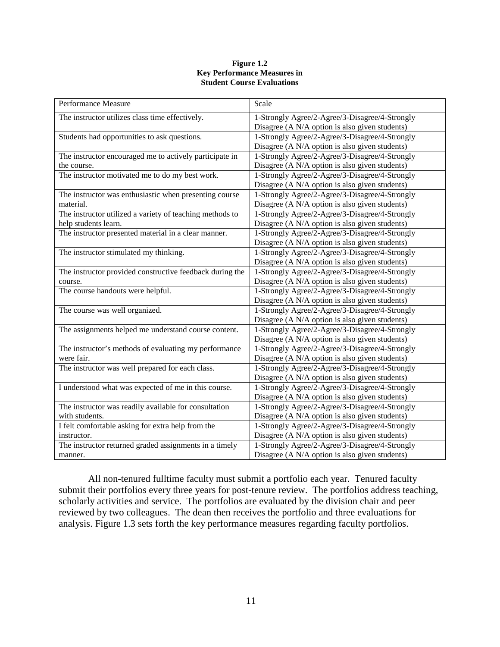#### **Figure 1.2 Key Performance Measures in Student Course Evaluations**

| Performance Measure                                      | Scale                                          |
|----------------------------------------------------------|------------------------------------------------|
| The instructor utilizes class time effectively.          | 1-Strongly Agree/2-Agree/3-Disagree/4-Strongly |
|                                                          | Disagree (A N/A option is also given students) |
| Students had opportunities to ask questions.             | 1-Strongly Agree/2-Agree/3-Disagree/4-Strongly |
|                                                          | Disagree (A N/A option is also given students) |
| The instructor encouraged me to actively participate in  | 1-Strongly Agree/2-Agree/3-Disagree/4-Strongly |
| the course.                                              | Disagree (A N/A option is also given students) |
| The instructor motivated me to do my best work.          | 1-Strongly Agree/2-Agree/3-Disagree/4-Strongly |
|                                                          | Disagree (A N/A option is also given students) |
| The instructor was enthusiastic when presenting course   | 1-Strongly Agree/2-Agree/3-Disagree/4-Strongly |
| material.                                                | Disagree (A N/A option is also given students) |
| The instructor utilized a variety of teaching methods to | 1-Strongly Agree/2-Agree/3-Disagree/4-Strongly |
| help students learn.                                     | Disagree (A N/A option is also given students) |
| The instructor presented material in a clear manner.     | 1-Strongly Agree/2-Agree/3-Disagree/4-Strongly |
|                                                          | Disagree (A N/A option is also given students) |
| The instructor stimulated my thinking.                   | 1-Strongly Agree/2-Agree/3-Disagree/4-Strongly |
|                                                          | Disagree (A N/A option is also given students) |
| The instructor provided constructive feedback during the | 1-Strongly Agree/2-Agree/3-Disagree/4-Strongly |
| course.                                                  | Disagree (A N/A option is also given students) |
| The course handouts were helpful.                        | 1-Strongly Agree/2-Agree/3-Disagree/4-Strongly |
|                                                          | Disagree (A N/A option is also given students) |
| The course was well organized.                           | 1-Strongly Agree/2-Agree/3-Disagree/4-Strongly |
|                                                          | Disagree (A N/A option is also given students) |
| The assignments helped me understand course content.     | 1-Strongly Agree/2-Agree/3-Disagree/4-Strongly |
|                                                          | Disagree (A N/A option is also given students) |
| The instructor's methods of evaluating my performance    | 1-Strongly Agree/2-Agree/3-Disagree/4-Strongly |
| were fair.                                               | Disagree (A N/A option is also given students) |
| The instructor was well prepared for each class.         | 1-Strongly Agree/2-Agree/3-Disagree/4-Strongly |
|                                                          | Disagree (A N/A option is also given students) |
| I understood what was expected of me in this course.     | 1-Strongly Agree/2-Agree/3-Disagree/4-Strongly |
|                                                          | Disagree (A N/A option is also given students) |
| The instructor was readily available for consultation    | 1-Strongly Agree/2-Agree/3-Disagree/4-Strongly |
| with students.                                           | Disagree (A N/A option is also given students) |
| I felt comfortable asking for extra help from the        | 1-Strongly Agree/2-Agree/3-Disagree/4-Strongly |
| instructor.                                              | Disagree (A N/A option is also given students) |
| The instructor returned graded assignments in a timely   | 1-Strongly Agree/2-Agree/3-Disagree/4-Strongly |
| manner.                                                  | Disagree (A N/A option is also given students) |

All non-tenured fulltime faculty must submit a portfolio each year. Tenured faculty submit their portfolios every three years for post-tenure review. The portfolios address teaching, scholarly activities and service. The portfolios are evaluated by the division chair and peer reviewed by two colleagues. The dean then receives the portfolio and three evaluations for analysis. Figure 1.3 sets forth the key performance measures regarding faculty portfolios.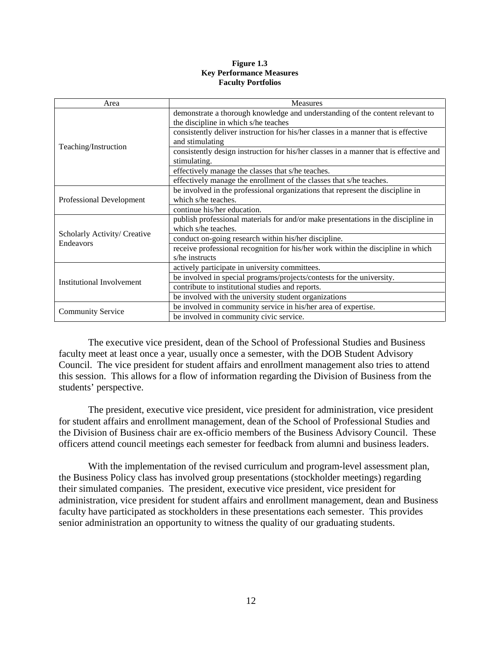#### **Figure 1.3 Key Performance Measures Faculty Portfolios**

| Area                                      | <b>Measures</b>                                                                                                       |
|-------------------------------------------|-----------------------------------------------------------------------------------------------------------------------|
|                                           | demonstrate a thorough knowledge and understanding of the content relevant to<br>the discipline in which s/he teaches |
|                                           | consistently deliver instruction for his/her classes in a manner that is effective<br>and stimulating                 |
| Teaching/Instruction                      | consistently design instruction for his/her classes in a manner that is effective and<br>stimulating.                 |
|                                           | effectively manage the classes that s/he teaches.                                                                     |
|                                           | effectively manage the enrollment of the classes that s/he teaches.                                                   |
|                                           | be involved in the professional organizations that represent the discipline in                                        |
| Professional Development                  | which s/he teaches.                                                                                                   |
|                                           | continue his/her education.                                                                                           |
|                                           | publish professional materials for and/or make presentations in the discipline in                                     |
|                                           | which s/he teaches.                                                                                                   |
| Scholarly Activity/ Creative<br>Endeavors | conduct on-going research within his/her discipline.                                                                  |
|                                           | receive professional recognition for his/her work within the discipline in which<br>s/he instructs                    |
|                                           | actively participate in university committees.                                                                        |
| Institutional Involvement                 | be involved in special programs/projects/contests for the university.                                                 |
|                                           | contribute to institutional studies and reports.                                                                      |
|                                           | be involved with the university student organizations                                                                 |
|                                           | be involved in community service in his/her area of expertise.                                                        |
| <b>Community Service</b>                  | be involved in community civic service.                                                                               |

The executive vice president, dean of the School of Professional Studies and Business faculty meet at least once a year, usually once a semester, with the DOB Student Advisory Council. The vice president for student affairs and enrollment management also tries to attend this session. This allows for a flow of information regarding the Division of Business from the students' perspective.

The president, executive vice president, vice president for administration, vice president for student affairs and enrollment management, dean of the School of Professional Studies and the Division of Business chair are ex-officio members of the Business Advisory Council. These officers attend council meetings each semester for feedback from alumni and business leaders.

With the implementation of the revised curriculum and program-level assessment plan, the Business Policy class has involved group presentations (stockholder meetings) regarding their simulated companies. The president, executive vice president, vice president for administration, vice president for student affairs and enrollment management, dean and Business faculty have participated as stockholders in these presentations each semester. This provides senior administration an opportunity to witness the quality of our graduating students.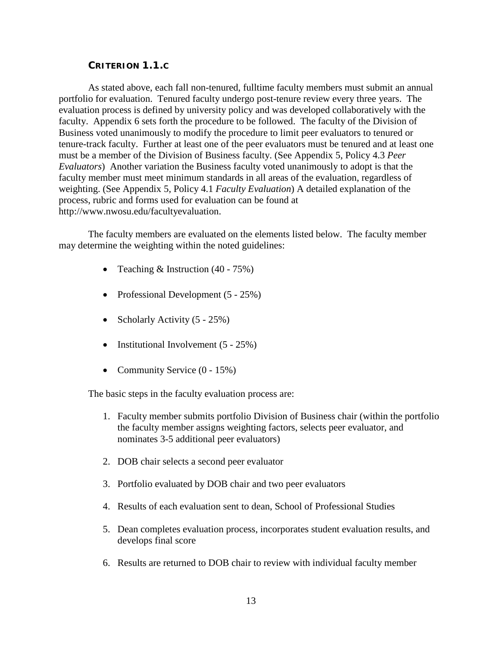#### **CRITERION 1.1.C**

<span id="page-16-0"></span>As stated above, each fall non-tenured, fulltime faculty members must submit an annual portfolio for evaluation. Tenured faculty undergo post-tenure review every three years. The evaluation process is defined by university policy and was developed collaboratively with the faculty. Appendix 6 sets forth the procedure to be followed. The faculty of the Division of Business voted unanimously to modify the procedure to limit peer evaluators to tenured or tenure-track faculty. Further at least one of the peer evaluators must be tenured and at least one must be a member of the Division of Business faculty. (See Appendix 5, Policy 4.3 *Peer Evaluators*) Another variation the Business faculty voted unanimously to adopt is that the faculty member must meet minimum standards in all areas of the evaluation, regardless of weighting. (See Appendix 5, Policy 4.1 *Faculty Evaluation*) A detailed explanation of the process, rubric and forms used for evaluation can be found at http://www.nwosu.edu/facultyevaluation.

The faculty members are evaluated on the elements listed below. The faculty member may determine the weighting within the noted guidelines:

- Teaching & Instruction (40 75%)
- Professional Development (5 25%)
- Scholarly Activity  $(5 25\%)$
- Institutional Involvement (5 25%)
- Community Service  $(0 15\%)$

The basic steps in the faculty evaluation process are:

- 1. Faculty member submits portfolio Division of Business chair (within the portfolio the faculty member assigns weighting factors, selects peer evaluator, and nominates 3-5 additional peer evaluators)
- 2. DOB chair selects a second peer evaluator
- 3. Portfolio evaluated by DOB chair and two peer evaluators
- 4. Results of each evaluation sent to dean, School of Professional Studies
- 5. Dean completes evaluation process, incorporates student evaluation results, and develops final score
- 6. Results are returned to DOB chair to review with individual faculty member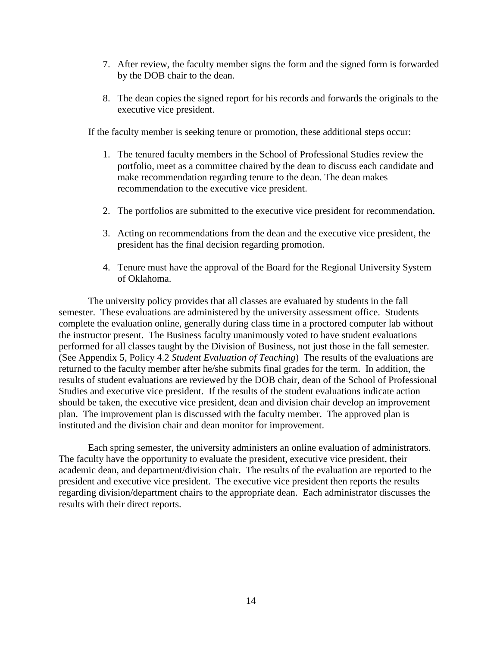- 7. After review, the faculty member signs the form and the signed form is forwarded by the DOB chair to the dean.
- 8. The dean copies the signed report for his records and forwards the originals to the executive vice president.

If the faculty member is seeking tenure or promotion, these additional steps occur:

- 1. The tenured faculty members in the School of Professional Studies review the portfolio, meet as a committee chaired by the dean to discuss each candidate and make recommendation regarding tenure to the dean. The dean makes recommendation to the executive vice president.
- 2. The portfolios are submitted to the executive vice president for recommendation.
- 3. Acting on recommendations from the dean and the executive vice president, the president has the final decision regarding promotion.
- 4. Tenure must have the approval of the Board for the Regional University System of Oklahoma.

The university policy provides that all classes are evaluated by students in the fall semester. These evaluations are administered by the university assessment office. Students complete the evaluation online, generally during class time in a proctored computer lab without the instructor present. The Business faculty unanimously voted to have student evaluations performed for all classes taught by the Division of Business, not just those in the fall semester. (See Appendix 5, Policy 4.2 *Student Evaluation of Teaching*) The results of the evaluations are returned to the faculty member after he/she submits final grades for the term. In addition, the results of student evaluations are reviewed by the DOB chair, dean of the School of Professional Studies and executive vice president. If the results of the student evaluations indicate action should be taken, the executive vice president, dean and division chair develop an improvement plan. The improvement plan is discussed with the faculty member. The approved plan is instituted and the division chair and dean monitor for improvement.

Each spring semester, the university administers an online evaluation of administrators. The faculty have the opportunity to evaluate the president, executive vice president, their academic dean, and department/division chair. The results of the evaluation are reported to the president and executive vice president. The executive vice president then reports the results regarding division/department chairs to the appropriate dean. Each administrator discusses the results with their direct reports.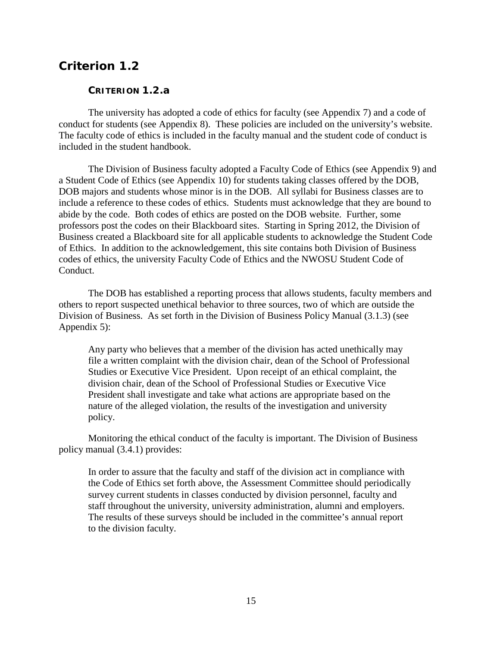## <span id="page-18-1"></span><span id="page-18-0"></span>*Criterion 1.2*

#### **CRITERION 1.2.a**

The university has adopted a code of ethics for faculty (see Appendix 7) and a code of conduct for students (see Appendix 8). These policies are included on the university's website. The faculty code of ethics is included in the faculty manual and the student code of conduct is included in the student handbook.

The Division of Business faculty adopted a Faculty Code of Ethics (see Appendix 9) and a Student Code of Ethics (see Appendix 10) for students taking classes offered by the DOB, DOB majors and students whose minor is in the DOB. All syllabi for Business classes are to include a reference to these codes of ethics. Students must acknowledge that they are bound to abide by the code. Both codes of ethics are posted on the DOB website. Further, some professors post the codes on their Blackboard sites. Starting in Spring 2012, the Division of Business created a Blackboard site for all applicable students to acknowledge the Student Code of Ethics. In addition to the acknowledgement, this site contains both Division of Business codes of ethics, the university Faculty Code of Ethics and the NWOSU Student Code of Conduct.

The DOB has established a reporting process that allows students, faculty members and others to report suspected unethical behavior to three sources, two of which are outside the Division of Business. As set forth in the Division of Business Policy Manual (3.1.3) (see Appendix 5):

Any party who believes that a member of the division has acted unethically may file a written complaint with the division chair, dean of the School of Professional Studies or Executive Vice President. Upon receipt of an ethical complaint, the division chair, dean of the School of Professional Studies or Executive Vice President shall investigate and take what actions are appropriate based on the nature of the alleged violation, the results of the investigation and university policy.

Monitoring the ethical conduct of the faculty is important. The Division of Business policy manual (3.4.1) provides:

In order to assure that the faculty and staff of the division act in compliance with the Code of Ethics set forth above, the Assessment Committee should periodically survey current students in classes conducted by division personnel, faculty and staff throughout the university, university administration, alumni and employers. The results of these surveys should be included in the committee's annual report to the division faculty.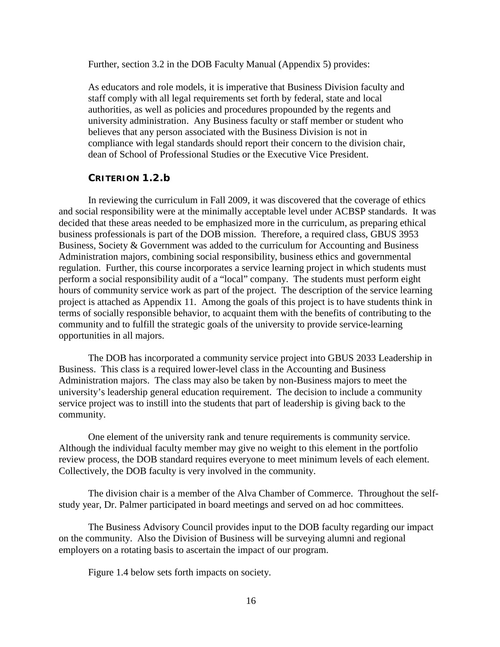Further, section 3.2 in the DOB Faculty Manual (Appendix 5) provides:

As educators and role models, it is imperative that Business Division faculty and staff comply with all legal requirements set forth by federal, state and local authorities, as well as policies and procedures propounded by the regents and university administration. Any Business faculty or staff member or student who believes that any person associated with the Business Division is not in compliance with legal standards should report their concern to the division chair, dean of School of Professional Studies or the Executive Vice President.

#### **CRITERION 1.2.b**

<span id="page-19-0"></span>In reviewing the curriculum in Fall 2009, it was discovered that the coverage of ethics and social responsibility were at the minimally acceptable level under ACBSP standards. It was decided that these areas needed to be emphasized more in the curriculum, as preparing ethical business professionals is part of the DOB mission. Therefore, a required class, GBUS 3953 Business, Society & Government was added to the curriculum for Accounting and Business Administration majors, combining social responsibility, business ethics and governmental regulation. Further, this course incorporates a service learning project in which students must perform a social responsibility audit of a "local" company. The students must perform eight hours of community service work as part of the project. The description of the service learning project is attached as Appendix 11. Among the goals of this project is to have students think in terms of socially responsible behavior, to acquaint them with the benefits of contributing to the community and to fulfill the strategic goals of the university to provide service-learning opportunities in all majors.

The DOB has incorporated a community service project into GBUS 2033 Leadership in Business. This class is a required lower-level class in the Accounting and Business Administration majors. The class may also be taken by non-Business majors to meet the university's leadership general education requirement. The decision to include a community service project was to instill into the students that part of leadership is giving back to the community.

One element of the university rank and tenure requirements is community service. Although the individual faculty member may give no weight to this element in the portfolio review process, the DOB standard requires everyone to meet minimum levels of each element. Collectively, the DOB faculty is very involved in the community.

The division chair is a member of the Alva Chamber of Commerce. Throughout the selfstudy year, Dr. Palmer participated in board meetings and served on ad hoc committees.

The Business Advisory Council provides input to the DOB faculty regarding our impact on the community. Also the Division of Business will be surveying alumni and regional employers on a rotating basis to ascertain the impact of our program.

Figure 1.4 below sets forth impacts on society.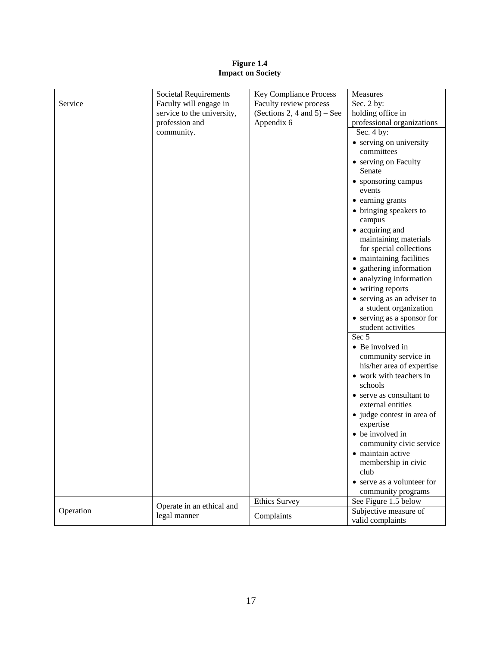#### **Figure 1.4 Impact on Society**

|           | Societal Requirements      | Key Compliance Process         | Measures                                         |
|-----------|----------------------------|--------------------------------|--------------------------------------------------|
| Service   | Faculty will engage in     | Faculty review process         | Sec. 2 by:                                       |
|           | service to the university, | (Sections 2, 4 and $5$ ) – See | holding office in                                |
|           | profession and             | Appendix 6                     | professional organizations                       |
|           | community.                 |                                | Sec. 4 by:                                       |
|           |                            |                                | • serving on university                          |
|           |                            |                                | committees                                       |
|           |                            |                                | • serving on Faculty                             |
|           |                            |                                | Senate                                           |
|           |                            |                                | • sponsoring campus<br>events                    |
|           |                            |                                | • earning grants                                 |
|           |                            |                                | • bringing speakers to                           |
|           |                            |                                | campus                                           |
|           |                            |                                | • acquiring and                                  |
|           |                            |                                | maintaining materials                            |
|           |                            |                                | for special collections                          |
|           |                            |                                | • maintaining facilities                         |
|           |                            |                                | • gathering information                          |
|           |                            |                                | • analyzing information                          |
|           |                            |                                | • writing reports                                |
|           |                            |                                | • serving as an adviser to                       |
|           |                            |                                | a student organization                           |
|           |                            |                                | • serving as a sponsor for<br>student activities |
|           |                            |                                | Sec 5                                            |
|           |                            |                                | • Be involved in<br>community service in         |
|           |                            |                                | his/her area of expertise                        |
|           |                            |                                | • work with teachers in<br>schools               |
|           |                            |                                | • serve as consultant to                         |
|           |                            |                                | external entities                                |
|           |                            |                                | • judge contest in area of<br>expertise          |
|           |                            |                                | • be involved in                                 |
|           |                            |                                | community civic service                          |
|           |                            |                                | • maintain active                                |
|           |                            |                                | membership in civic                              |
|           |                            |                                | club                                             |
|           |                            |                                | • serve as a volunteer for                       |
|           |                            |                                | community programs                               |
|           |                            | <b>Ethics Survey</b>           |                                                  |
| Operation | Operate in an ethical and  |                                | See Figure 1.5 below                             |
|           | legal manner               | Complaints                     | Subjective measure of<br>valid complaints        |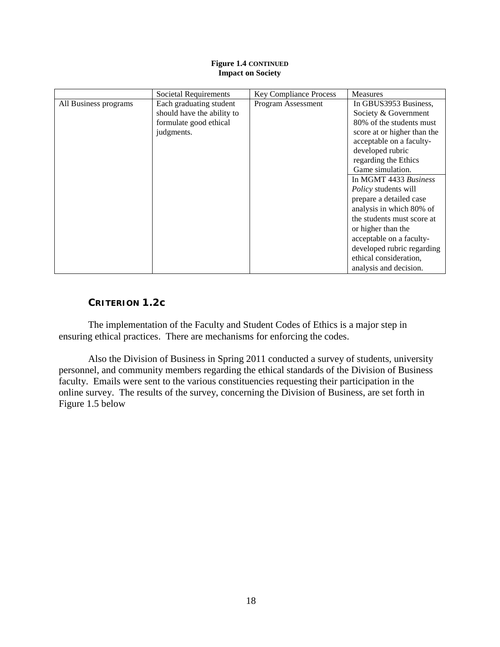#### **Figure 1.4 CONTINUED Impact on Society**

|                       | <b>Societal Requirements</b> | <b>Key Compliance Process</b> | <b>Measures</b>             |
|-----------------------|------------------------------|-------------------------------|-----------------------------|
| All Business programs | Each graduating student      | Program Assessment            | In GBUS3953 Business,       |
|                       | should have the ability to   |                               | Society & Government        |
|                       | formulate good ethical       |                               | 80% of the students must    |
|                       | judgments.                   |                               | score at or higher than the |
|                       |                              |                               | acceptable on a faculty-    |
|                       |                              |                               | developed rubric            |
|                       |                              |                               | regarding the Ethics        |
|                       |                              |                               | Game simulation.            |
|                       |                              |                               | In MGMT 4433 Business       |
|                       |                              |                               | Policy students will        |
|                       |                              |                               | prepare a detailed case     |
|                       |                              |                               | analysis in which 80% of    |
|                       |                              |                               | the students must score at  |
|                       |                              |                               | or higher than the          |
|                       |                              |                               | acceptable on a faculty-    |
|                       |                              |                               | developed rubric regarding  |
|                       |                              |                               | ethical consideration,      |
|                       |                              |                               | analysis and decision.      |

### **CRITERION 1.2c**

<span id="page-21-0"></span>The implementation of the Faculty and Student Codes of Ethics is a major step in ensuring ethical practices. There are mechanisms for enforcing the codes.

Also the Division of Business in Spring 2011 conducted a survey of students, university personnel, and community members regarding the ethical standards of the Division of Business faculty. Emails were sent to the various constituencies requesting their participation in the online survey. The results of the survey, concerning the Division of Business, are set forth in Figure 1.5 below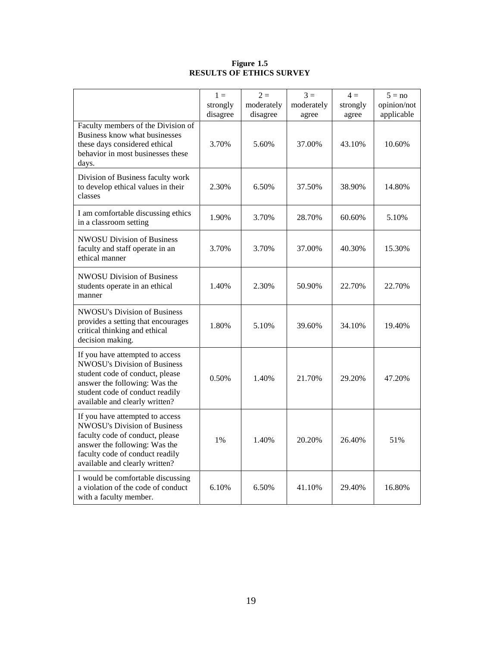#### **Figure 1.5 RESULTS OF ETHICS SURVEY**

|                                                                                                                                                                                                                 | $1 =$<br>strongly<br>disagree | $2 =$<br>moderately<br>disagree | $3 =$<br>moderately<br>agree | $4 =$<br>strongly<br>agree | $5 = no$<br>opinion/not<br>applicable |
|-----------------------------------------------------------------------------------------------------------------------------------------------------------------------------------------------------------------|-------------------------------|---------------------------------|------------------------------|----------------------------|---------------------------------------|
| Faculty members of the Division of<br>Business know what businesses<br>these days considered ethical<br>behavior in most businesses these<br>days.                                                              | 3.70%                         | 5.60%                           | 37.00%                       | 43.10%                     | 10.60%                                |
| Division of Business faculty work<br>to develop ethical values in their<br>classes                                                                                                                              | 2.30%                         | 6.50%                           | 37.50%                       | 38.90%                     | 14.80%                                |
| I am comfortable discussing ethics<br>in a classroom setting                                                                                                                                                    | 1.90%                         | 3.70%                           | 28.70%                       | 60.60%                     | 5.10%                                 |
| <b>NWOSU Division of Business</b><br>faculty and staff operate in an<br>ethical manner                                                                                                                          | 3.70%                         | 3.70%                           | 37.00%                       | 40.30%                     | 15.30%                                |
| <b>NWOSU Division of Business</b><br>students operate in an ethical<br>manner                                                                                                                                   | 1.40%                         | 2.30%                           | 50.90%                       | 22.70%                     | 22.70%                                |
| <b>NWOSU's Division of Business</b><br>provides a setting that encourages<br>critical thinking and ethical<br>decision making.                                                                                  | 1.80%                         | 5.10%                           | 39.60%                       | 34.10%                     | 19.40%                                |
| If you have attempted to access<br><b>NWOSU's Division of Business</b><br>student code of conduct, please<br>answer the following: Was the<br>student code of conduct readily<br>available and clearly written? | 0.50%                         | 1.40%                           | 21.70%                       | 29.20%                     | 47.20%                                |
| If you have attempted to access<br><b>NWOSU's Division of Business</b><br>faculty code of conduct, please<br>answer the following: Was the<br>faculty code of conduct readily<br>available and clearly written? | 1%                            | 1.40%                           | 20.20%                       | 26.40%                     | 51%                                   |
| I would be comfortable discussing<br>a violation of the code of conduct<br>with a faculty member.                                                                                                               | 6.10%                         | 6.50%                           | 41.10%                       | 29.40%                     | 16.80%                                |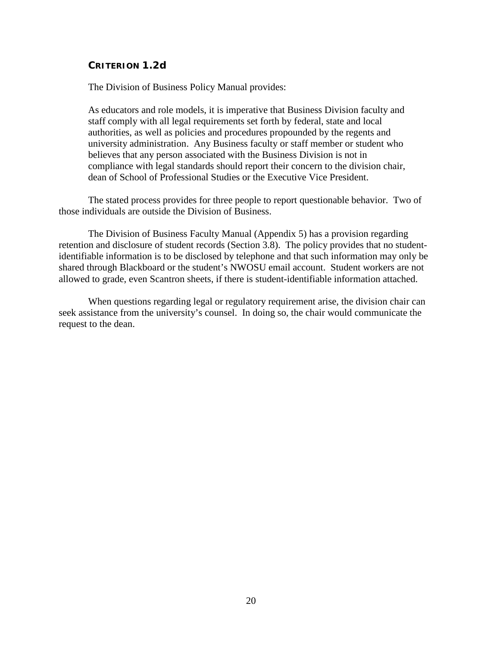#### <span id="page-23-0"></span>**CRITERION 1.2d**

The Division of Business Policy Manual provides:

As educators and role models, it is imperative that Business Division faculty and staff comply with all legal requirements set forth by federal, state and local authorities, as well as policies and procedures propounded by the regents and university administration. Any Business faculty or staff member or student who believes that any person associated with the Business Division is not in compliance with legal standards should report their concern to the division chair, dean of School of Professional Studies or the Executive Vice President.

The stated process provides for three people to report questionable behavior. Two of those individuals are outside the Division of Business.

The Division of Business Faculty Manual (Appendix 5) has a provision regarding retention and disclosure of student records (Section 3.8). The policy provides that no studentidentifiable information is to be disclosed by telephone and that such information may only be shared through Blackboard or the student's NWOSU email account. Student workers are not allowed to grade, even Scantron sheets, if there is student-identifiable information attached.

When questions regarding legal or regulatory requirement arise, the division chair can seek assistance from the university's counsel. In doing so, the chair would communicate the request to the dean.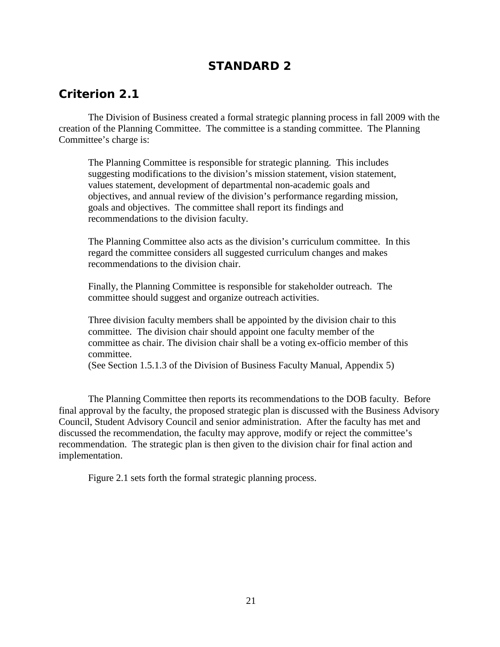# **STANDARD 2**

# <span id="page-24-1"></span><span id="page-24-0"></span>*Criterion 2.1*

The Division of Business created a formal strategic planning process in fall 2009 with the creation of the Planning Committee. The committee is a standing committee. The Planning Committee's charge is:

The Planning Committee is responsible for strategic planning. This includes suggesting modifications to the division's mission statement, vision statement, values statement, development of departmental non-academic goals and objectives, and annual review of the division's performance regarding mission, goals and objectives. The committee shall report its findings and recommendations to the division faculty.

The Planning Committee also acts as the division's curriculum committee. In this regard the committee considers all suggested curriculum changes and makes recommendations to the division chair.

Finally, the Planning Committee is responsible for stakeholder outreach. The committee should suggest and organize outreach activities.

Three division faculty members shall be appointed by the division chair to this committee. The division chair should appoint one faculty member of the committee as chair. The division chair shall be a voting ex-officio member of this committee.

(See Section 1.5.1.3 of the Division of Business Faculty Manual, Appendix 5)

The Planning Committee then reports its recommendations to the DOB faculty. Before final approval by the faculty, the proposed strategic plan is discussed with the Business Advisory Council, Student Advisory Council and senior administration. After the faculty has met and discussed the recommendation, the faculty may approve, modify or reject the committee's recommendation. The strategic plan is then given to the division chair for final action and implementation.

Figure 2.1 sets forth the formal strategic planning process.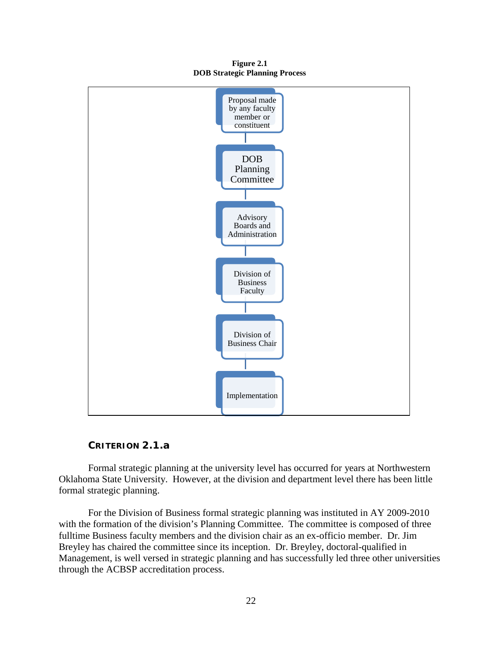**Figure 2.1 DOB Strategic Planning Process**



### **CRITERION 2.1.a**

<span id="page-25-0"></span>Formal strategic planning at the university level has occurred for years at Northwestern Oklahoma State University. However, at the division and department level there has been little formal strategic planning.

For the Division of Business formal strategic planning was instituted in AY 2009-2010 with the formation of the division's Planning Committee. The committee is composed of three fulltime Business faculty members and the division chair as an ex-officio member. Dr. Jim Breyley has chaired the committee since its inception. Dr. Breyley, doctoral-qualified in Management, is well versed in strategic planning and has successfully led three other universities through the ACBSP accreditation process.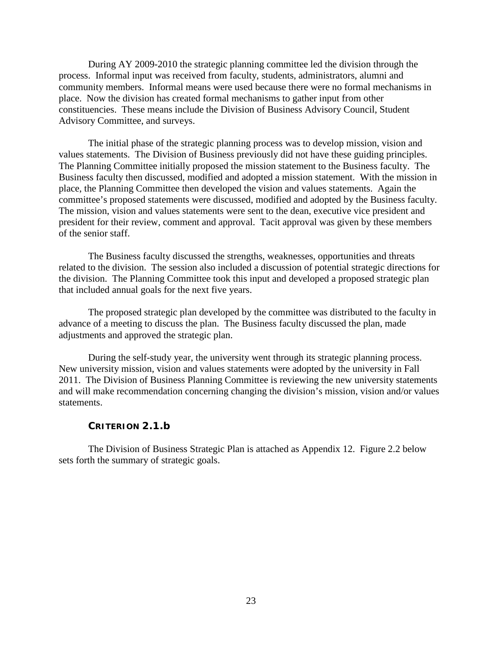During AY 2009-2010 the strategic planning committee led the division through the process. Informal input was received from faculty, students, administrators, alumni and community members. Informal means were used because there were no formal mechanisms in place. Now the division has created formal mechanisms to gather input from other constituencies. These means include the Division of Business Advisory Council, Student Advisory Committee, and surveys.

The initial phase of the strategic planning process was to develop mission, vision and values statements. The Division of Business previously did not have these guiding principles. The Planning Committee initially proposed the mission statement to the Business faculty. The Business faculty then discussed, modified and adopted a mission statement. With the mission in place, the Planning Committee then developed the vision and values statements. Again the committee's proposed statements were discussed, modified and adopted by the Business faculty. The mission, vision and values statements were sent to the dean, executive vice president and president for their review, comment and approval. Tacit approval was given by these members of the senior staff.

The Business faculty discussed the strengths, weaknesses, opportunities and threats related to the division. The session also included a discussion of potential strategic directions for the division. The Planning Committee took this input and developed a proposed strategic plan that included annual goals for the next five years.

The proposed strategic plan developed by the committee was distributed to the faculty in advance of a meeting to discuss the plan. The Business faculty discussed the plan, made adjustments and approved the strategic plan.

During the self-study year, the university went through its strategic planning process. New university mission, vision and values statements were adopted by the university in Fall 2011. The Division of Business Planning Committee is reviewing the new university statements and will make recommendation concerning changing the division's mission, vision and/or values statements.

#### **CRITERION 2.1.b**

<span id="page-26-0"></span>The Division of Business Strategic Plan is attached as Appendix 12. Figure 2.2 below sets forth the summary of strategic goals.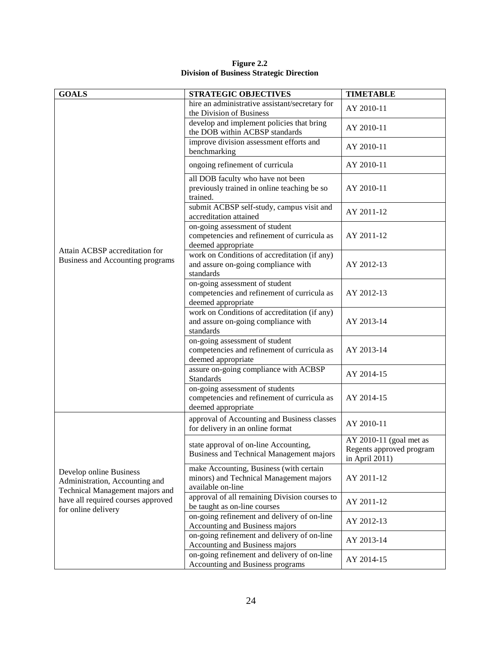| Figure 2.2 |  |                                                 |
|------------|--|-------------------------------------------------|
|            |  | <b>Division of Business Strategic Direction</b> |

| <b>GOALS</b>                                                                                                                                              | <b>STRATEGIC OBJECTIVES</b>                                                                             | <b>TIMETABLE</b>                                                      |
|-----------------------------------------------------------------------------------------------------------------------------------------------------------|---------------------------------------------------------------------------------------------------------|-----------------------------------------------------------------------|
|                                                                                                                                                           | hire an administrative assistant/secretary for<br>the Division of Business                              | AY 2010-11                                                            |
|                                                                                                                                                           | develop and implement policies that bring<br>the DOB within ACBSP standards                             | AY 2010-11                                                            |
|                                                                                                                                                           | improve division assessment efforts and<br>benchmarking                                                 | AY 2010-11                                                            |
|                                                                                                                                                           | ongoing refinement of curricula                                                                         | AY 2010-11                                                            |
| Attain ACBSP accreditation for<br>Business and Accounting programs                                                                                        | all DOB faculty who have not been<br>previously trained in online teaching be so<br>trained.            | AY 2010-11                                                            |
|                                                                                                                                                           | submit ACBSP self-study, campus visit and<br>accreditation attained                                     | AY 2011-12                                                            |
|                                                                                                                                                           | on-going assessment of student<br>competencies and refinement of curricula as<br>deemed appropriate     | AY 2011-12                                                            |
|                                                                                                                                                           | work on Conditions of accreditation (if any)<br>and assure on-going compliance with<br>standards        | AY 2012-13                                                            |
|                                                                                                                                                           | on-going assessment of student<br>competencies and refinement of curricula as<br>deemed appropriate     | AY 2012-13                                                            |
|                                                                                                                                                           | work on Conditions of accreditation (if any)<br>and assure on-going compliance with<br>standards        | AY 2013-14                                                            |
|                                                                                                                                                           | on-going assessment of student<br>competencies and refinement of curricula as<br>deemed appropriate     | AY 2013-14                                                            |
|                                                                                                                                                           | assure on-going compliance with ACBSP<br><b>Standards</b>                                               | AY 2014-15                                                            |
|                                                                                                                                                           | on-going assessment of students<br>competencies and refinement of curricula as<br>deemed appropriate    | AY 2014-15                                                            |
| Develop online Business<br>Administration, Accounting and<br>Technical Management majors and<br>have all required courses approved<br>for online delivery | approval of Accounting and Business classes<br>for delivery in an online format                         | AY 2010-11                                                            |
|                                                                                                                                                           | state approval of on-line Accounting,<br>Business and Technical Management majors                       | AY 2010-11 (goal met as<br>Regents approved program<br>in April 2011) |
|                                                                                                                                                           | make Accounting, Business (with certain<br>minors) and Technical Management majors<br>available on-line | AY 2011-12                                                            |
|                                                                                                                                                           | approval of all remaining Division courses to<br>be taught as on-line courses                           | AY 2011-12                                                            |
|                                                                                                                                                           | on-going refinement and delivery of on-line<br>Accounting and Business majors                           | AY 2012-13                                                            |
|                                                                                                                                                           | on-going refinement and delivery of on-line<br>Accounting and Business majors                           | AY 2013-14                                                            |
|                                                                                                                                                           | on-going refinement and delivery of on-line<br>Accounting and Business programs                         | AY 2014-15                                                            |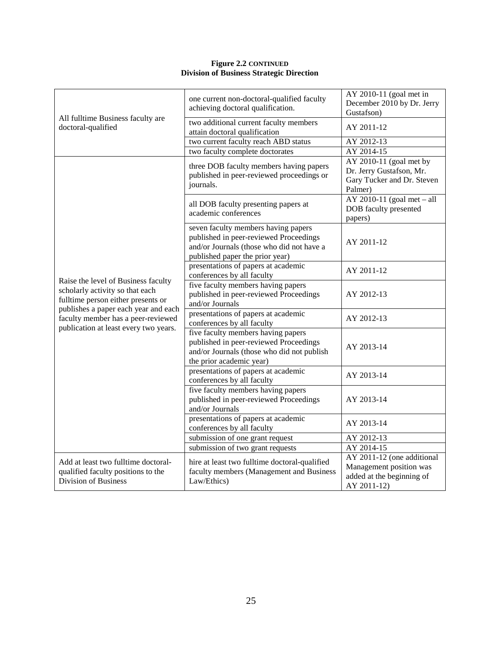#### **Figure 2.2 CONTINUED Division of Business Strategic Direction**

| All fulltime Business faculty are<br>doctoral-qualified                                                                                                                                                                             | one current non-doctoral-qualified faculty<br>achieving doctoral qualification.                                                                               | AY 2010-11 (goal met in<br>December 2010 by Dr. Jerry<br>Gustafson)                               |
|-------------------------------------------------------------------------------------------------------------------------------------------------------------------------------------------------------------------------------------|---------------------------------------------------------------------------------------------------------------------------------------------------------------|---------------------------------------------------------------------------------------------------|
|                                                                                                                                                                                                                                     | two additional current faculty members<br>attain doctoral qualification                                                                                       | AY 2011-12                                                                                        |
|                                                                                                                                                                                                                                     | two current faculty reach ABD status                                                                                                                          | AY 2012-13                                                                                        |
|                                                                                                                                                                                                                                     | two faculty complete doctorates                                                                                                                               | AY 2014-15                                                                                        |
| Raise the level of Business faculty<br>scholarly activity so that each<br>fulltime person either presents or<br>publishes a paper each year and each<br>faculty member has a peer-reviewed<br>publication at least every two years. | three DOB faculty members having papers<br>published in peer-reviewed proceedings or<br>journals.                                                             | AY 2010-11 (goal met by<br>Dr. Jerry Gustafson, Mr.<br>Gary Tucker and Dr. Steven<br>Palmer)      |
|                                                                                                                                                                                                                                     | all DOB faculty presenting papers at<br>academic conferences                                                                                                  | AY 2010-11 (goal met $-$ all<br>DOB faculty presented<br>papers)                                  |
|                                                                                                                                                                                                                                     | seven faculty members having papers<br>published in peer-reviewed Proceedings<br>and/or Journals (those who did not have a<br>published paper the prior year) | AY 2011-12                                                                                        |
|                                                                                                                                                                                                                                     | presentations of papers at academic<br>conferences by all faculty                                                                                             | AY 2011-12                                                                                        |
|                                                                                                                                                                                                                                     | five faculty members having papers<br>published in peer-reviewed Proceedings<br>and/or Journals                                                               | AY 2012-13                                                                                        |
|                                                                                                                                                                                                                                     | presentations of papers at academic<br>conferences by all faculty                                                                                             | AY 2012-13                                                                                        |
|                                                                                                                                                                                                                                     | five faculty members having papers<br>published in peer-reviewed Proceedings<br>and/or Journals (those who did not publish<br>the prior academic year)        | AY 2013-14                                                                                        |
|                                                                                                                                                                                                                                     | presentations of papers at academic<br>conferences by all faculty                                                                                             | AY 2013-14                                                                                        |
|                                                                                                                                                                                                                                     | five faculty members having papers<br>published in peer-reviewed Proceedings<br>and/or Journals                                                               | AY 2013-14                                                                                        |
|                                                                                                                                                                                                                                     | presentations of papers at academic<br>conferences by all faculty                                                                                             | AY 2013-14                                                                                        |
|                                                                                                                                                                                                                                     | submission of one grant request                                                                                                                               | AY 2012-13                                                                                        |
|                                                                                                                                                                                                                                     | submission of two grant requests                                                                                                                              | AY 2014-15                                                                                        |
| Add at least two fulltime doctoral-<br>qualified faculty positions to the<br><b>Division of Business</b>                                                                                                                            | hire at least two fulltime doctoral-qualified<br>faculty members (Management and Business<br>Law/Ethics)                                                      | AY 2011-12 (one additional<br>Management position was<br>added at the beginning of<br>AY 2011-12) |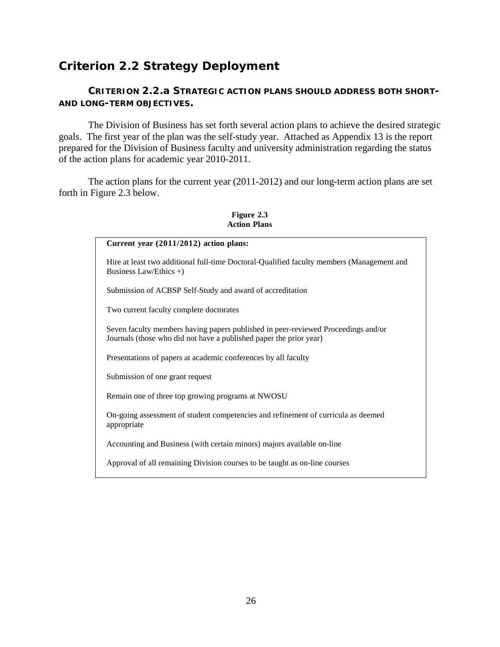# <span id="page-29-0"></span>*Criterion 2.2 Strategy Deployment*

### <span id="page-29-1"></span>**CRITERION 2.2.a STRATEGIC ACTION PLANS SHOULD ADDRESS BOTH SHORT-AND LONG-TERM OBJECTIVES.**

The Division of Business has set forth several action plans to achieve the desired strategic goals. The first year of the plan was the self-study year. Attached as Appendix 13 is the report prepared for the Division of Business faculty and university administration regarding the status of the action plans for academic year 2010-2011.

The action plans for the current year (2011-2012) and our long-term action plans are set forth in Figure 2.3 below.

**Figure 2.3 Action Plans**

| Current year $(2011/2012)$ action plans:                                                                                                                |  |
|---------------------------------------------------------------------------------------------------------------------------------------------------------|--|
| Hire at least two additional full-time Doctoral-Qualified faculty members (Management and<br>Business Law/Ethics $+)$                                   |  |
| Submission of ACBSP Self-Study and award of accreditation                                                                                               |  |
| Two current faculty complete doctorates                                                                                                                 |  |
| Seven faculty members having papers published in peer-reviewed Proceedings and/or<br>Journals (those who did not have a published paper the prior year) |  |
| Presentations of papers at academic conferences by all faculty                                                                                          |  |
| Submission of one grant request                                                                                                                         |  |
| Remain one of three top growing programs at NWOSU                                                                                                       |  |
| On-going assessment of student competencies and refinement of curricula as deemed<br>appropriate                                                        |  |
| Accounting and Business (with certain minors) majors available on-line                                                                                  |  |
| Approval of all remaining Division courses to be taught as on-line courses                                                                              |  |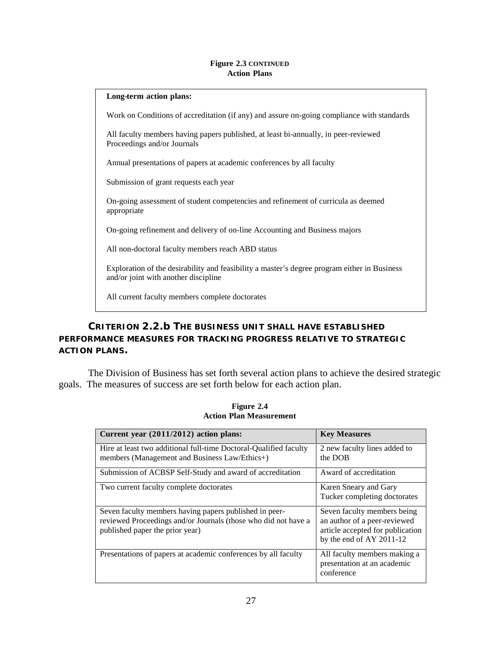#### **Figure 2.3 CONTINUED Action Plans**

#### **Long-term action plans:**

Work on Conditions of accreditation (if any) and assure on-going compliance with standards

All faculty members having papers published, at least bi-annually, in peer-reviewed Proceedings and/or Journals

Annual presentations of papers at academic conferences by all faculty

Submission of grant requests each year

On-going assessment of student competencies and refinement of curricula as deemed appropriate

On-going refinement and delivery of on-line Accounting and Business majors

All non-doctoral faculty members reach ABD status

Exploration of the desirability and feasibility a master's degree program either in Business and/or joint with another discipline

All current faculty members complete doctorates

### <span id="page-30-0"></span>**CRITERION 2.2.b THE BUSINESS UNIT SHALL HAVE ESTABLISHED PERFORMANCE MEASURES FOR TRACKING PROGRESS RELATIVE TO STRATEGIC ACTION PLANS.**

The Division of Business has set forth several action plans to achieve the desired strategic goals. The measures of success are set forth below for each action plan.

| Current year (2011/2012) action plans:                                                                                                                      | <b>Key Measures</b>                                                                                                         |
|-------------------------------------------------------------------------------------------------------------------------------------------------------------|-----------------------------------------------------------------------------------------------------------------------------|
| Hire at least two additional full-time Doctoral-Qualified faculty<br>members (Management and Business Law/Ethics+)                                          | 2 new faculty lines added to<br>the DOB                                                                                     |
| Submission of ACBSP Self-Study and award of accreditation                                                                                                   | Award of accreditation                                                                                                      |
| Two current faculty complete doctorates                                                                                                                     | Karen Sneary and Gary<br>Tucker completing doctorates                                                                       |
| Seven faculty members having papers published in peer-<br>reviewed Proceedings and/or Journals (those who did not have a<br>published paper the prior year) | Seven faculty members being<br>an author of a peer-reviewed<br>article accepted for publication<br>by the end of AY 2011-12 |
| Presentations of papers at academic conferences by all faculty                                                                                              | All faculty members making a<br>presentation at an academic<br>conference                                                   |

**Figure 2.4 Action Plan Measurement**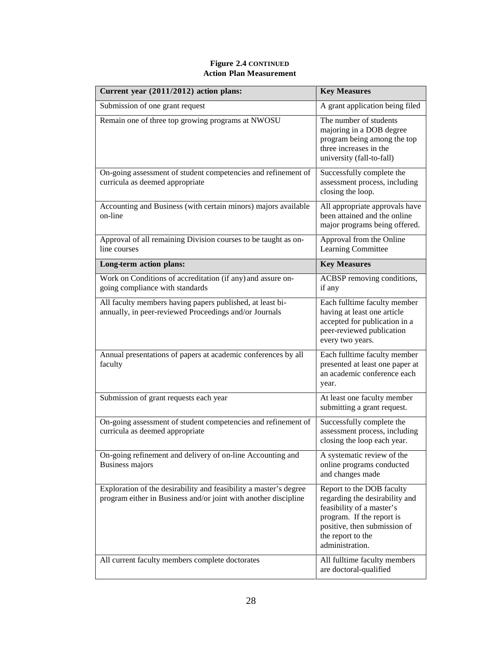#### **Figure 2.4 CONTINUED Action Plan Measurement**

| Current year (2011/2012) action plans:                                                                                               | <b>Key Measures</b>                                                                                                                                                                           |
|--------------------------------------------------------------------------------------------------------------------------------------|-----------------------------------------------------------------------------------------------------------------------------------------------------------------------------------------------|
| Submission of one grant request                                                                                                      | A grant application being filed                                                                                                                                                               |
| Remain one of three top growing programs at NWOSU                                                                                    | The number of students<br>majoring in a DOB degree<br>program being among the top<br>three increases in the<br>university (fall-to-fall)                                                      |
| On-going assessment of student competencies and refinement of<br>curricula as deemed appropriate                                     | Successfully complete the<br>assessment process, including<br>closing the loop.                                                                                                               |
| Accounting and Business (with certain minors) majors available<br>on-line                                                            | All appropriate approvals have<br>been attained and the online<br>major programs being offered.                                                                                               |
| Approval of all remaining Division courses to be taught as on-<br>line courses                                                       | Approval from the Online<br>Learning Committee                                                                                                                                                |
| Long-term action plans:                                                                                                              | <b>Key Measures</b>                                                                                                                                                                           |
| Work on Conditions of accreditation (if any) and assure on-<br>going compliance with standards                                       | ACBSP removing conditions,<br>if any                                                                                                                                                          |
| All faculty members having papers published, at least bi-<br>annually, in peer-reviewed Proceedings and/or Journals                  | Each fulltime faculty member<br>having at least one article<br>accepted for publication in a<br>peer-reviewed publication<br>every two years.                                                 |
| Annual presentations of papers at academic conferences by all<br>faculty                                                             | Each fulltime faculty member<br>presented at least one paper at<br>an academic conference each<br>year.                                                                                       |
| Submission of grant requests each year                                                                                               | At least one faculty member<br>submitting a grant request.                                                                                                                                    |
| On-going assessment of student competencies and refinement of<br>curricula as deemed appropriate                                     | Successfully complete the<br>assessment process, including<br>closing the loop each year.                                                                                                     |
| On-going refinement and delivery of on-line Accounting and<br>Business majors                                                        | A systematic review of the<br>online programs conducted<br>and changes made                                                                                                                   |
| Exploration of the desirability and feasibility a master's degree<br>program either in Business and/or joint with another discipline | Report to the DOB faculty<br>regarding the desirability and<br>feasibility of a master's<br>program. If the report is<br>positive, then submission of<br>the report to the<br>administration. |
| All current faculty members complete doctorates                                                                                      | All fulltime faculty members<br>are doctoral-qualified                                                                                                                                        |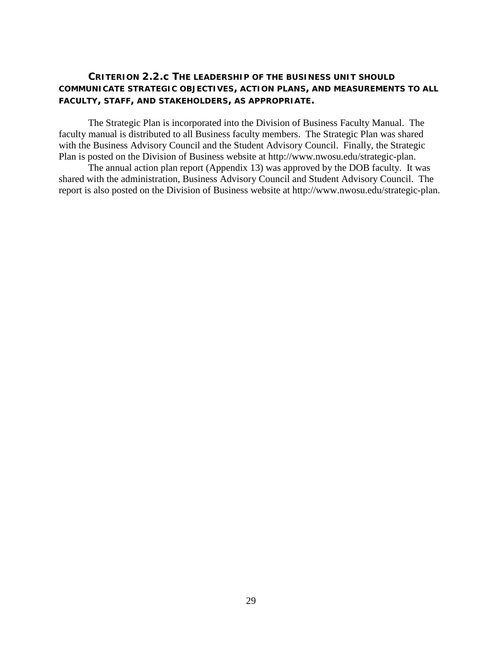### <span id="page-32-0"></span>**CRITERION 2.2.c THE LEADERSHIP OF THE BUSINESS UNIT SHOULD COMMUNICATE STRATEGIC OBJECTIVES, ACTION PLANS, AND MEASUREMENTS TO ALL FACULTY, STAFF, AND STAKEHOLDERS, AS APPROPRIATE.**

The Strategic Plan is incorporated into the Division of Business Faculty Manual. The faculty manual is distributed to all Business faculty members. The Strategic Plan was shared with the Business Advisory Council and the Student Advisory Council. Finally, the Strategic Plan is posted on the Division of Business website at http://www.nwosu.edu/strategic-plan.

The annual action plan report (Appendix 13) was approved by the DOB faculty. It was shared with the administration, Business Advisory Council and Student Advisory Council. The report is also posted on the Division of Business website at http://www.nwosu.edu/strategic-plan.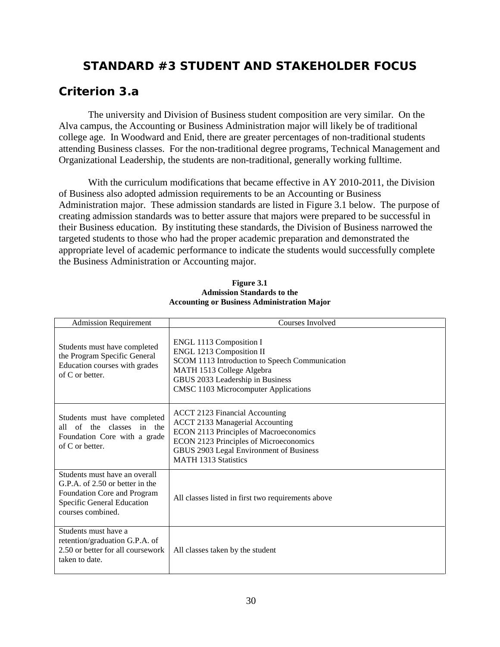# <span id="page-33-0"></span>**STANDARD #3 STUDENT AND STAKEHOLDER FOCUS**

# <span id="page-33-1"></span>*Criterion 3.a*

The university and Division of Business student composition are very similar. On the Alva campus, the Accounting or Business Administration major will likely be of traditional college age. In Woodward and Enid, there are greater percentages of non-traditional students attending Business classes. For the non-traditional degree programs, Technical Management and Organizational Leadership, the students are non-traditional, generally working fulltime.

With the curriculum modifications that became effective in AY 2010-2011, the Division of Business also adopted admission requirements to be an Accounting or Business Administration major. These admission standards are listed in Figure 3.1 below. The purpose of creating admission standards was to better assure that majors were prepared to be successful in their Business education. By instituting these standards, the Division of Business narrowed the targeted students to those who had the proper academic preparation and demonstrated the appropriate level of academic performance to indicate the students would successfully complete the Business Administration or Accounting major.

| <b>Admission Requirement</b>                                                                                                                       | Courses Involved                                                                                                                                                                                                                              |
|----------------------------------------------------------------------------------------------------------------------------------------------------|-----------------------------------------------------------------------------------------------------------------------------------------------------------------------------------------------------------------------------------------------|
| Students must have completed<br>the Program Specific General<br>Education courses with grades<br>of C or better.                                   | ENGL 1113 Composition I<br>ENGL 1213 Composition II<br>SCOM 1113 Introduction to Speech Communication<br>MATH 1513 College Algebra<br>GBUS 2033 Leadership in Business<br><b>CMSC 1103 Microcomputer Applications</b>                         |
| Students must have completed<br>all of the classes in the<br>Foundation Core with a grade<br>of C or better.                                       | <b>ACCT 2123 Financial Accounting</b><br><b>ACCT 2133 Managerial Accounting</b><br>ECON 2113 Principles of Macroeconomics<br>ECON 2123 Principles of Microeconomics<br>GBUS 2903 Legal Environment of Business<br><b>MATH 1313 Statistics</b> |
| Students must have an overall<br>G.P.A. of 2.50 or better in the<br>Foundation Core and Program<br>Specific General Education<br>courses combined. | All classes listed in first two requirements above                                                                                                                                                                                            |
| Students must have a<br>retention/graduation G.P.A. of<br>2.50 or better for all coursework<br>taken to date.                                      | All classes taken by the student                                                                                                                                                                                                              |

#### **Figure 3.1 Admission Standards to the Accounting or Business Administration Major**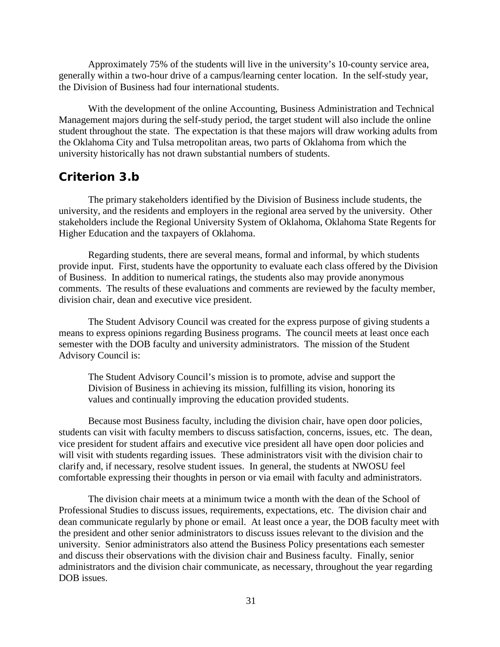Approximately 75% of the students will live in the university's 10-county service area, generally within a two-hour drive of a campus/learning center location. In the self-study year, the Division of Business had four international students.

With the development of the online Accounting, Business Administration and Technical Management majors during the self-study period, the target student will also include the online student throughout the state. The expectation is that these majors will draw working adults from the Oklahoma City and Tulsa metropolitan areas, two parts of Oklahoma from which the university historically has not drawn substantial numbers of students.

### <span id="page-34-0"></span>*Criterion 3.b*

The primary stakeholders identified by the Division of Business include students, the university, and the residents and employers in the regional area served by the university. Other stakeholders include the Regional University System of Oklahoma, Oklahoma State Regents for Higher Education and the taxpayers of Oklahoma.

Regarding students, there are several means, formal and informal, by which students provide input. First, students have the opportunity to evaluate each class offered by the Division of Business. In addition to numerical ratings, the students also may provide anonymous comments. The results of these evaluations and comments are reviewed by the faculty member, division chair, dean and executive vice president.

The Student Advisory Council was created for the express purpose of giving students a means to express opinions regarding Business programs. The council meets at least once each semester with the DOB faculty and university administrators. The mission of the Student Advisory Council is:

The Student Advisory Council's mission is to promote, advise and support the Division of Business in achieving its mission, fulfilling its vision, honoring its values and continually improving the education provided students.

Because most Business faculty, including the division chair, have open door policies, students can visit with faculty members to discuss satisfaction, concerns, issues, etc. The dean, vice president for student affairs and executive vice president all have open door policies and will visit with students regarding issues. These administrators visit with the division chair to clarify and, if necessary, resolve student issues. In general, the students at NWOSU feel comfortable expressing their thoughts in person or via email with faculty and administrators.

The division chair meets at a minimum twice a month with the dean of the School of Professional Studies to discuss issues, requirements, expectations, etc. The division chair and dean communicate regularly by phone or email. At least once a year, the DOB faculty meet with the president and other senior administrators to discuss issues relevant to the division and the university. Senior administrators also attend the Business Policy presentations each semester and discuss their observations with the division chair and Business faculty. Finally, senior administrators and the division chair communicate, as necessary, throughout the year regarding DOB issues.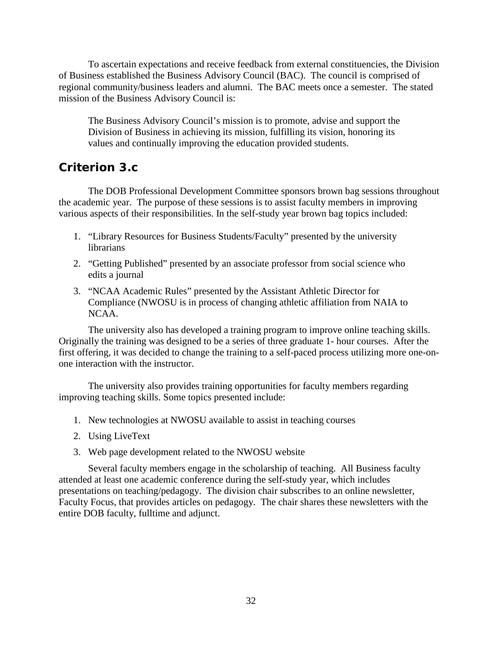To ascertain expectations and receive feedback from external constituencies, the Division of Business established the Business Advisory Council (BAC). The council is comprised of regional community/business leaders and alumni. The BAC meets once a semester. The stated mission of the Business Advisory Council is:

The Business Advisory Council's mission is to promote, advise and support the Division of Business in achieving its mission, fulfilling its vision, honoring its values and continually improving the education provided students.

# <span id="page-35-0"></span>*Criterion 3.c*

The DOB Professional Development Committee sponsors brown bag sessions throughout the academic year. The purpose of these sessions is to assist faculty members in improving various aspects of their responsibilities. In the self-study year brown bag topics included:

- 1. "Library Resources for Business Students/Faculty" presented by the university librarians
- 2. "Getting Published" presented by an associate professor from social science who edits a journal
- 3. "NCAA Academic Rules" presented by the Assistant Athletic Director for Compliance (NWOSU is in process of changing athletic affiliation from NAIA to NCAA.

The university also has developed a training program to improve online teaching skills. Originally the training was designed to be a series of three graduate 1- hour courses. After the first offering, it was decided to change the training to a self-paced process utilizing more one-onone interaction with the instructor.

The university also provides training opportunities for faculty members regarding improving teaching skills. Some topics presented include:

- 1. New technologies at NWOSU available to assist in teaching courses
- 2. Using LiveText
- 3. Web page development related to the NWOSU website

Several faculty members engage in the scholarship of teaching. All Business faculty attended at least one academic conference during the self-study year, which includes presentations on teaching/pedagogy. The division chair subscribes to an online newsletter, Faculty Focus, that provides articles on pedagogy. The chair shares these newsletters with the entire DOB faculty, fulltime and adjunct.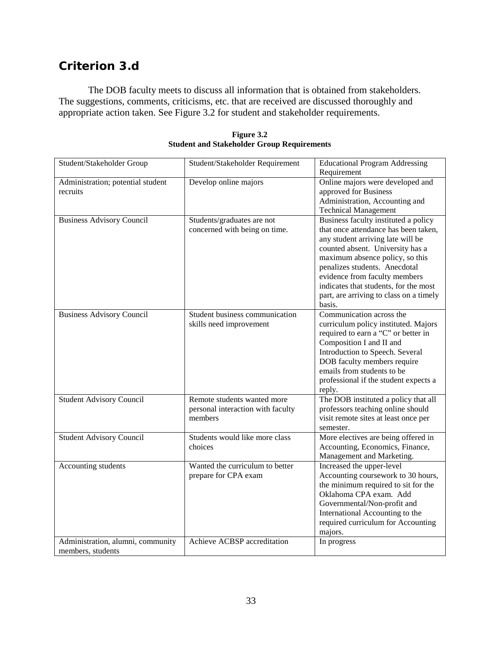# *Criterion 3.d*

The DOB faculty meets to discuss all information that is obtained from stakeholders. The suggestions, comments, criticisms, etc. that are received are discussed thoroughly and appropriate action taken. See Figure 3.2 for student and stakeholder requirements.

| Student/Stakeholder Group         | Student/Stakeholder Requirement   | <b>Educational Program Addressing</b>   |
|-----------------------------------|-----------------------------------|-----------------------------------------|
|                                   |                                   | Requirement                             |
| Administration; potential student | Develop online majors             | Online majors were developed and        |
| recruits                          |                                   | approved for Business                   |
|                                   |                                   | Administration, Accounting and          |
|                                   |                                   | <b>Technical Management</b>             |
| <b>Business Advisory Council</b>  | Students/graduates are not        | Business faculty instituted a policy    |
|                                   | concerned with being on time.     | that once attendance has been taken,    |
|                                   |                                   | any student arriving late will be       |
|                                   |                                   | counted absent. University has a        |
|                                   |                                   | maximum absence policy, so this         |
|                                   |                                   | penalizes students. Anecdotal           |
|                                   |                                   | evidence from faculty members           |
|                                   |                                   | indicates that students, for the most   |
|                                   |                                   | part, are arriving to class on a timely |
|                                   |                                   | basis.                                  |
| <b>Business Advisory Council</b>  | Student business communication    | Communication across the                |
|                                   | skills need improvement           | curriculum policy instituted. Majors    |
|                                   |                                   | required to earn a "C" or better in     |
|                                   |                                   | Composition I and II and                |
|                                   |                                   | Introduction to Speech. Several         |
|                                   |                                   | DOB faculty members require             |
|                                   |                                   | emails from students to be              |
|                                   |                                   | professional if the student expects a   |
|                                   |                                   | reply.                                  |
| <b>Student Advisory Council</b>   | Remote students wanted more       | The DOB instituted a policy that all    |
|                                   | personal interaction with faculty | professors teaching online should       |
|                                   | members                           | visit remote sites at least once per    |
|                                   |                                   | semester.                               |
| <b>Student Advisory Council</b>   | Students would like more class    | More electives are being offered in     |
|                                   | choices                           | Accounting, Economics, Finance,         |
|                                   |                                   | Management and Marketing.               |
| Accounting students               | Wanted the curriculum to better   | Increased the upper-level               |
|                                   | prepare for CPA exam              | Accounting coursework to 30 hours,      |
|                                   |                                   | the minimum required to sit for the     |
|                                   |                                   | Oklahoma CPA exam. Add                  |
|                                   |                                   | Governmental/Non-profit and             |
|                                   |                                   | International Accounting to the         |
|                                   |                                   | required curriculum for Accounting      |
|                                   |                                   | majors.                                 |
| Administration, alumni, community | Achieve ACBSP accreditation       | In progress                             |
| members, students                 |                                   |                                         |

**Figure 3.2 Student and Stakeholder Group Requirements**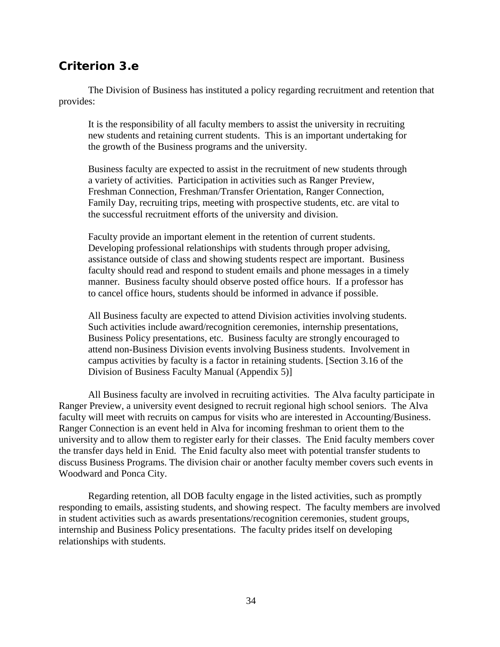## *Criterion 3.e*

The Division of Business has instituted a policy regarding recruitment and retention that provides:

It is the responsibility of all faculty members to assist the university in recruiting new students and retaining current students. This is an important undertaking for the growth of the Business programs and the university.

Business faculty are expected to assist in the recruitment of new students through a variety of activities. Participation in activities such as Ranger Preview, Freshman Connection, Freshman/Transfer Orientation, Ranger Connection, Family Day, recruiting trips, meeting with prospective students, etc. are vital to the successful recruitment efforts of the university and division.

Faculty provide an important element in the retention of current students. Developing professional relationships with students through proper advising, assistance outside of class and showing students respect are important. Business faculty should read and respond to student emails and phone messages in a timely manner. Business faculty should observe posted office hours. If a professor has to cancel office hours, students should be informed in advance if possible.

All Business faculty are expected to attend Division activities involving students. Such activities include award/recognition ceremonies, internship presentations, Business Policy presentations, etc. Business faculty are strongly encouraged to attend non-Business Division events involving Business students. Involvement in campus activities by faculty is a factor in retaining students. [Section 3.16 of the Division of Business Faculty Manual (Appendix 5)]

All Business faculty are involved in recruiting activities. The Alva faculty participate in Ranger Preview, a university event designed to recruit regional high school seniors. The Alva faculty will meet with recruits on campus for visits who are interested in Accounting/Business. Ranger Connection is an event held in Alva for incoming freshman to orient them to the university and to allow them to register early for their classes. The Enid faculty members cover the transfer days held in Enid. The Enid faculty also meet with potential transfer students to discuss Business Programs. The division chair or another faculty member covers such events in Woodward and Ponca City.

Regarding retention, all DOB faculty engage in the listed activities, such as promptly responding to emails, assisting students, and showing respect. The faculty members are involved in student activities such as awards presentations/recognition ceremonies, student groups, internship and Business Policy presentations. The faculty prides itself on developing relationships with students.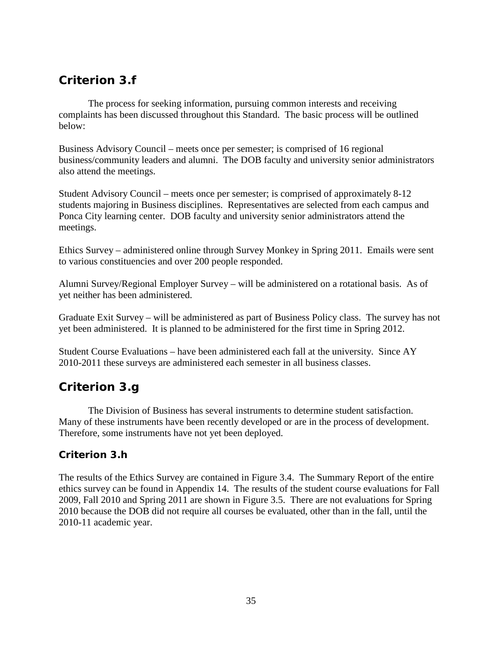# *Criterion 3.f*

The process for seeking information, pursuing common interests and receiving complaints has been discussed throughout this Standard. The basic process will be outlined below:

Business Advisory Council – meets once per semester; is comprised of 16 regional business/community leaders and alumni. The DOB faculty and university senior administrators also attend the meetings.

Student Advisory Council – meets once per semester; is comprised of approximately 8-12 students majoring in Business disciplines. Representatives are selected from each campus and Ponca City learning center. DOB faculty and university senior administrators attend the meetings.

Ethics Survey – administered online through Survey Monkey in Spring 2011. Emails were sent to various constituencies and over 200 people responded.

Alumni Survey/Regional Employer Survey – will be administered on a rotational basis. As of yet neither has been administered.

Graduate Exit Survey – will be administered as part of Business Policy class. The survey has not yet been administered. It is planned to be administered for the first time in Spring 2012.

Student Course Evaluations – have been administered each fall at the university. Since AY 2010-2011 these surveys are administered each semester in all business classes.

# *Criterion 3.g*

The Division of Business has several instruments to determine student satisfaction. Many of these instruments have been recently developed or are in the process of development. Therefore, some instruments have not yet been deployed.

## **Criterion 3.h**

The results of the Ethics Survey are contained in Figure 3.4. The Summary Report of the entire ethics survey can be found in Appendix 14. The results of the student course evaluations for Fall 2009, Fall 2010 and Spring 2011 are shown in Figure 3.5. There are not evaluations for Spring 2010 because the DOB did not require all courses be evaluated, other than in the fall, until the 2010-11 academic year.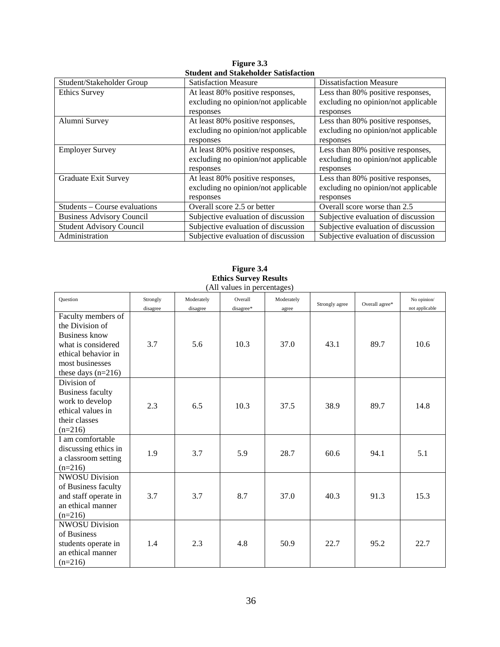| Student/Stakeholder Group        | <b>Satisfaction Measure</b>         | <b>Dissatisfaction Measure</b>      |
|----------------------------------|-------------------------------------|-------------------------------------|
| <b>Ethics Survey</b>             | At least 80% positive responses,    | Less than 80% positive responses,   |
|                                  | excluding no opinion/not applicable | excluding no opinion/not applicable |
|                                  | responses                           | responses                           |
| Alumni Survey                    | At least 80% positive responses,    | Less than 80% positive responses,   |
|                                  | excluding no opinion/not applicable | excluding no opinion/not applicable |
|                                  | responses                           | responses                           |
| <b>Employer Survey</b>           | At least 80% positive responses,    | Less than 80% positive responses,   |
|                                  | excluding no opinion/not applicable | excluding no opinion/not applicable |
|                                  | responses                           | responses                           |
| <b>Graduate Exit Survey</b>      | At least 80% positive responses,    | Less than 80% positive responses,   |
|                                  | excluding no opinion/not applicable | excluding no opinion/not applicable |
|                                  | responses                           | responses                           |
| Students – Course evaluations    | Overall score 2.5 or better         | Overall score worse than 2.5        |
| <b>Business Advisory Council</b> | Subjective evaluation of discussion | Subjective evaluation of discussion |
| <b>Student Advisory Council</b>  | Subjective evaluation of discussion | Subjective evaluation of discussion |
| Administration                   | Subjective evaluation of discussion | Subjective evaluation of discussion |

**Figure 3.3 Student and Stakeholder Satisfaction**

| <b>Question</b>                                                                                                                                       | Strongly<br>disagree | Moderately<br>disagree | Overall<br>disagree* | Moderately<br>agree | Strongly agree | Overall agree* | No opinion/<br>not applicable |
|-------------------------------------------------------------------------------------------------------------------------------------------------------|----------------------|------------------------|----------------------|---------------------|----------------|----------------|-------------------------------|
| Faculty members of<br>the Division of<br><b>Business know</b><br>what is considered<br>ethical behavior in<br>most businesses<br>these days $(n=216)$ | 3.7                  | 5.6                    | 10.3                 | 37.0                | 43.1           | 89.7           | 10.6                          |
| Division of<br><b>Business faculty</b><br>work to develop<br>ethical values in<br>their classes<br>$(n=216)$                                          | 2.3                  | 6.5                    | 10.3                 | 37.5                | 38.9           | 89.7           | 14.8                          |
| I am comfortable<br>discussing ethics in<br>a classroom setting<br>$(n=216)$                                                                          | 1.9                  | 3.7                    | 5.9                  | 28.7                | 60.6           | 94.1           | 5.1                           |
| <b>NWOSU Division</b><br>of Business faculty<br>and staff operate in<br>an ethical manner<br>$(n=216)$                                                | 3.7                  | 3.7                    | 8.7                  | 37.0                | 40.3           | 91.3           | 15.3                          |
| <b>NWOSU Division</b><br>of Business<br>students operate in<br>an ethical manner<br>$(n=216)$                                                         | 1.4                  | 2.3                    | 4.8                  | 50.9                | 22.7           | 95.2           | 22.7                          |

**Figure 3.4 Ethics Survey Results** (All values in percentages)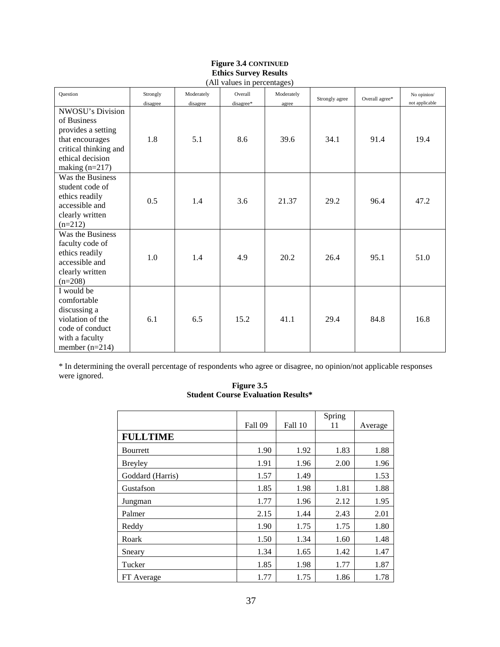## **Figure 3.4 CONTINUED Ethics Survey Results**

| (All values in percentages)                                                                                                                      |                      |                        |                      |                     |                |                |                               |
|--------------------------------------------------------------------------------------------------------------------------------------------------|----------------------|------------------------|----------------------|---------------------|----------------|----------------|-------------------------------|
| Question                                                                                                                                         | Strongly<br>disagree | Moderately<br>disagree | Overall<br>disagree* | Moderately<br>agree | Strongly agree | Overall agree* | No opinion/<br>not applicable |
| <b>NWOSU's Division</b><br>of Business<br>provides a setting<br>that encourages<br>critical thinking and<br>ethical decision<br>making $(n=217)$ | 1.8                  | 5.1                    | 8.6                  | 39.6                | 34.1           | 91.4           | 19.4                          |
| Was the Business<br>student code of<br>ethics readily<br>accessible and<br>clearly written<br>$(n=212)$                                          | 0.5                  | 1.4                    | 3.6                  | 21.37               | 29.2           | 96.4           | 47.2                          |
| Was the Business<br>faculty code of<br>ethics readily<br>accessible and<br>clearly written<br>$(n=208)$                                          | 1.0                  | 1.4                    | 4.9                  | 20.2                | 26.4           | 95.1           | 51.0                          |
| I would be<br>comfortable<br>discussing a<br>violation of the<br>code of conduct<br>with a faculty<br>member $(n=214)$                           | 6.1                  | 6.5                    | 15.2                 | 41.1                | 29.4           | 84.8           | 16.8                          |

\* In determining the overall percentage of respondents who agree or disagree, no opinion/not applicable responses were ignored.

#### **Figure 3.5 Student Course Evaluation Results\***

|                  | Fall 09 | Fall 10 | Spring<br>11 | Average |
|------------------|---------|---------|--------------|---------|
| <b>FULLTIME</b>  |         |         |              |         |
| <b>Bourrett</b>  | 1.90    | 1.92    | 1.83         | 1.88    |
| <b>Breyley</b>   | 1.91    | 1.96    | 2.00         | 1.96    |
| Goddard (Harris) | 1.57    | 1.49    |              | 1.53    |
| Gustafson        | 1.85    | 1.98    | 1.81         | 1.88    |
| Jungman          | 1.77    | 1.96    | 2.12         | 1.95    |
| Palmer           | 2.15    | 1.44    | 2.43         | 2.01    |
| Reddy            | 1.90    | 1.75    | 1.75         | 1.80    |
| Roark            | 1.50    | 1.34    | 1.60         | 1.48    |
| Sneary           | 1.34    | 1.65    | 1.42         | 1.47    |
| Tucker           | 1.85    | 1.98    | 1.77         | 1.87    |
| FT Average       | 1.77    | 1.75    | 1.86         | 1.78    |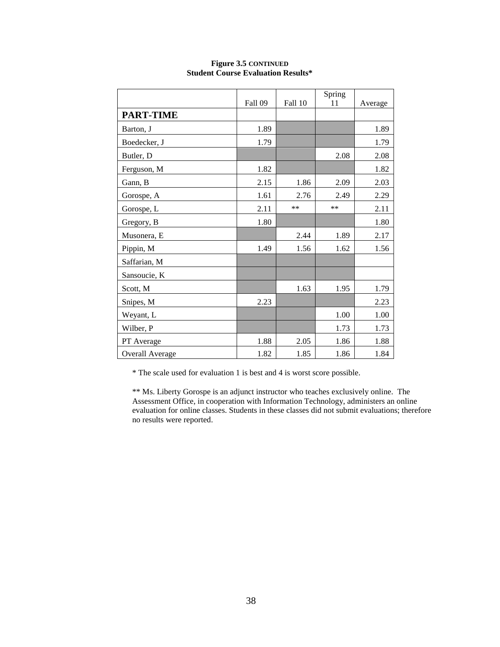|                        |                |         | Spring |         |
|------------------------|----------------|---------|--------|---------|
|                        | <b>Fall 09</b> | Fall 10 | 11     | Average |
| <b>PART-TIME</b>       |                |         |        |         |
| Barton, J              | 1.89           |         |        | 1.89    |
| Boedecker, J           | 1.79           |         |        | 1.79    |
| Butler, D              |                |         | 2.08   | 2.08    |
| Ferguson, M            | 1.82           |         |        | 1.82    |
| Gann, B                | 2.15           | 1.86    | 2.09   | 2.03    |
| Gorospe, A             | 1.61           | 2.76    | 2.49   | 2.29    |
| Gorospe, L             | 2.11           | **      | **     | 2.11    |
| Gregory, B             | 1.80           |         |        | 1.80    |
| Musonera, E            |                | 2.44    | 1.89   | 2.17    |
| Pippin, M              | 1.49           | 1.56    | 1.62   | 1.56    |
| Saffarian, M           |                |         |        |         |
| Sansoucie, K           |                |         |        |         |
| Scott, M               |                | 1.63    | 1.95   | 1.79    |
| Snipes, M              | 2.23           |         |        | 2.23    |
| Weyant, L              |                |         | 1.00   | 1.00    |
| Wilber, P              |                |         | 1.73   | 1.73    |
| PT Average             | 1.88           | 2.05    | 1.86   | 1.88    |
| <b>Overall Average</b> | 1.82           | 1.85    | 1.86   | 1.84    |

#### **Figure 3.5 CONTINUED Student Course Evaluation Results\***

\* The scale used for evaluation 1 is best and 4 is worst score possible.

\*\* Ms. Liberty Gorospe is an adjunct instructor who teaches exclusively online. The Assessment Office, in cooperation with Information Technology, administers an online evaluation for online classes. Students in these classes did not submit evaluations; therefore no results were reported.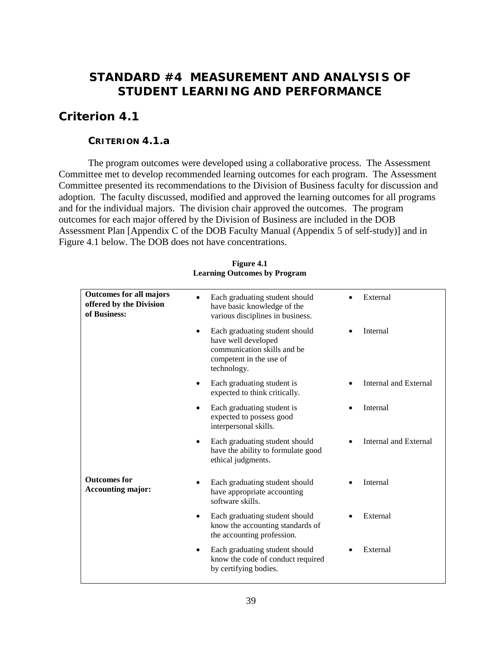# **STANDARD #4 MEASUREMENT AND ANALYSIS OF STUDENT LEARNING AND PERFORMANCE**

# *Criterion 4.1*

## **CRITERION 4.1.a**

The program outcomes were developed using a collaborative process. The Assessment Committee met to develop recommended learning outcomes for each program. The Assessment Committee presented its recommendations to the Division of Business faculty for discussion and adoption. The faculty discussed, modified and approved the learning outcomes for all programs and for the individual majors. The division chair approved the outcomes. The program outcomes for each major offered by the Division of Business are included in the DOB Assessment Plan [Appendix C of the DOB Faculty Manual (Appendix 5 of self-study)] and in Figure 4.1 below. The DOB does not have concentrations.

| Each graduating student should<br>have basic knowledge of the<br>various disciplines in business.                                           | External                     |
|---------------------------------------------------------------------------------------------------------------------------------------------|------------------------------|
| Each graduating student should<br>$\bullet$<br>have well developed<br>communication skills and be<br>competent in the use of<br>technology. | Internal                     |
| Each graduating student is<br>expected to think critically.                                                                                 | <b>Internal and External</b> |
| Each graduating student is<br>expected to possess good<br>interpersonal skills.                                                             | Internal                     |
| Each graduating student should<br>$\bullet$<br>have the ability to formulate good<br>ethical judgments.                                     | Internal and External        |
| Each graduating student should<br>have appropriate accounting<br>software skills.                                                           | Internal                     |
| Each graduating student should<br>know the accounting standards of<br>the accounting profession.                                            | External                     |
| Each graduating student should<br>know the code of conduct required<br>by certifying bodies.                                                | External                     |
|                                                                                                                                             |                              |

### **Figure 4.1 Learning Outcomes by Program**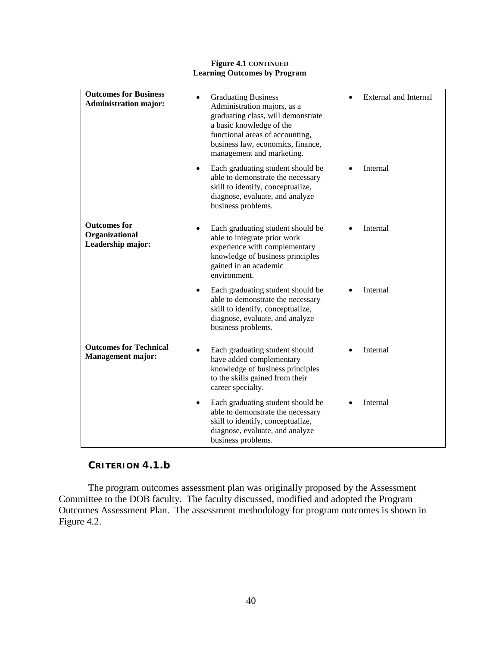#### **Figure 4.1 CONTINUED Learning Outcomes by Program**

| <b>Outcomes for Business</b><br><b>Administration major:</b> | <b>Graduating Business</b><br>Administration majors, as a<br>graduating class, will demonstrate<br>a basic knowledge of the<br>functional areas of accounting,<br>business law, economics, finance,<br>management and marketing. | <b>External and Internal</b> |
|--------------------------------------------------------------|----------------------------------------------------------------------------------------------------------------------------------------------------------------------------------------------------------------------------------|------------------------------|
|                                                              | Each graduating student should be<br>able to demonstrate the necessary<br>skill to identify, conceptualize,<br>diagnose, evaluate, and analyze<br>business problems.                                                             | Internal                     |
| <b>Outcomes for</b><br>Organizational<br>Leadership major:   | Each graduating student should be<br>able to integrate prior work<br>experience with complementary<br>knowledge of business principles<br>gained in an academic<br>environment.                                                  | Internal                     |
|                                                              | Each graduating student should be<br>٠<br>able to demonstrate the necessary<br>skill to identify, conceptualize,<br>diagnose, evaluate, and analyze<br>business problems.                                                        | Internal                     |
| <b>Outcomes for Technical</b><br><b>Management major:</b>    | Each graduating student should<br>have added complementary<br>knowledge of business principles<br>to the skills gained from their<br>career specialty.                                                                           | Internal                     |
|                                                              | Each graduating student should be<br>٠<br>able to demonstrate the necessary<br>skill to identify, conceptualize,<br>diagnose, evaluate, and analyze<br>business problems.                                                        | Internal                     |

## **CRITERION 4.1.b**

The program outcomes assessment plan was originally proposed by the Assessment Committee to the DOB faculty. The faculty discussed, modified and adopted the Program Outcomes Assessment Plan. The assessment methodology for program outcomes is shown in Figure 4.2.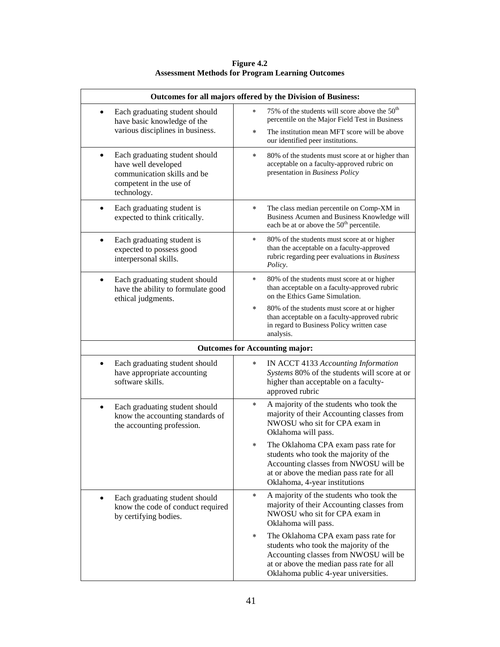| Outcomes for all majors offered by the Division of Business:                                                                   |                                                                                                                                                                                                                      |  |  |  |
|--------------------------------------------------------------------------------------------------------------------------------|----------------------------------------------------------------------------------------------------------------------------------------------------------------------------------------------------------------------|--|--|--|
| Each graduating student should<br>have basic knowledge of the                                                                  | 75% of the students will score above the 50 <sup>th</sup><br>$\ast$<br>percentile on the Major Field Test in Business                                                                                                |  |  |  |
| various disciplines in business.                                                                                               | The institution mean MFT score will be above<br>$\star$<br>our identified peer institutions.                                                                                                                         |  |  |  |
| Each graduating student should<br>have well developed<br>communication skills and be<br>competent in the use of<br>technology. | 80% of the students must score at or higher than<br>$\ast$<br>acceptable on a faculty-approved rubric on<br>presentation in Business Policy                                                                          |  |  |  |
| Each graduating student is<br>expected to think critically.                                                                    | $\star$<br>The class median percentile on Comp-XM in<br>Business Acumen and Business Knowledge will<br>each be at or above the 50 <sup>th</sup> percentile.                                                          |  |  |  |
| Each graduating student is<br>expected to possess good<br>interpersonal skills.                                                | 80% of the students must score at or higher<br>$\ast$<br>than the acceptable on a faculty-approved<br>rubric regarding peer evaluations in Business<br>Policy.                                                       |  |  |  |
| Each graduating student should<br>have the ability to formulate good<br>ethical judgments.                                     | 80% of the students must score at or higher<br>$\ast$<br>than acceptable on a faculty-approved rubric<br>on the Ethics Game Simulation.                                                                              |  |  |  |
|                                                                                                                                | $\star$<br>80% of the students must score at or higher<br>than acceptable on a faculty-approved rubric<br>in regard to Business Policy written case<br>analysis.                                                     |  |  |  |
|                                                                                                                                | <b>Outcomes for Accounting major:</b>                                                                                                                                                                                |  |  |  |
| Each graduating student should<br>have appropriate accounting<br>software skills.                                              | IN ACCT 4133 Accounting Information<br>$\ast$<br>Systems 80% of the students will score at or<br>higher than acceptable on a faculty-<br>approved rubric                                                             |  |  |  |
| Each graduating student should<br>know the accounting standards of<br>the accounting profession.                               | A majority of the students who took the<br>$\star$<br>majority of their Accounting classes from<br>NWOSU who sit for CPA exam in<br>Oklahoma will pass.                                                              |  |  |  |
|                                                                                                                                | The Oklahoma CPA exam pass rate for<br>$\ast$<br>students who took the majority of the<br>Accounting classes from NWOSU will be<br>at or above the median pass rate for all<br>Oklahoma, 4-year institutions         |  |  |  |
| Each graduating student should<br>$\bullet$<br>know the code of conduct required<br>by certifying bodies.                      | A majority of the students who took the<br>$\star$<br>majority of their Accounting classes from<br>NWOSU who sit for CPA exam in<br>Oklahoma will pass.                                                              |  |  |  |
|                                                                                                                                | The Oklahoma CPA exam pass rate for<br>$\star$<br>students who took the majority of the<br>Accounting classes from NWOSU will be<br>at or above the median pass rate for all<br>Oklahoma public 4-year universities. |  |  |  |

**Figure 4.2 Assessment Methods for Program Learning Outcomes**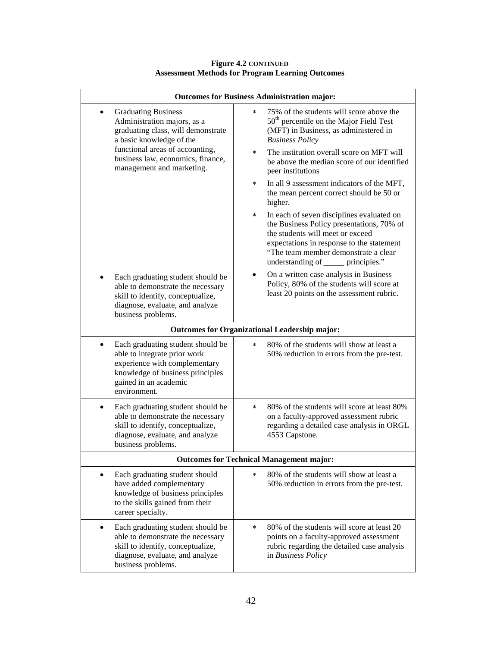| <b>Outcomes for Business Administration major:</b>                                                                                                                                |                                                                                                                                                                                                                                                                    |  |  |  |
|-----------------------------------------------------------------------------------------------------------------------------------------------------------------------------------|--------------------------------------------------------------------------------------------------------------------------------------------------------------------------------------------------------------------------------------------------------------------|--|--|--|
| <b>Graduating Business</b><br>Administration majors, as a<br>graduating class, will demonstrate<br>a basic knowledge of the                                                       | 75% of the students will score above the<br>$\star$<br>$50th$ percentile on the Major Field Test<br>(MFT) in Business, as administered in<br><b>Business Policy</b>                                                                                                |  |  |  |
| functional areas of accounting,<br>business law, economics, finance,<br>management and marketing.                                                                                 | The institution overall score on MFT will<br>$\star$<br>be above the median score of our identified<br>peer institutions                                                                                                                                           |  |  |  |
|                                                                                                                                                                                   | In all 9 assessment indicators of the MFT,<br>$\ast$<br>the mean percent correct should be 50 or<br>higher.                                                                                                                                                        |  |  |  |
|                                                                                                                                                                                   | In each of seven disciplines evaluated on<br>$\star$<br>the Business Policy presentations, 70% of<br>the students will meet or exceed<br>expectations in response to the statement<br>"The team member demonstrate a clear<br>understanding of ______ principles." |  |  |  |
| Each graduating student should be<br>$\bullet$<br>able to demonstrate the necessary<br>skill to identify, conceptualize,<br>diagnose, evaluate, and analyze<br>business problems. | On a written case analysis in Business<br>$\bullet$<br>Policy, 80% of the students will score at<br>least 20 points on the assessment rubric.                                                                                                                      |  |  |  |
|                                                                                                                                                                                   | <b>Outcomes for Organizational Leadership major:</b>                                                                                                                                                                                                               |  |  |  |
| Each graduating student should be<br>able to integrate prior work<br>experience with complementary<br>knowledge of business principles<br>gained in an academic<br>environment.   | 80% of the students will show at least a<br>$\ast$<br>50% reduction in errors from the pre-test.                                                                                                                                                                   |  |  |  |
| Each graduating student should be<br>$\bullet$<br>able to demonstrate the necessary<br>skill to identify, conceptualize,<br>diagnose, evaluate, and analyze<br>business problems. | 80% of the students will score at least 80%<br>$\star$<br>on a faculty-approved assessment rubric<br>regarding a detailed case analysis in ORGL<br>4553 Capstone.                                                                                                  |  |  |  |
|                                                                                                                                                                                   | <b>Outcomes for Technical Management major:</b>                                                                                                                                                                                                                    |  |  |  |
| Each graduating student should<br>have added complementary<br>knowledge of business principles<br>to the skills gained from their<br>career specialty.                            | 80% of the students will show at least a<br>$\star$<br>50% reduction in errors from the pre-test.                                                                                                                                                                  |  |  |  |
| Each graduating student should be<br>$\bullet$<br>able to demonstrate the necessary<br>skill to identify, conceptualize,<br>diagnose, evaluate, and analyze<br>business problems. | 80% of the students will score at least 20<br>$\ast$<br>points on a faculty-approved assessment<br>rubric regarding the detailed case analysis<br>in Business Policy                                                                                               |  |  |  |

### **Figure 4.2 CONTINUED Assessment Methods for Program Learning Outcomes**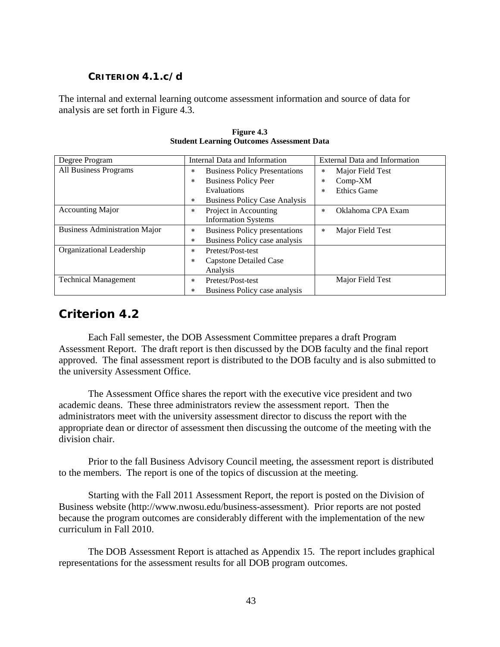## **CRITERION 4.1.c/d**

The internal and external learning outcome assessment information and source of data for analysis are set forth in Figure 4.3.

| Degree Program                       | Internal Data and Information                   | <b>External Data and Information</b> |
|--------------------------------------|-------------------------------------------------|--------------------------------------|
| All Business Programs                | <b>Business Policy Presentations</b><br>$\ast$  | Major Field Test<br>$\ast$           |
|                                      | <b>Business Policy Peer</b><br>$\ast$           | $Comp-XM$<br>$\star$                 |
|                                      | Evaluations                                     | <b>Ethics Game</b><br>$\star$        |
|                                      | <b>Business Policy Case Analysis</b><br>$\star$ |                                      |
| <b>Accounting Major</b>              | Project in Accounting<br>$\ast$                 | Oklahoma CPA Exam<br>$\star$         |
|                                      | <b>Information Systems</b>                      |                                      |
| <b>Business Administration Major</b> | <b>Business Policy presentations</b><br>$\ast$  | Major Field Test<br>$\ast$           |
|                                      | Business Policy case analysis<br>$\ast$         |                                      |
| Organizational Leadership            | Pretest/Post-test<br>$\ast$                     |                                      |
|                                      | Capstone Detailed Case<br>$\ast$                |                                      |
|                                      | Analysis                                        |                                      |
| <b>Technical Management</b>          | Pretest/Post-test<br>$\ast$                     | Major Field Test                     |
|                                      | Business Policy case analysis<br>$\ast$         |                                      |

**Figure 4.3 Student Learning Outcomes Assessment Data**

# *Criterion 4.2*

Each Fall semester, the DOB Assessment Committee prepares a draft Program Assessment Report. The draft report is then discussed by the DOB faculty and the final report approved. The final assessment report is distributed to the DOB faculty and is also submitted to the university Assessment Office.

The Assessment Office shares the report with the executive vice president and two academic deans. These three administrators review the assessment report. Then the administrators meet with the university assessment director to discuss the report with the appropriate dean or director of assessment then discussing the outcome of the meeting with the division chair.

Prior to the fall Business Advisory Council meeting, the assessment report is distributed to the members. The report is one of the topics of discussion at the meeting.

Starting with the Fall 2011 Assessment Report, the report is posted on the Division of Business website (http://www.nwosu.edu/business-assessment). Prior reports are not posted because the program outcomes are considerably different with the implementation of the new curriculum in Fall 2010.

The DOB Assessment Report is attached as Appendix 15. The report includes graphical representations for the assessment results for all DOB program outcomes.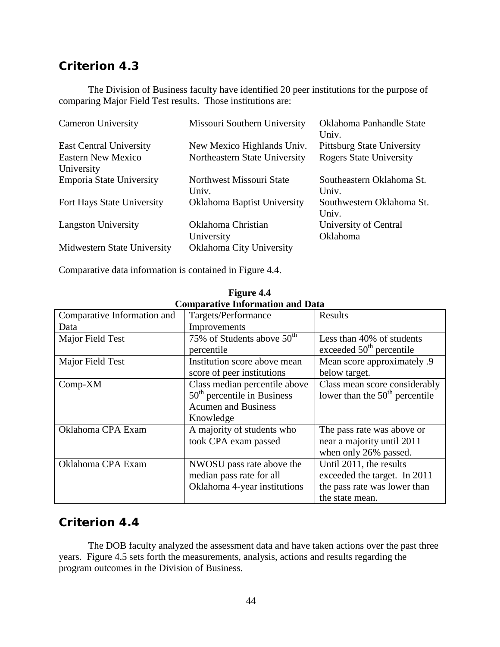# *Criterion 4.3*

The Division of Business faculty have identified 20 peer institutions for the purpose of comparing Major Field Test results. Those institutions are:

| <b>Cameron University</b>      | Missouri Southern University  | Oklahoma Panhandle State<br>Univ. |
|--------------------------------|-------------------------------|-----------------------------------|
| <b>East Central University</b> | New Mexico Highlands Univ.    | <b>Pittsburg State University</b> |
| <b>Eastern New Mexico</b>      | Northeastern State University | <b>Rogers State University</b>    |
| University                     |                               |                                   |
| Emporia State University       | Northwest Missouri State      | Southeastern Oklahoma St.         |
|                                | Univ.                         | Univ.                             |
| Fort Hays State University     | Oklahoma Baptist University   | Southwestern Oklahoma St.         |
|                                |                               | Univ.                             |
| <b>Langston University</b>     | Oklahoma Christian            | University of Central             |
|                                | University                    | Oklahoma                          |
| Midwestern State University    | Oklahoma City University      |                                   |

Comparative data information is contained in Figure 4.4.

| Comparative information and Data |                                        |                                  |  |  |  |  |  |
|----------------------------------|----------------------------------------|----------------------------------|--|--|--|--|--|
| Comparative Information and      | Targets/Performance                    | Results                          |  |  |  |  |  |
| Data                             | Improvements                           |                                  |  |  |  |  |  |
| Major Field Test                 | 75% of Students above 50 <sup>th</sup> | Less than 40% of students        |  |  |  |  |  |
|                                  | percentile                             | exceeded $50th$ percentile       |  |  |  |  |  |
| Major Field Test                 | Institution score above mean           | Mean score approximately .9      |  |  |  |  |  |
|                                  | score of peer institutions             | below target.                    |  |  |  |  |  |
| Comp-XM                          | Class median percentile above          | Class mean score considerably    |  |  |  |  |  |
|                                  | $50th$ percentile in Business          | lower than the $50th$ percentile |  |  |  |  |  |
|                                  | <b>Acumen and Business</b>             |                                  |  |  |  |  |  |
|                                  | Knowledge                              |                                  |  |  |  |  |  |
| Oklahoma CPA Exam                | A majority of students who             | The pass rate was above or       |  |  |  |  |  |
|                                  | took CPA exam passed                   | near a majority until 2011       |  |  |  |  |  |
|                                  |                                        | when only 26% passed.            |  |  |  |  |  |
| Oklahoma CPA Exam                | NWOSU pass rate above the              | Until 2011, the results          |  |  |  |  |  |
|                                  | median pass rate for all               | exceeded the target. In 2011     |  |  |  |  |  |
|                                  | Oklahoma 4-year institutions           | the pass rate was lower than     |  |  |  |  |  |
|                                  |                                        | the state mean.                  |  |  |  |  |  |

**Figure 4.4 Comparative Information and Data**

# *Criterion 4.4*

The DOB faculty analyzed the assessment data and have taken actions over the past three years. Figure 4.5 sets forth the measurements, analysis, actions and results regarding the program outcomes in the Division of Business.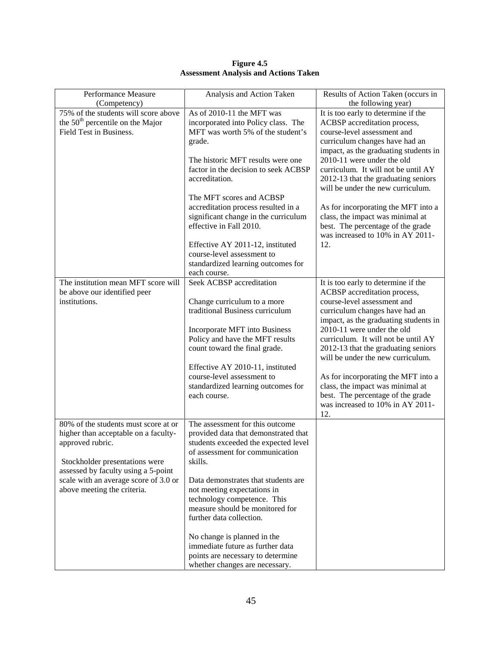| Performance Measure<br>(Competency)   | Analysis and Action Taken            | Results of Action Taken (occurs in<br>the following year)           |
|---------------------------------------|--------------------------------------|---------------------------------------------------------------------|
| 75% of the students will score above  | As of 2010-11 the MFT was            | It is too early to determine if the                                 |
| the $50th$ percentile on the Major    | incorporated into Policy class. The  | ACBSP accreditation process,                                        |
| Field Test in Business.               | MFT was worth 5% of the student's    | course-level assessment and                                         |
|                                       | grade.                               | curriculum changes have had an                                      |
|                                       |                                      |                                                                     |
|                                       |                                      | impact, as the graduating students in<br>2010-11 were under the old |
|                                       | The historic MFT results were one    |                                                                     |
|                                       | factor in the decision to seek ACBSP | curriculum. It will not be until AY                                 |
|                                       | accreditation.                       | 2012-13 that the graduating seniors                                 |
|                                       |                                      | will be under the new curriculum.                                   |
|                                       | The MFT scores and ACBSP             |                                                                     |
|                                       | accreditation process resulted in a  | As for incorporating the MFT into a                                 |
|                                       | significant change in the curriculum | class, the impact was minimal at                                    |
|                                       | effective in Fall 2010.              | best. The percentage of the grade                                   |
|                                       |                                      | was increased to 10% in AY 2011-                                    |
|                                       | Effective AY 2011-12, instituted     | 12.                                                                 |
|                                       | course-level assessment to           |                                                                     |
|                                       | standardized learning outcomes for   |                                                                     |
|                                       | each course.                         |                                                                     |
| The institution mean MFT score will   | Seek ACBSP accreditation             | It is too early to determine if the                                 |
| be above our identified peer          |                                      | ACBSP accreditation process,                                        |
| institutions.                         | Change curriculum to a more          | course-level assessment and                                         |
|                                       | traditional Business curriculum      | curriculum changes have had an                                      |
|                                       |                                      | impact, as the graduating students in                               |
|                                       | Incorporate MFT into Business        | 2010-11 were under the old                                          |
|                                       | Policy and have the MFT results      | curriculum. It will not be until AY                                 |
|                                       | count toward the final grade.        | 2012-13 that the graduating seniors                                 |
|                                       |                                      | will be under the new curriculum.                                   |
|                                       | Effective AY 2010-11, instituted     |                                                                     |
|                                       | course-level assessment to           | As for incorporating the MFT into a                                 |
|                                       | standardized learning outcomes for   | class, the impact was minimal at                                    |
|                                       | each course.                         | best. The percentage of the grade                                   |
|                                       |                                      | was increased to 10% in AY 2011-                                    |
|                                       |                                      | 12.                                                                 |
| 80% of the students must score at or  | The assessment for this outcome      |                                                                     |
| higher than acceptable on a faculty-  | provided data that demonstrated that |                                                                     |
| approved rubric.                      | students exceeded the expected level |                                                                     |
|                                       | of assessment for communication      |                                                                     |
| Stockholder presentations were        | skills.                              |                                                                     |
| assessed by faculty using a 5-point   |                                      |                                                                     |
| scale with an average score of 3.0 or | Data demonstrates that students are  |                                                                     |
| above meeting the criteria.           | not meeting expectations in          |                                                                     |
|                                       | technology competence. This          |                                                                     |
|                                       | measure should be monitored for      |                                                                     |
|                                       | further data collection.             |                                                                     |
|                                       |                                      |                                                                     |
|                                       | No change is planned in the          |                                                                     |
|                                       | immediate future as further data     |                                                                     |
|                                       | points are necessary to determine    |                                                                     |
|                                       | whether changes are necessary.       |                                                                     |

**Figure 4.5 Assessment Analysis and Actions Taken**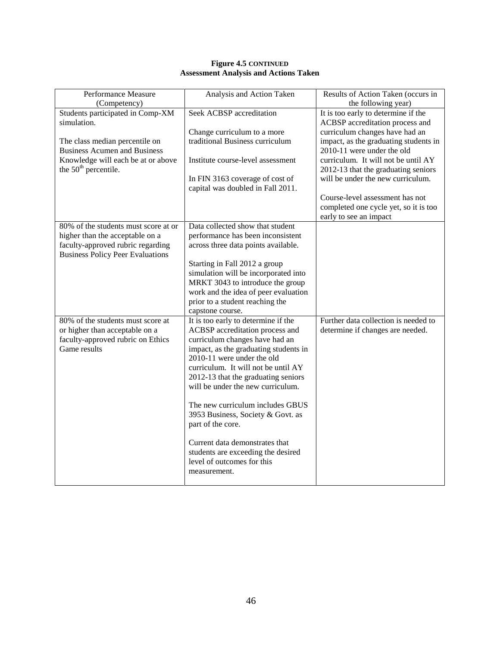| Performance Measure                     | Analysis and Action Taken                                             | Results of Action Taken (occurs in    |
|-----------------------------------------|-----------------------------------------------------------------------|---------------------------------------|
| (Competency)                            |                                                                       | the following year)                   |
| Students participated in Comp-XM        | Seek ACBSP accreditation                                              | It is too early to determine if the   |
| simulation.                             |                                                                       | ACBSP accreditation process and       |
|                                         | Change curriculum to a more                                           | curriculum changes have had an        |
| The class median percentile on          | traditional Business curriculum                                       | impact, as the graduating students in |
| <b>Business Acumen and Business</b>     |                                                                       | 2010-11 were under the old            |
| Knowledge will each be at or above      | Institute course-level assessment                                     | curriculum. It will not be until AY   |
| the $50th$ percentile.                  |                                                                       | 2012-13 that the graduating seniors   |
|                                         | In FIN 3163 coverage of cost of                                       | will be under the new curriculum.     |
|                                         | capital was doubled in Fall 2011.                                     |                                       |
|                                         |                                                                       | Course-level assessment has not       |
|                                         |                                                                       | completed one cycle yet, so it is too |
|                                         |                                                                       | early to see an impact                |
| 80% of the students must score at or    | Data collected show that student                                      |                                       |
| higher than the acceptable on a         | performance has been inconsistent                                     |                                       |
| faculty-approved rubric regarding       | across three data points available.                                   |                                       |
| <b>Business Policy Peer Evaluations</b> |                                                                       |                                       |
|                                         | Starting in Fall 2012 a group<br>simulation will be incorporated into |                                       |
|                                         | MRKT 3043 to introduce the group                                      |                                       |
|                                         | work and the idea of peer evaluation                                  |                                       |
|                                         | prior to a student reaching the                                       |                                       |
|                                         | capstone course.                                                      |                                       |
| 80% of the students must score at       | It is too early to determine if the                                   | Further data collection is needed to  |
| or higher than acceptable on a          | ACBSP accreditation process and                                       | determine if changes are needed.      |
| faculty-approved rubric on Ethics       | curriculum changes have had an                                        |                                       |
| Game results                            | impact, as the graduating students in                                 |                                       |
|                                         | 2010-11 were under the old                                            |                                       |
|                                         | curriculum. It will not be until AY                                   |                                       |
|                                         | 2012-13 that the graduating seniors                                   |                                       |
|                                         | will be under the new curriculum.                                     |                                       |
|                                         |                                                                       |                                       |
|                                         | The new curriculum includes GBUS                                      |                                       |
|                                         | 3953 Business, Society & Govt. as                                     |                                       |
|                                         | part of the core.                                                     |                                       |
|                                         | Current data demonstrates that                                        |                                       |
|                                         | students are exceeding the desired                                    |                                       |
|                                         | level of outcomes for this                                            |                                       |
|                                         | measurement.                                                          |                                       |
|                                         |                                                                       |                                       |

### **Figure 4.5 CONTINUED Assessment Analysis and Actions Taken**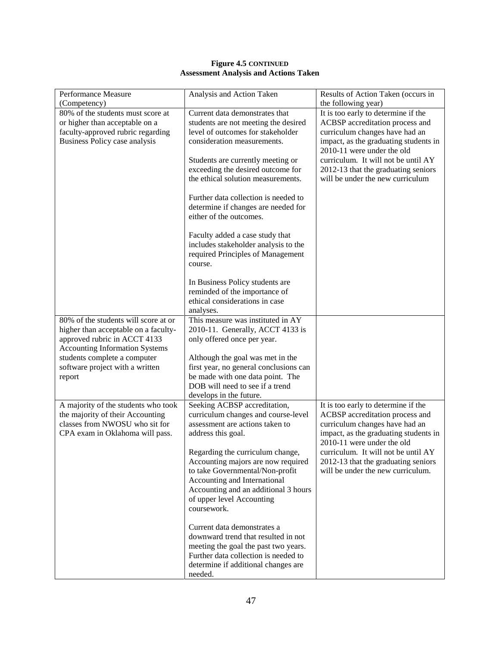### **Figure 4.5 CONTINUED Assessment Analysis and Actions Taken**

| Performance Measure<br>(Competency)                                                                                                                   | Analysis and Action Taken                                                                                                                                                                                                     | Results of Action Taken (occurs in<br>the following year)                                                                                                                       |
|-------------------------------------------------------------------------------------------------------------------------------------------------------|-------------------------------------------------------------------------------------------------------------------------------------------------------------------------------------------------------------------------------|---------------------------------------------------------------------------------------------------------------------------------------------------------------------------------|
| 80% of the students must score at<br>or higher than acceptable on a<br>faculty-approved rubric regarding<br>Business Policy case analysis             | Current data demonstrates that<br>students are not meeting the desired<br>level of outcomes for stakeholder<br>consideration measurements.                                                                                    | It is too early to determine if the<br>ACBSP accreditation process and<br>curriculum changes have had an<br>impact, as the graduating students in<br>2010-11 were under the old |
|                                                                                                                                                       | Students are currently meeting or<br>exceeding the desired outcome for<br>the ethical solution measurements.                                                                                                                  | curriculum. It will not be until AY<br>2012-13 that the graduating seniors<br>will be under the new curriculum                                                                  |
|                                                                                                                                                       | Further data collection is needed to<br>determine if changes are needed for<br>either of the outcomes.                                                                                                                        |                                                                                                                                                                                 |
|                                                                                                                                                       | Faculty added a case study that<br>includes stakeholder analysis to the<br>required Principles of Management<br>course.                                                                                                       |                                                                                                                                                                                 |
|                                                                                                                                                       | In Business Policy students are<br>reminded of the importance of<br>ethical considerations in case<br>analyses.                                                                                                               |                                                                                                                                                                                 |
| 80% of the students will score at or<br>higher than acceptable on a faculty-<br>approved rubric in ACCT 4133<br><b>Accounting Information Systems</b> | This measure was instituted in AY<br>2010-11. Generally, ACCT 4133 is<br>only offered once per year.                                                                                                                          |                                                                                                                                                                                 |
| students complete a computer<br>software project with a written<br>report                                                                             | Although the goal was met in the<br>first year, no general conclusions can<br>be made with one data point. The<br>DOB will need to see if a trend<br>develops in the future.                                                  |                                                                                                                                                                                 |
| A majority of the students who took<br>the majority of their Accounting<br>classes from NWOSU who sit for<br>CPA exam in Oklahoma will pass.          | Seeking ACBSP accreditation,<br>curriculum changes and course-level<br>assessment are actions taken to<br>address this goal.                                                                                                  | It is too early to determine if the<br>ACBSP accreditation process and<br>curriculum changes have had an<br>impact, as the graduating students in<br>2010-11 were under the old |
|                                                                                                                                                       | Regarding the curriculum change,<br>Accounting majors are now required<br>to take Governmental/Non-profit<br>Accounting and International<br>Accounting and an additional 3 hours<br>of upper level Accounting<br>coursework. | curriculum. It will not be until AY<br>2012-13 that the graduating seniors<br>will be under the new curriculum.                                                                 |
|                                                                                                                                                       | Current data demonstrates a<br>downward trend that resulted in not<br>meeting the goal the past two years.<br>Further data collection is needed to<br>determine if additional changes are<br>needed.                          |                                                                                                                                                                                 |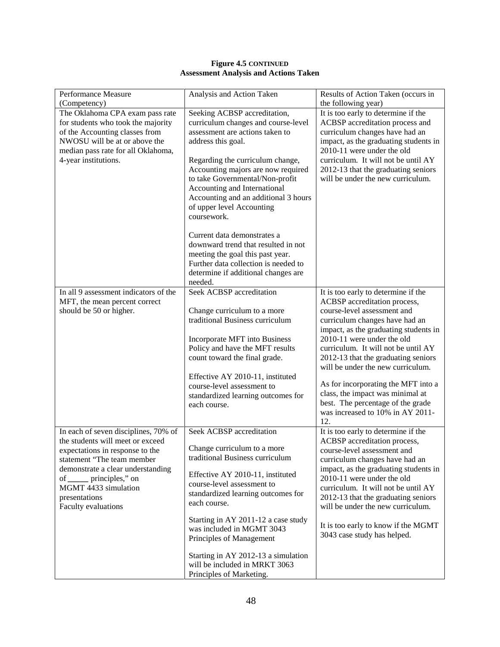| Performance Measure<br>(Competency)                                                                                                                                                                                                                                         | Analysis and Action Taken                                                                                                                                                                                                                                                                                                                                                                                              | Results of Action Taken (occurs in<br>the following year)                                                                                                                                                                                                                                                                                                                                                                                                                                 |
|-----------------------------------------------------------------------------------------------------------------------------------------------------------------------------------------------------------------------------------------------------------------------------|------------------------------------------------------------------------------------------------------------------------------------------------------------------------------------------------------------------------------------------------------------------------------------------------------------------------------------------------------------------------------------------------------------------------|-------------------------------------------------------------------------------------------------------------------------------------------------------------------------------------------------------------------------------------------------------------------------------------------------------------------------------------------------------------------------------------------------------------------------------------------------------------------------------------------|
| The Oklahoma CPA exam pass rate<br>for students who took the majority<br>of the Accounting classes from<br>NWOSU will be at or above the<br>median pass rate for all Oklahoma,<br>4-year institutions.                                                                      | Seeking ACBSP accreditation,<br>curriculum changes and course-level<br>assessment are actions taken to<br>address this goal.<br>Regarding the curriculum change,<br>Accounting majors are now required<br>to take Governmental/Non-profit<br>Accounting and International<br>Accounting and an additional 3 hours<br>of upper level Accounting<br>coursework.                                                          | It is too early to determine if the<br>ACBSP accreditation process and<br>curriculum changes have had an<br>impact, as the graduating students in<br>2010-11 were under the old<br>curriculum. It will not be until AY<br>2012-13 that the graduating seniors<br>will be under the new curriculum.                                                                                                                                                                                        |
|                                                                                                                                                                                                                                                                             | Current data demonstrates a<br>downward trend that resulted in not<br>meeting the goal this past year.<br>Further data collection is needed to<br>determine if additional changes are<br>needed.                                                                                                                                                                                                                       |                                                                                                                                                                                                                                                                                                                                                                                                                                                                                           |
| In all 9 assessment indicators of the<br>MFT, the mean percent correct<br>should be 50 or higher.                                                                                                                                                                           | Seek ACBSP accreditation<br>Change curriculum to a more<br>traditional Business curriculum<br>Incorporate MFT into Business<br>Policy and have the MFT results<br>count toward the final grade.<br>Effective AY 2010-11, instituted<br>course-level assessment to<br>standardized learning outcomes for<br>each course.                                                                                                | It is too early to determine if the<br>ACBSP accreditation process,<br>course-level assessment and<br>curriculum changes have had an<br>impact, as the graduating students in<br>2010-11 were under the old<br>curriculum. It will not be until AY<br>2012-13 that the graduating seniors<br>will be under the new curriculum.<br>As for incorporating the MFT into a<br>class, the impact was minimal at<br>best. The percentage of the grade<br>was increased to 10% in AY 2011-<br>12. |
| In each of seven disciplines, 70% of<br>the students will meet or exceed<br>expectations in response to the<br>statement "The team member<br>demonstrate a clear understanding<br>of ______ principles," on<br>MGMT 4433 simulation<br>presentations<br>Faculty evaluations | Seek ACBSP accreditation<br>Change curriculum to a more<br>traditional Business curriculum<br>Effective AY 2010-11, instituted<br>course-level assessment to<br>standardized learning outcomes for<br>each course.<br>Starting in AY 2011-12 a case study<br>was included in MGMT 3043<br>Principles of Management<br>Starting in AY 2012-13 a simulation<br>will be included in MRKT 3063<br>Principles of Marketing. | It is too early to determine if the<br>ACBSP accreditation process,<br>course-level assessment and<br>curriculum changes have had an<br>impact, as the graduating students in<br>2010-11 were under the old<br>curriculum. It will not be until AY<br>2012-13 that the graduating seniors<br>will be under the new curriculum.<br>It is too early to know if the MGMT<br>3043 case study has helped.                                                                                      |

### **Figure 4.5 CONTINUED Assessment Analysis and Actions Taken**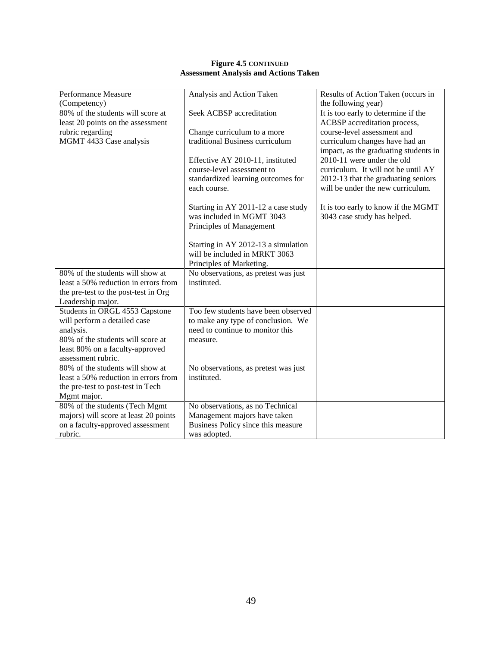| <b>Figure 4.5 CONTINUED</b>                  |
|----------------------------------------------|
| <b>Assessment Analysis and Actions Taken</b> |

| Performance Measure                   | Analysis and Action Taken            | Results of Action Taken (occurs in    |
|---------------------------------------|--------------------------------------|---------------------------------------|
| (Competency)                          |                                      | the following year)                   |
| 80% of the students will score at     | Seek ACBSP accreditation             | It is too early to determine if the   |
| least 20 points on the assessment     |                                      | ACBSP accreditation process,          |
| rubric regarding                      | Change curriculum to a more          | course-level assessment and           |
| MGMT 4433 Case analysis               | traditional Business curriculum      | curriculum changes have had an        |
|                                       |                                      | impact, as the graduating students in |
|                                       | Effective AY 2010-11, instituted     | 2010-11 were under the old            |
|                                       | course-level assessment to           | curriculum. It will not be until AY   |
|                                       | standardized learning outcomes for   | 2012-13 that the graduating seniors   |
|                                       | each course.                         | will be under the new curriculum.     |
|                                       |                                      |                                       |
|                                       | Starting in AY 2011-12 a case study  | It is too early to know if the MGMT   |
|                                       | was included in MGMT 3043            | 3043 case study has helped.           |
|                                       | Principles of Management             |                                       |
|                                       |                                      |                                       |
|                                       | Starting in AY 2012-13 a simulation  |                                       |
|                                       | will be included in MRKT 3063        |                                       |
|                                       | Principles of Marketing.             |                                       |
| 80% of the students will show at      | No observations, as pretest was just |                                       |
| least a 50% reduction in errors from  | instituted.                          |                                       |
| the pre-test to the post-test in Org  |                                      |                                       |
| Leadership major.                     |                                      |                                       |
| Students in ORGL 4553 Capstone        | Too few students have been observed  |                                       |
| will perform a detailed case          | to make any type of conclusion. We   |                                       |
| analysis.                             | need to continue to monitor this     |                                       |
| 80% of the students will score at     | measure.                             |                                       |
| least 80% on a faculty-approved       |                                      |                                       |
| assessment rubric.                    |                                      |                                       |
| 80% of the students will show at      | No observations, as pretest was just |                                       |
| least a 50% reduction in errors from  | instituted.                          |                                       |
| the pre-test to post-test in Tech     |                                      |                                       |
| Mgmt major.                           |                                      |                                       |
| 80% of the students (Tech Mgmt        | No observations, as no Technical     |                                       |
| majors) will score at least 20 points | Management majors have taken         |                                       |
| on a faculty-approved assessment      | Business Policy since this measure   |                                       |
| rubric.                               | was adopted.                         |                                       |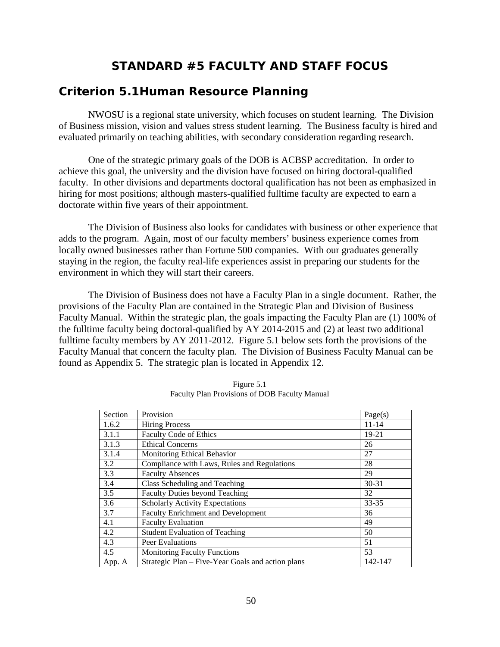# **STANDARD #5 FACULTY AND STAFF FOCUS**

## *Criterion 5.1Human Resource Planning*

NWOSU is a regional state university, which focuses on student learning. The Division of Business mission, vision and values stress student learning. The Business faculty is hired and evaluated primarily on teaching abilities, with secondary consideration regarding research.

One of the strategic primary goals of the DOB is ACBSP accreditation. In order to achieve this goal, the university and the division have focused on hiring doctoral-qualified faculty. In other divisions and departments doctoral qualification has not been as emphasized in hiring for most positions; although masters-qualified fulltime faculty are expected to earn a doctorate within five years of their appointment.

The Division of Business also looks for candidates with business or other experience that adds to the program. Again, most of our faculty members' business experience comes from locally owned businesses rather than Fortune 500 companies. With our graduates generally staying in the region, the faculty real-life experiences assist in preparing our students for the environment in which they will start their careers.

The Division of Business does not have a Faculty Plan in a single document. Rather, the provisions of the Faculty Plan are contained in the Strategic Plan and Division of Business Faculty Manual. Within the strategic plan, the goals impacting the Faculty Plan are (1) 100% of the fulltime faculty being doctoral-qualified by AY 2014-2015 and (2) at least two additional fulltime faculty members by AY 2011-2012. Figure 5.1 below sets forth the provisions of the Faculty Manual that concern the faculty plan. The Division of Business Faculty Manual can be found as Appendix 5. The strategic plan is located in Appendix 12.

| Section | Provision                                         | Page(s)   |
|---------|---------------------------------------------------|-----------|
| 1.6.2   | <b>Hiring Process</b>                             | $11 - 14$ |
| 3.1.1   | Faculty Code of Ethics                            | 19-21     |
| 3.1.3   | <b>Ethical Concerns</b>                           | 26        |
| 3.1.4   | Monitoring Ethical Behavior                       | 27        |
| 3.2     | Compliance with Laws, Rules and Regulations       | 28        |
| 3.3     | <b>Faculty Absences</b>                           | 29        |
| 3.4     | Class Scheduling and Teaching                     | $30 - 31$ |
| 3.5     | <b>Faculty Duties beyond Teaching</b>             | 32        |
| 3.6     | <b>Scholarly Activity Expectations</b>            | 33-35     |
| 3.7     | <b>Faculty Enrichment and Development</b>         | 36        |
| 4.1     | <b>Faculty Evaluation</b>                         | 49        |
| 4.2     | <b>Student Evaluation of Teaching</b>             | 50        |
| 4.3     | Peer Evaluations                                  | 51        |
| 4.5     | <b>Monitoring Faculty Functions</b>               | 53        |
| App. A  | Strategic Plan - Five-Year Goals and action plans | 142-147   |

Figure 5.1 Faculty Plan Provisions of DOB Faculty Manual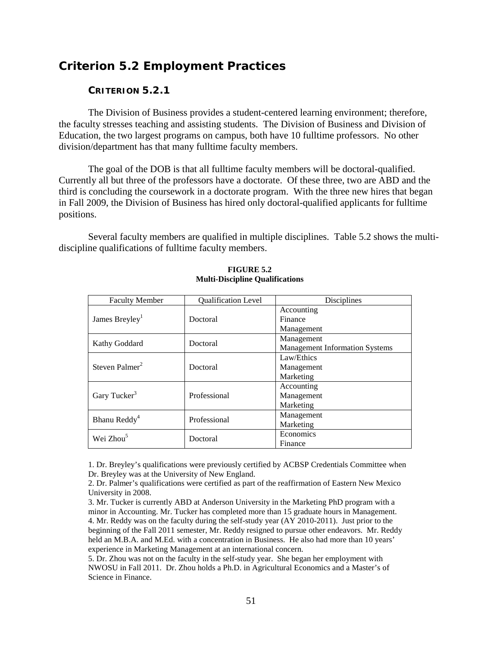# *Criterion 5.2 Employment Practices*

## **CRITERION 5.2.1**

The Division of Business provides a student-centered learning environment; therefore, the faculty stresses teaching and assisting students. The Division of Business and Division of Education, the two largest programs on campus, both have 10 fulltime professors. No other division/department has that many fulltime faculty members.

The goal of the DOB is that all fulltime faculty members will be doctoral-qualified. Currently all but three of the professors have a doctorate. Of these three, two are ABD and the third is concluding the coursework in a doctorate program. With the three new hires that began in Fall 2009, the Division of Business has hired only doctoral-qualified applicants for fulltime positions.

Several faculty members are qualified in multiple disciplines. Table 5.2 shows the multidiscipline qualifications of fulltime faculty members.

| <b>Faculty Member</b>      | Qualification Level | Disciplines                           |
|----------------------------|---------------------|---------------------------------------|
|                            |                     | Accounting                            |
| James Breyley <sup>1</sup> | Doctoral            | Finance                               |
|                            |                     | Management                            |
| Kathy Goddard              | Doctoral            | Management                            |
|                            |                     | <b>Management Information Systems</b> |
|                            |                     | Law/Ethics                            |
| Steven Palmer <sup>2</sup> | Doctoral            | Management                            |
|                            |                     | Marketing                             |
|                            |                     | Accounting                            |
| Gary Tucker <sup>3</sup>   | Professional        | Management                            |
|                            |                     | Marketing                             |
| Bhanu Reddy <sup>4</sup>   | Professional        | Management                            |
|                            |                     | Marketing                             |
| Wei Zhou <sup>5</sup>      | Doctoral            | Economics                             |
|                            |                     | Finance                               |

#### **FIGURE 5.2 Multi-Discipline Qualifications**

1. Dr. Breyley's qualifications were previously certified by ACBSP Credentials Committee when Dr. Breyley was at the University of New England.

2. Dr. Palmer's qualifications were certified as part of the reaffirmation of Eastern New Mexico University in 2008.

3. Mr. Tucker is currently ABD at Anderson University in the Marketing PhD program with a minor in Accounting. Mr. Tucker has completed more than 15 graduate hours in Management. 4. Mr. Reddy was on the faculty during the self-study year (AY 2010-2011). Just prior to the beginning of the Fall 2011 semester, Mr. Reddy resigned to pursue other endeavors. Mr. Reddy held an M.B.A. and M.Ed. with a concentration in Business. He also had more than 10 years' experience in Marketing Management at an international concern.

5. Dr. Zhou was not on the faculty in the self-study year. She began her employment with NWOSU in Fall 2011. Dr. Zhou holds a Ph.D. in Agricultural Economics and a Master's of Science in Finance.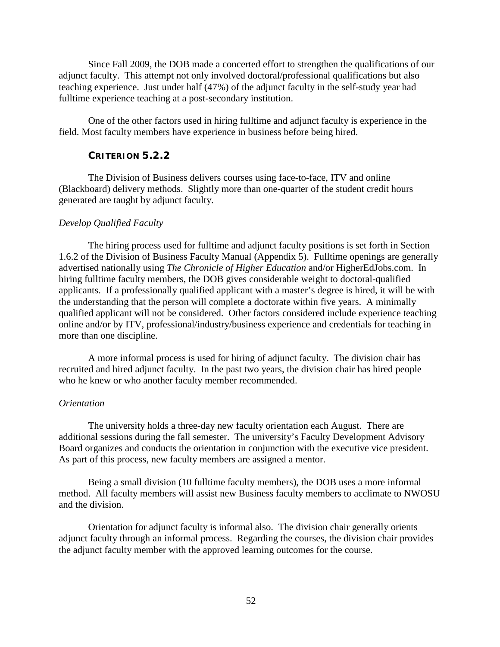Since Fall 2009, the DOB made a concerted effort to strengthen the qualifications of our adjunct faculty. This attempt not only involved doctoral/professional qualifications but also teaching experience. Just under half (47%) of the adjunct faculty in the self-study year had fulltime experience teaching at a post-secondary institution.

One of the other factors used in hiring fulltime and adjunct faculty is experience in the field. Most faculty members have experience in business before being hired.

### **CRITERION 5.2.2**

The Division of Business delivers courses using face-to-face, ITV and online (Blackboard) delivery methods. Slightly more than one-quarter of the student credit hours generated are taught by adjunct faculty.

### *Develop Qualified Faculty*

The hiring process used for fulltime and adjunct faculty positions is set forth in Section 1.6.2 of the Division of Business Faculty Manual (Appendix 5). Fulltime openings are generally advertised nationally using *The Chronicle of Higher Education* and/or HigherEdJobs.com. In hiring fulltime faculty members, the DOB gives considerable weight to doctoral-qualified applicants. If a professionally qualified applicant with a master's degree is hired, it will be with the understanding that the person will complete a doctorate within five years. A minimally qualified applicant will not be considered. Other factors considered include experience teaching online and/or by ITV, professional/industry/business experience and credentials for teaching in more than one discipline.

A more informal process is used for hiring of adjunct faculty. The division chair has recruited and hired adjunct faculty. In the past two years, the division chair has hired people who he knew or who another faculty member recommended.

#### *Orientation*

The university holds a three-day new faculty orientation each August. There are additional sessions during the fall semester. The university's Faculty Development Advisory Board organizes and conducts the orientation in conjunction with the executive vice president. As part of this process, new faculty members are assigned a mentor.

Being a small division (10 fulltime faculty members), the DOB uses a more informal method. All faculty members will assist new Business faculty members to acclimate to NWOSU and the division.

Orientation for adjunct faculty is informal also. The division chair generally orients adjunct faculty through an informal process. Regarding the courses, the division chair provides the adjunct faculty member with the approved learning outcomes for the course.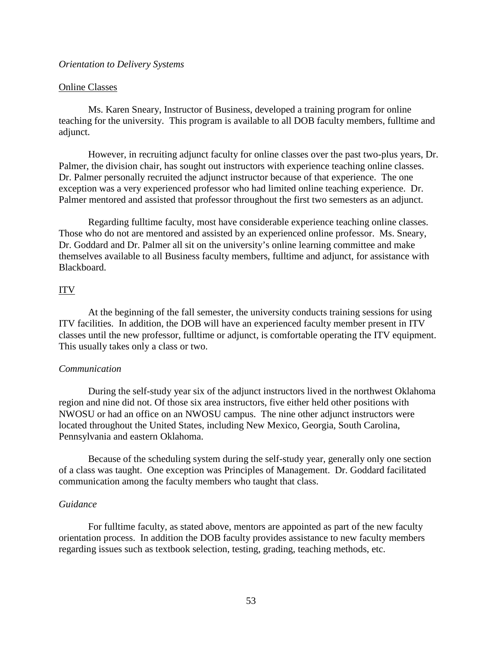#### *Orientation to Delivery Systems*

#### Online Classes

Ms. Karen Sneary, Instructor of Business, developed a training program for online teaching for the university. This program is available to all DOB faculty members, fulltime and adjunct.

However, in recruiting adjunct faculty for online classes over the past two-plus years, Dr. Palmer, the division chair, has sought out instructors with experience teaching online classes. Dr. Palmer personally recruited the adjunct instructor because of that experience. The one exception was a very experienced professor who had limited online teaching experience. Dr. Palmer mentored and assisted that professor throughout the first two semesters as an adjunct.

Regarding fulltime faculty, most have considerable experience teaching online classes. Those who do not are mentored and assisted by an experienced online professor. Ms. Sneary, Dr. Goddard and Dr. Palmer all sit on the university's online learning committee and make themselves available to all Business faculty members, fulltime and adjunct, for assistance with Blackboard.

### ITV

At the beginning of the fall semester, the university conducts training sessions for using ITV facilities. In addition, the DOB will have an experienced faculty member present in ITV classes until the new professor, fulltime or adjunct, is comfortable operating the ITV equipment. This usually takes only a class or two.

### *Communication*

During the self-study year six of the adjunct instructors lived in the northwest Oklahoma region and nine did not. Of those six area instructors, five either held other positions with NWOSU or had an office on an NWOSU campus. The nine other adjunct instructors were located throughout the United States, including New Mexico, Georgia, South Carolina, Pennsylvania and eastern Oklahoma.

Because of the scheduling system during the self-study year, generally only one section of a class was taught. One exception was Principles of Management. Dr. Goddard facilitated communication among the faculty members who taught that class.

### *Guidance*

For fulltime faculty, as stated above, mentors are appointed as part of the new faculty orientation process. In addition the DOB faculty provides assistance to new faculty members regarding issues such as textbook selection, testing, grading, teaching methods, etc.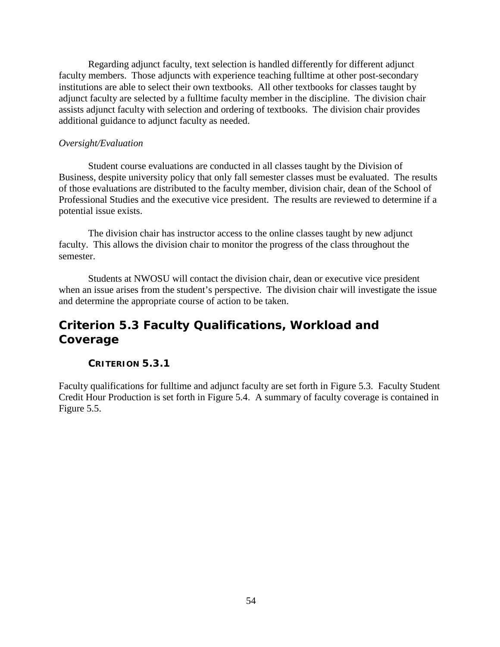Regarding adjunct faculty, text selection is handled differently for different adjunct faculty members. Those adjuncts with experience teaching fulltime at other post-secondary institutions are able to select their own textbooks. All other textbooks for classes taught by adjunct faculty are selected by a fulltime faculty member in the discipline. The division chair assists adjunct faculty with selection and ordering of textbooks. The division chair provides additional guidance to adjunct faculty as needed.

### *Oversight/Evaluation*

Student course evaluations are conducted in all classes taught by the Division of Business, despite university policy that only fall semester classes must be evaluated. The results of those evaluations are distributed to the faculty member, division chair, dean of the School of Professional Studies and the executive vice president. The results are reviewed to determine if a potential issue exists.

The division chair has instructor access to the online classes taught by new adjunct faculty. This allows the division chair to monitor the progress of the class throughout the semester.

Students at NWOSU will contact the division chair, dean or executive vice president when an issue arises from the student's perspective. The division chair will investigate the issue and determine the appropriate course of action to be taken.

# *Criterion 5.3 Faculty Qualifications, Workload and Coverage*

## **CRITERION 5.3.1**

Faculty qualifications for fulltime and adjunct faculty are set forth in Figure 5.3. Faculty Student Credit Hour Production is set forth in Figure 5.4. A summary of faculty coverage is contained in Figure 5.5.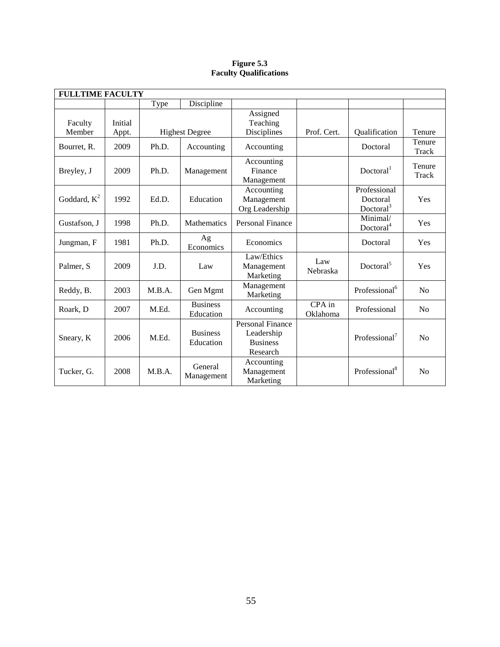### **Figure 5.3 Faculty Qualifications**

| <b>FULLTIME FACULTY</b> |                  |        |                              |                                                                      |                    |                                                   |                 |
|-------------------------|------------------|--------|------------------------------|----------------------------------------------------------------------|--------------------|---------------------------------------------------|-----------------|
|                         |                  | Type   | Discipline                   |                                                                      |                    |                                                   |                 |
| Faculty<br>Member       | Initial<br>Appt. |        | <b>Highest Degree</b>        | Assigned<br>Teaching<br>Disciplines                                  | Prof. Cert.        | Qualification                                     | Tenure          |
| Bourret, R.             | 2009             | Ph.D.  | Accounting                   | Accounting                                                           |                    | Doctoral                                          | Tenure<br>Track |
| Breyley, J              | 2009             | Ph.D.  | Management                   | Accounting<br>Finance<br>Management                                  |                    | Doctoral <sup>1</sup>                             | Tenure<br>Track |
| Goddard, $K^2$          | 1992             | Ed.D.  | Education                    | Accounting<br>Management<br>Org Leadership                           |                    | Professional<br>Doctoral<br>Doctoral <sup>3</sup> | Yes             |
| Gustafson, J            | 1998             | Ph.D.  | Mathematics                  | Personal Finance                                                     |                    | Minimal/<br>Doctoral <sup>4</sup>                 | Yes             |
| Jungman, F              | 1981             | Ph.D.  | Ag<br>Economics              | Economics                                                            |                    | Doctoral                                          | Yes             |
| Palmer, S               | 2009             | J.D.   | Law                          | Law/Ethics<br>Management<br>Marketing                                | Law<br>Nebraska    | Doctoral <sup>5</sup>                             | Yes             |
| Reddy, B.               | 2003             | M.B.A. | Gen Mgmt                     | Management<br>Marketing                                              |                    | Professional <sup>6</sup>                         | N <sub>o</sub>  |
| Roark, D                | 2007             | M.Ed.  | <b>Business</b><br>Education | Accounting                                                           | CPA in<br>Oklahoma | Professional                                      | N <sub>0</sub>  |
| Sneary, K               | 2006             | M.Ed.  | <b>Business</b><br>Education | <b>Personal Finance</b><br>Leadership<br><b>Business</b><br>Research |                    | Professional <sup>7</sup>                         | No              |
| Tucker, G.              | 2008             | M.B.A. | General<br>Management        | Accounting<br>Management<br>Marketing                                |                    | Professional <sup>8</sup>                         | No              |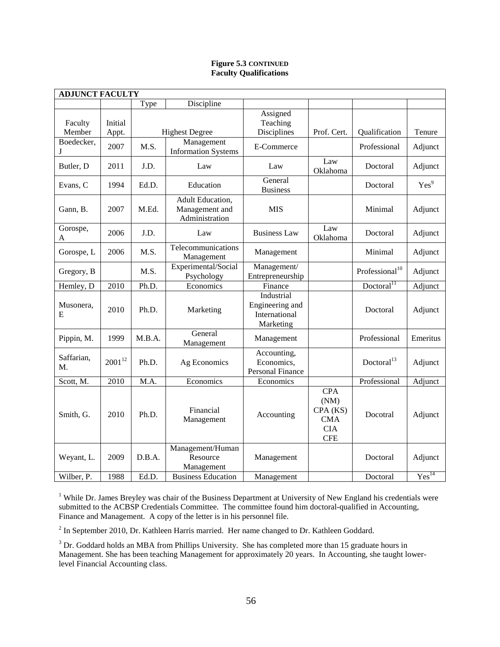### **Figure 5.3 CONTINUED Faculty Qualifications**

| <b>ADJUNCT FACULTY</b> |                  |        |                                                      |                                                             |                                                                          |                            |                   |
|------------------------|------------------|--------|------------------------------------------------------|-------------------------------------------------------------|--------------------------------------------------------------------------|----------------------------|-------------------|
|                        |                  | Type   | Discipline                                           |                                                             |                                                                          |                            |                   |
| Faculty<br>Member      | Initial<br>Appt. |        | <b>Highest Degree</b>                                | Assigned<br>Teaching<br>Disciplines                         | Prof. Cert.                                                              | Qualification              | Tenure            |
| Boedecker,<br>J        | 2007             | M.S.   | Management<br><b>Information Systems</b>             | E-Commerce                                                  |                                                                          | Professional               | Adjunct           |
| Butler, D              | 2011             | J.D.   | Law                                                  | Law                                                         | Law<br>Oklahoma                                                          |                            | Adjunct           |
| Evans, C               | 1994             | Ed.D.  | Education                                            | General<br><b>Business</b>                                  |                                                                          | Doctoral                   | Yes <sup>9</sup>  |
| Gann, B.               | 2007             | M.Ed.  | Adult Education,<br>Management and<br>Administration | <b>MIS</b>                                                  |                                                                          | Minimal                    | Adjunct           |
| Gorospe,<br>A          | 2006             | J.D.   | Law                                                  | <b>Business Law</b>                                         | Law<br>Oklahoma                                                          | Doctoral                   | Adjunct           |
| Gorospe, L             | 2006             | M.S.   | Telecommunications<br>Management                     | Management                                                  |                                                                          | Minimal                    | Adjunct           |
| Gregory, B             |                  | M.S.   | Experimental/Social<br>Psychology                    | Management/<br>Entrepreneurship                             |                                                                          | Professional <sup>10</sup> | Adjunct           |
| Hemley, D              | 2010             | Ph.D.  | Economics                                            | Finance                                                     |                                                                          | Doctoral <sup>11</sup>     | Adjunct           |
| Musonera,<br>E         | 2010             | Ph.D.  | Marketing                                            | Industrial<br>Engineering and<br>International<br>Marketing |                                                                          | Doctoral                   | Adjunct           |
| Pippin, M.             | 1999             | M.B.A. | General<br>Management                                | Management                                                  |                                                                          | Professional               | Emeritus          |
| Saffarian,<br>M.       | $2001^{12}$      | Ph.D.  | Ag Economics                                         | Accounting,<br>Economics,<br>Personal Finance               |                                                                          | Doctoral $13$              | Adjunct           |
| Scott, M.              | 2010             | M.A.   | Economics                                            | Economics                                                   |                                                                          | Professional               | Adjunct           |
| Smith, G.              | 2010             | Ph.D.  | Financial<br>Management                              | Accounting                                                  | <b>CPA</b><br>(NM)<br>CPA (KS)<br><b>CMA</b><br><b>CIA</b><br><b>CFE</b> | Docotral                   | Adjunct           |
| Weyant, L.             | 2009             | D.B.A. | Management/Human<br>Resource<br>Management           | Management                                                  |                                                                          | Doctoral                   | Adjunct           |
| Wilber, P.             | 1988             | Ed.D.  | <b>Business Education</b>                            | Management                                                  |                                                                          | Doctoral                   | Yes <sup>14</sup> |

<sup>1</sup> While Dr. James Breyley was chair of the Business Department at University of New England his credentials were submitted to the ACBSP Credentials Committee. The committee found him doctoral-qualified in Accounting, Finance and Management. A copy of the letter is in his personnel file.

<sup>2</sup> In September 2010, Dr. Kathleen Harris married. Her name changed to Dr. Kathleen Goddard.

<sup>3</sup> Dr. Goddard holds an MBA from Phillips University. She has completed more than 15 graduate hours in Management. She has been teaching Management for approximately 20 years. In Accounting, she taught lowerlevel Financial Accounting class.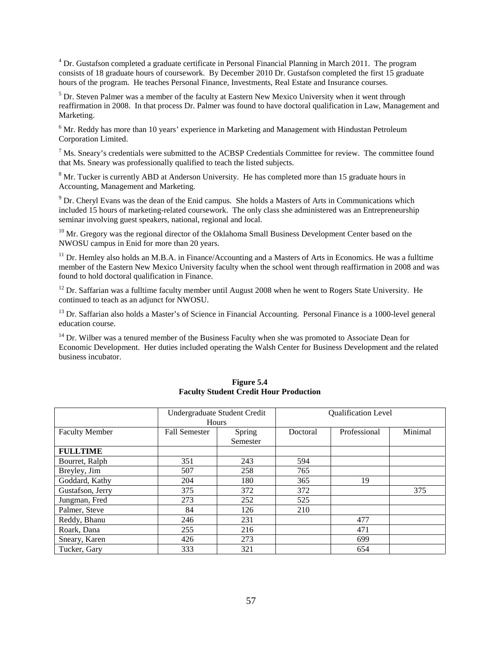<sup>4</sup> Dr. Gustafson completed a graduate certificate in Personal Financial Planning in March 2011. The program consists of 18 graduate hours of coursework. By December 2010 Dr. Gustafson completed the first 15 graduate hours of the program. He teaches Personal Finance, Investments, Real Estate and Insurance courses.

 $<sup>5</sup>$  Dr. Steven Palmer was a member of the faculty at Eastern New Mexico University when it went through</sup> reaffirmation in 2008. In that process Dr. Palmer was found to have doctoral qualification in Law, Management and Marketing.

 $6$  Mr. Reddy has more than 10 years' experience in Marketing and Management with Hindustan Petroleum Corporation Limited.

 $<sup>7</sup>$  Ms. Sneary's credentials were submitted to the ACBSP Credentials Committee for review. The committee found</sup> that Ms. Sneary was professionally qualified to teach the listed subjects.

 $8$  Mr. Tucker is currently ABD at Anderson University. He has completed more than 15 graduate hours in Accounting, Management and Marketing.

<sup>9</sup> Dr. Cheryl Evans was the dean of the Enid campus. She holds a Masters of Arts in Communications which included 15 hours of marketing-related coursework. The only class she administered was an Entrepreneurship seminar involving guest speakers, national, regional and local.

<sup>10</sup> Mr. Gregory was the regional director of the Oklahoma Small Business Development Center based on the NWOSU campus in Enid for more than 20 years.

 $11$  Dr. Hemley also holds an M.B.A. in Finance/Accounting and a Masters of Arts in Economics. He was a fulltime member of the Eastern New Mexico University faculty when the school went through reaffirmation in 2008 and was found to hold doctoral qualification in Finance.

 $12$  Dr. Saffarian was a fulltime faculty member until August 2008 when he went to Rogers State University. He continued to teach as an adjunct for NWOSU.

<sup>13</sup> Dr. Saffarian also holds a Master's of Science in Financial Accounting. Personal Finance is a 1000-level general education course.

<sup>14</sup> Dr. Wilber was a tenured member of the Business Faculty when she was promoted to Associate Dean for Economic Development. Her duties included operating the Walsh Center for Business Development and the related business incubator.

|                       | Undergraduate Student Credit<br>Hours |                    | <b>Qualification Level</b> |              |         |
|-----------------------|---------------------------------------|--------------------|----------------------------|--------------|---------|
| <b>Faculty Member</b> | <b>Fall Semester</b>                  | Spring<br>Semester | Doctoral                   | Professional | Minimal |
| <b>FULLTIME</b>       |                                       |                    |                            |              |         |
| Bourret, Ralph        | 351                                   | 243                | 594                        |              |         |
| Breyley, Jim          | 507                                   | 258                | 765                        |              |         |
| Goddard, Kathy        | 204                                   | 180                | 365                        | 19           |         |
| Gustafson, Jerry      | 375                                   | 372                | 372                        |              | 375     |
| Jungman, Fred         | 273                                   | 252                | 525                        |              |         |
| Palmer, Steve         | 84                                    | 126                | 210                        |              |         |
| Reddy, Bhanu          | 246                                   | 231                |                            | 477          |         |
| Roark, Dana           | 255                                   | 216                |                            | 471          |         |
| Sneary, Karen         | 426                                   | 273                |                            | 699          |         |
| Tucker, Gary          | 333                                   | 321                |                            | 654          |         |

#### **Figure 5.4 Faculty Student Credit Hour Production**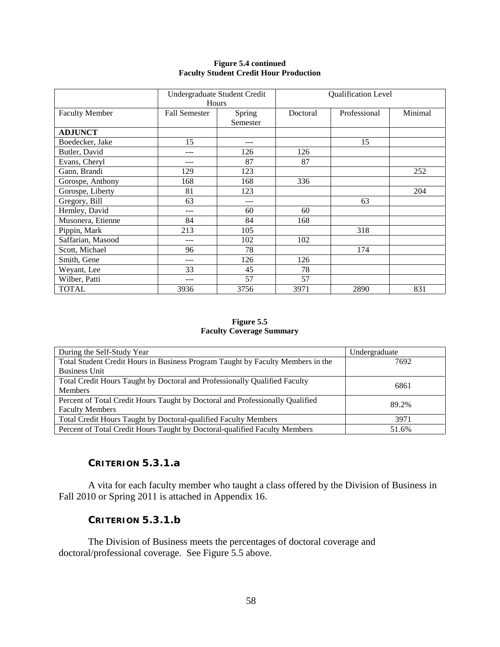#### **Figure 5.4 continued Faculty Student Credit Hour Production**

|                       | Undergraduate Student Credit<br>Hours |                    |          | Qualification Level |         |  |  |
|-----------------------|---------------------------------------|--------------------|----------|---------------------|---------|--|--|
| <b>Faculty Member</b> | <b>Fall Semester</b>                  | Spring<br>Semester | Doctoral | Professional        | Minimal |  |  |
| <b>ADJUNCT</b>        |                                       |                    |          |                     |         |  |  |
| Boedecker, Jake       | 15                                    | ---                |          | 15                  |         |  |  |
| Butler, David         | ---                                   | 126                | 126      |                     |         |  |  |
| Evans, Cheryl         |                                       | 87                 | 87       |                     |         |  |  |
| Gann, Brandi          | 129                                   | 123                |          |                     | 252     |  |  |
| Gorospe, Anthony      | 168                                   | 168                | 336      |                     |         |  |  |
| Gorospe, Liberty      | 81                                    | 123                |          |                     | 204     |  |  |
| Gregory, Bill         | 63                                    | $---$              |          | 63                  |         |  |  |
| Hemley, David         | ---                                   | 60                 | 60       |                     |         |  |  |
| Musonera, Etienne     | 84                                    | 84                 | 168      |                     |         |  |  |
| Pippin, Mark          | 213                                   | 105                |          | 318                 |         |  |  |
| Saffarian, Masood     | ---                                   | 102                | 102      |                     |         |  |  |
| Scott, Michael        | 96                                    | 78                 |          | 174                 |         |  |  |
| Smith, Gene           | ---                                   | 126                | 126      |                     |         |  |  |
| Weyant, Lee           | 33                                    | 45                 | 78       |                     |         |  |  |
| Wilber, Patti         |                                       | 57                 | 57       |                     |         |  |  |
| <b>TOTAL</b>          | 3936                                  | 3756               | 3971     | 2890                | 831     |  |  |

### **Figure 5.5 Faculty Coverage Summary**

| During the Self-Study Year                                                      | Undergraduate |  |  |  |  |
|---------------------------------------------------------------------------------|---------------|--|--|--|--|
| Total Student Credit Hours in Business Program Taught by Faculty Members in the | 7692          |  |  |  |  |
| <b>Business Unit</b>                                                            |               |  |  |  |  |
| Total Credit Hours Taught by Doctoral and Professionally Qualified Faculty      | 6861          |  |  |  |  |
| <b>Members</b>                                                                  |               |  |  |  |  |
| Percent of Total Credit Hours Taught by Doctoral and Professionally Qualified   | 89.2%         |  |  |  |  |
| <b>Faculty Members</b>                                                          |               |  |  |  |  |
| Total Credit Hours Taught by Doctoral-qualified Faculty Members                 | 3971          |  |  |  |  |
| Percent of Total Credit Hours Taught by Doctoral-qualified Faculty Members      | 51.6%         |  |  |  |  |

## **CRITERION 5.3.1.a**

A vita for each faculty member who taught a class offered by the Division of Business in Fall 2010 or Spring 2011 is attached in Appendix 16.

## **CRITERION 5.3.1.b**

The Division of Business meets the percentages of doctoral coverage and doctoral/professional coverage. See Figure 5.5 above.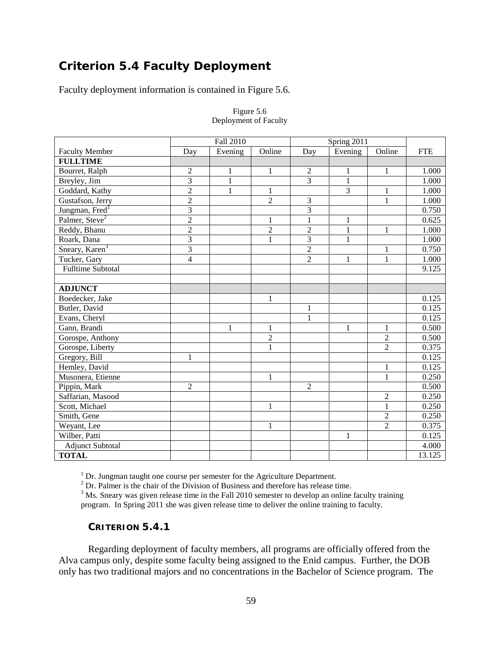# *Criterion 5.4 Faculty Deployment*

Faculty deployment information is contained in Figure 5.6.

|                            |                | Fall 2010      |                | Spring 2011    |                |                |            |
|----------------------------|----------------|----------------|----------------|----------------|----------------|----------------|------------|
| <b>Faculty Member</b>      | Day            | Evening        | Online         | Day            | Evening        | Online         | <b>FTE</b> |
| <b>FULLTIME</b>            |                |                |                |                |                |                |            |
| Bourret, Ralph             | $\overline{2}$ | 1              | 1              | $\overline{2}$ | 1              | $\mathbf{1}$   | 1.000      |
| Breyley, Jim               | $\overline{3}$ | $\overline{1}$ |                | $\overline{3}$ | $\overline{1}$ |                | 1.000      |
| Goddard, Kathy             | $\overline{2}$ | 1              | 1              |                | $\overline{3}$ | 1              | 1.000      |
| Gustafson, Jerry           | $\overline{c}$ |                | $\overline{2}$ | 3              |                | $\mathbf{1}$   | 1.000      |
| Jungman, Fred <sup>1</sup> | 3              |                |                | 3              |                |                | 0.750      |
| Palmer, Steve <sup>2</sup> | $\overline{2}$ |                | 1              | $\mathbf{1}$   | $\mathbf{1}$   |                | 0.625      |
| Reddy, Bhanu               | $\overline{2}$ |                | $\overline{2}$ | $\overline{c}$ | $\mathbf{1}$   | $\mathbf{1}$   | 1.000      |
| Roark, Dana                | $\overline{3}$ |                | 1              | $\overline{3}$ | $\mathbf{1}$   |                | 1.000      |
| Sneary, Karen <sup>3</sup> | $\overline{3}$ |                |                | $\overline{c}$ |                | $\mathbf{1}$   | 0.750      |
| Tucker, Gary               | $\overline{4}$ |                |                | $\overline{2}$ | $\mathbf{1}$   | $\mathbf{1}$   | 1.000      |
| <b>Fulltime Subtotal</b>   |                |                |                |                |                |                | 9.125      |
|                            |                |                |                |                |                |                |            |
| <b>ADJUNCT</b>             |                |                |                |                |                |                |            |
| Boedecker, Jake            |                |                | 1              |                |                |                | 0.125      |
| Butler, David              |                |                |                | $\mathbf{1}$   |                |                | 0.125      |
| Evans, Cheryl              |                |                |                | $\mathbf{1}$   |                |                | 0.125      |
| Gann, Brandi               |                | 1              | 1              |                | $\mathbf{1}$   | $\mathbf{1}$   | 0.500      |
| Gorospe, Anthony           |                |                | $\overline{2}$ |                |                | $\overline{2}$ | 0.500      |
| Gorospe, Liberty           |                |                | $\mathbf{1}$   |                |                | $\overline{2}$ | 0.375      |
| Gregory, Bill              | 1              |                |                |                |                |                | 0.125      |
| Hemley, David              |                |                |                |                |                | $\mathbf{1}$   | 0.125      |
| Musonera, Etienne          |                |                | 1              |                |                | $\mathbf{1}$   | 0.250      |
| Pippin, Mark               | $\overline{2}$ |                |                | $\overline{2}$ |                |                | 0.500      |
| Saffarian, Masood          |                |                |                |                |                | $\overline{c}$ | 0.250      |
| Scott, Michael             |                |                | 1              |                |                | $\mathbf{1}$   | 0.250      |
| Smith, Gene                |                |                |                |                |                | $\overline{2}$ | 0.250      |
| Weyant, Lee                |                |                | $\mathbf{1}$   |                |                | $\overline{2}$ | 0.375      |
| Wilber, Patti              |                |                |                |                | 1              |                | 0.125      |
| <b>Adjunct Subtotal</b>    |                |                |                |                |                |                | 4.000      |
| <b>TOTAL</b>               |                |                |                |                |                |                | 13.125     |

#### Figure 5.6 Deployment of Faculty

 $1$  Dr. Jungman taught one course per semester for the Agriculture Department.

 $2^2$  Dr. Palmer is the chair of the Division of Business and therefore has release time.

<sup>3</sup> Ms. Sneary was given release time in the Fall 2010 semester to develop an online faculty training program. In Spring 2011 she was given release time to deliver the online training to faculty.

## **CRITERION 5.4.1**

Regarding deployment of faculty members, all programs are officially offered from the Alva campus only, despite some faculty being assigned to the Enid campus. Further, the DOB only has two traditional majors and no concentrations in the Bachelor of Science program. The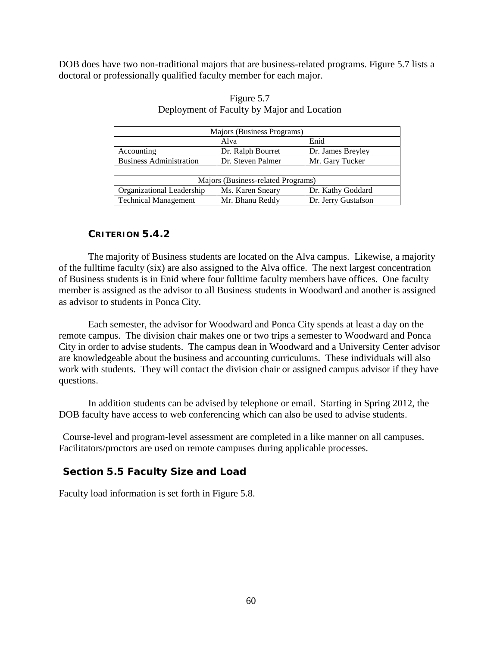DOB does have two non-traditional majors that are business-related programs. Figure 5.7 lists a doctoral or professionally qualified faculty member for each major.

| Majors (Business Programs)     |                                    |                     |  |  |  |  |  |  |  |
|--------------------------------|------------------------------------|---------------------|--|--|--|--|--|--|--|
|                                | Alva                               | Enid                |  |  |  |  |  |  |  |
| Accounting                     | Dr. Ralph Bourret                  | Dr. James Breyley   |  |  |  |  |  |  |  |
| <b>Business Administration</b> | Dr. Steven Palmer                  | Mr. Gary Tucker     |  |  |  |  |  |  |  |
|                                |                                    |                     |  |  |  |  |  |  |  |
|                                | Majors (Business-related Programs) |                     |  |  |  |  |  |  |  |
| Organizational Leadership      | Ms. Karen Sneary                   | Dr. Kathy Goddard   |  |  |  |  |  |  |  |
| <b>Technical Management</b>    | Mr. Bhanu Reddy                    | Dr. Jerry Gustafson |  |  |  |  |  |  |  |

## Figure 5.7 Deployment of Faculty by Major and Location

## **CRITERION 5.4.2**

The majority of Business students are located on the Alva campus. Likewise, a majority of the fulltime faculty (six) are also assigned to the Alva office. The next largest concentration of Business students is in Enid where four fulltime faculty members have offices. One faculty member is assigned as the advisor to all Business students in Woodward and another is assigned as advisor to students in Ponca City.

Each semester, the advisor for Woodward and Ponca City spends at least a day on the remote campus. The division chair makes one or two trips a semester to Woodward and Ponca City in order to advise students. The campus dean in Woodward and a University Center advisor are knowledgeable about the business and accounting curriculums. These individuals will also work with students. They will contact the division chair or assigned campus advisor if they have questions.

In addition students can be advised by telephone or email. Starting in Spring 2012, the DOB faculty have access to web conferencing which can also be used to advise students.

Course-level and program-level assessment are completed in a like manner on all campuses. Facilitators/proctors are used on remote campuses during applicable processes.

## **Section 5.5 Faculty Size and Load**

Faculty load information is set forth in Figure 5.8.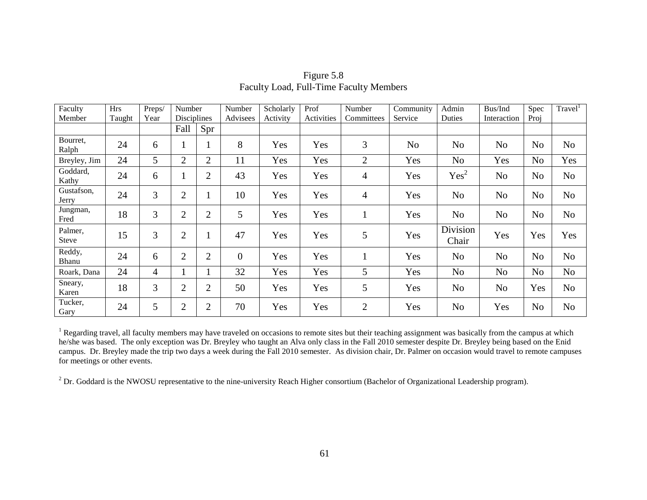| Faculty                 | <b>Hrs</b> | Preps/         | Number         |                | Number           | Scholarly | Prof       | Number         | Community      | Admin             | Bus/Ind        | Spec           | Travel <sup>1</sup> |
|-------------------------|------------|----------------|----------------|----------------|------------------|-----------|------------|----------------|----------------|-------------------|----------------|----------------|---------------------|
| Member                  | Taught     | Year           | Disciplines    |                | Advisees         | Activity  | Activities | Committees     | Service        | Duties            | Interaction    | Proj           |                     |
|                         |            |                | Fall           | Spr            |                  |           |            |                |                |                   |                |                |                     |
| Bourret,<br>Ralph       | 24         | 6              |                |                | 8                | Yes       | Yes        | 3              | N <sub>o</sub> | N <sub>o</sub>    | N <sub>o</sub> | N <sub>o</sub> | N <sub>o</sub>      |
| Breyley, Jim            | 24         | 5              | $\overline{2}$ | 2              | 11               | Yes       | Yes        | $\overline{2}$ | Yes            | N <sub>o</sub>    | Yes            | N <sub>0</sub> | Yes                 |
| Goddard,<br>Kathy       | 24         | 6              | -1             | $\overline{2}$ | 43               | Yes       | Yes        | 4              | Yes            | Yes <sup>2</sup>  | N <sub>o</sub> | N <sub>0</sub> | N <sub>o</sub>      |
| Gustafson,<br>Jerry     | 24         | $\overline{3}$ | $\overline{2}$ |                | 10               | Yes       | Yes        | $\overline{4}$ | Yes            | N <sub>o</sub>    | N <sub>o</sub> | N <sub>o</sub> | N <sub>o</sub>      |
| Jungman,<br>Fred        | 18         | 3              | $\overline{2}$ | $\overline{2}$ | 5                | Yes       | Yes        |                | Yes            | N <sub>o</sub>    | N <sub>o</sub> | N <sub>o</sub> | N <sub>o</sub>      |
| Palmer,<br><b>Steve</b> | 15         | 3              | $\overline{2}$ |                | 47               | Yes       | Yes        | 5              | Yes            | Division<br>Chair | Yes            | Yes            | Yes                 |
| Reddy,<br>Bhanu         | 24         | 6              | $\overline{2}$ | $\overline{2}$ | $\boldsymbol{0}$ | Yes       | Yes        | $\mathbf{1}$   | Yes            | N <sub>o</sub>    | N <sub>o</sub> | N <sub>o</sub> | N <sub>o</sub>      |
| Roark, Dana             | 24         | 4              |                |                | 32               | Yes       | Yes        | 5              | Yes            | N <sub>o</sub>    | N <sub>o</sub> | N <sub>o</sub> | N <sub>o</sub>      |
| Sneary,<br>Karen        | 18         | 3              | $\overline{2}$ | $\overline{2}$ | 50               | Yes       | Yes        | 5              | Yes            | N <sub>o</sub>    | N <sub>o</sub> | Yes            | N <sub>o</sub>      |
| Tucker,<br>Gary         | 24         | 5              | $\overline{2}$ | $\overline{2}$ | 70               | Yes       | Yes        | $\overline{2}$ | Yes            | No                | Yes            | N <sub>0</sub> | N <sub>o</sub>      |

Figure 5.8 Faculty Load, Full-Time Faculty Members

<sup>1</sup> Regarding travel, all faculty members may have traveled on occasions to remote sites but their teaching assignment was basically from the campus at which he/she was based. The only exception was Dr. Breyley who taught an Alva only class in the Fall 2010 semester despite Dr. Breyley being based on the Enid campus. Dr. Breyley made the trip two days a week during the Fall 2010 semester. As division chair, Dr. Palmer on occasion would travel to remote campuses for meetings or other events.

 $2$  Dr. Goddard is the NWOSU representative to the nine-university Reach Higher consortium (Bachelor of Organizational Leadership program).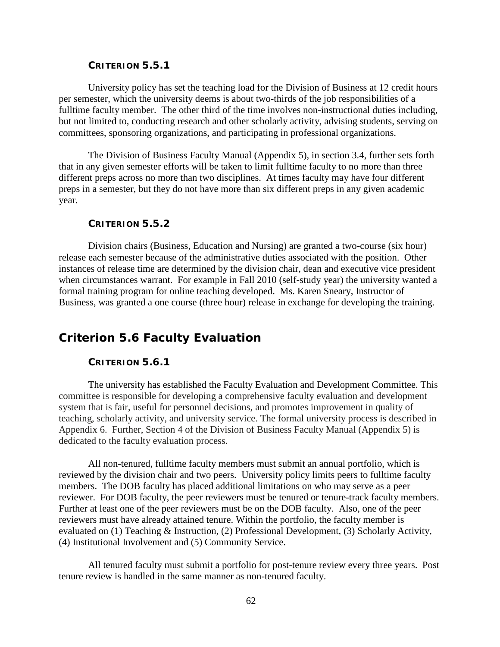### **CRITERION 5.5.1**

University policy has set the teaching load for the Division of Business at 12 credit hours per semester, which the university deems is about two-thirds of the job responsibilities of a fulltime faculty member. The other third of the time involves non-instructional duties including, but not limited to, conducting research and other scholarly activity, advising students, serving on committees, sponsoring organizations, and participating in professional organizations.

The Division of Business Faculty Manual (Appendix 5), in section 3.4, further sets forth that in any given semester efforts will be taken to limit fulltime faculty to no more than three different preps across no more than two disciplines. At times faculty may have four different preps in a semester, but they do not have more than six different preps in any given academic year.

#### **CRITERION 5.5.2**

Division chairs (Business, Education and Nursing) are granted a two-course (six hour) release each semester because of the administrative duties associated with the position. Other instances of release time are determined by the division chair, dean and executive vice president when circumstances warrant. For example in Fall 2010 (self-study year) the university wanted a formal training program for online teaching developed. Ms. Karen Sneary, Instructor of Business, was granted a one course (three hour) release in exchange for developing the training.

# *Criterion 5.6 Faculty Evaluation*

### **CRITERION 5.6.1**

The university has established the Faculty Evaluation and Development Committee. This committee is responsible for developing a comprehensive faculty evaluation and development system that is fair, useful for personnel decisions, and promotes improvement in quality of teaching, scholarly activity, and university service. The formal university process is described in Appendix 6. Further, Section 4 of the Division of Business Faculty Manual (Appendix 5) is dedicated to the faculty evaluation process.

All non-tenured, fulltime faculty members must submit an annual portfolio, which is reviewed by the division chair and two peers. University policy limits peers to fulltime faculty members. The DOB faculty has placed additional limitations on who may serve as a peer reviewer. For DOB faculty, the peer reviewers must be tenured or tenure-track faculty members. Further at least one of the peer reviewers must be on the DOB faculty. Also, one of the peer reviewers must have already attained tenure. Within the portfolio, the faculty member is evaluated on (1) Teaching & Instruction, (2) Professional Development, (3) Scholarly Activity, (4) Institutional Involvement and (5) Community Service.

All tenured faculty must submit a portfolio for post-tenure review every three years. Post tenure review is handled in the same manner as non-tenured faculty.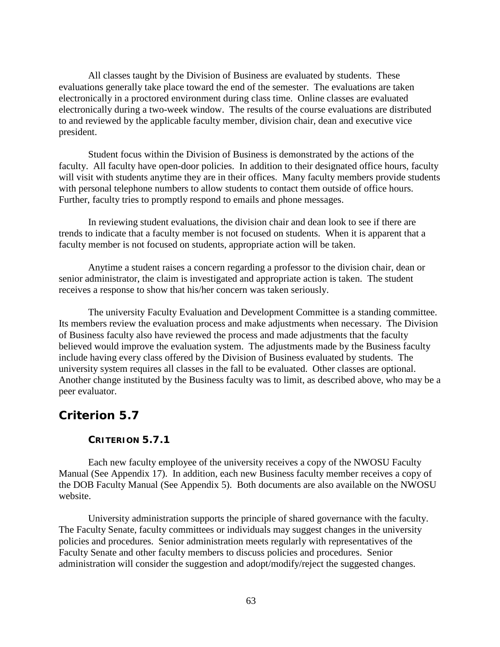All classes taught by the Division of Business are evaluated by students. These evaluations generally take place toward the end of the semester. The evaluations are taken electronically in a proctored environment during class time. Online classes are evaluated electronically during a two-week window. The results of the course evaluations are distributed to and reviewed by the applicable faculty member, division chair, dean and executive vice president.

Student focus within the Division of Business is demonstrated by the actions of the faculty. All faculty have open-door policies. In addition to their designated office hours, faculty will visit with students anytime they are in their offices. Many faculty members provide students with personal telephone numbers to allow students to contact them outside of office hours. Further, faculty tries to promptly respond to emails and phone messages.

In reviewing student evaluations, the division chair and dean look to see if there are trends to indicate that a faculty member is not focused on students. When it is apparent that a faculty member is not focused on students, appropriate action will be taken.

Anytime a student raises a concern regarding a professor to the division chair, dean or senior administrator, the claim is investigated and appropriate action is taken. The student receives a response to show that his/her concern was taken seriously.

The university Faculty Evaluation and Development Committee is a standing committee. Its members review the evaluation process and make adjustments when necessary. The Division of Business faculty also have reviewed the process and made adjustments that the faculty believed would improve the evaluation system. The adjustments made by the Business faculty include having every class offered by the Division of Business evaluated by students. The university system requires all classes in the fall to be evaluated. Other classes are optional. Another change instituted by the Business faculty was to limit, as described above, who may be a peer evaluator.

## *Criterion 5.7*

### **CRITERION 5.7.1**

Each new faculty employee of the university receives a copy of the NWOSU Faculty Manual (See Appendix 17). In addition, each new Business faculty member receives a copy of the DOB Faculty Manual (See Appendix 5). Both documents are also available on the NWOSU website.

University administration supports the principle of shared governance with the faculty. The Faculty Senate, faculty committees or individuals may suggest changes in the university policies and procedures. Senior administration meets regularly with representatives of the Faculty Senate and other faculty members to discuss policies and procedures. Senior administration will consider the suggestion and adopt/modify/reject the suggested changes.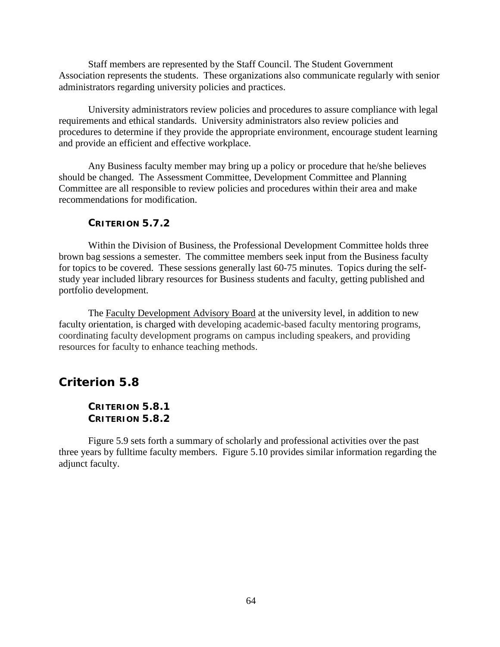Staff members are represented by the Staff Council. The Student Government Association represents the students. These organizations also communicate regularly with senior administrators regarding university policies and practices.

University administrators review policies and procedures to assure compliance with legal requirements and ethical standards. University administrators also review policies and procedures to determine if they provide the appropriate environment, encourage student learning and provide an efficient and effective workplace.

Any Business faculty member may bring up a policy or procedure that he/she believes should be changed. The Assessment Committee, Development Committee and Planning Committee are all responsible to review policies and procedures within their area and make recommendations for modification.

### **CRITERION 5.7.2**

Within the Division of Business, the Professional Development Committee holds three brown bag sessions a semester. The committee members seek input from the Business faculty for topics to be covered. These sessions generally last 60-75 minutes. Topics during the selfstudy year included library resources for Business students and faculty, getting published and portfolio development.

The [Faculty Development Advisory Board](http://www.nwosu.edu/faculty-development-advisory-board) at the university level, in addition to new faculty orientation, is charged with developing academic-based faculty mentoring programs, coordinating faculty development programs on campus including speakers, and providing resources for faculty to enhance teaching methods.

## *Criterion 5.8*

## **CRITERION 5.8.1 CRITERION 5.8.2**

Figure 5.9 sets forth a summary of scholarly and professional activities over the past three years by fulltime faculty members. Figure 5.10 provides similar information regarding the adjunct faculty.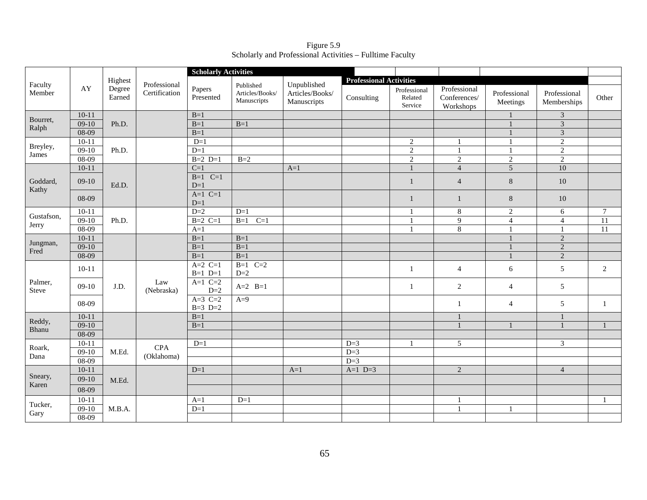Figure 5.9 Scholarly and Professional Activities – Fulltime Faculty

|                                                                                                                                                                    |           |                  |                               | <b>Scholarly Activities</b> |                                             |                                               |                                |                                    |                                           |                          |                             |                 |
|--------------------------------------------------------------------------------------------------------------------------------------------------------------------|-----------|------------------|-------------------------------|-----------------------------|---------------------------------------------|-----------------------------------------------|--------------------------------|------------------------------------|-------------------------------------------|--------------------------|-----------------------------|-----------------|
|                                                                                                                                                                    |           | Highest          |                               |                             |                                             |                                               | <b>Professional Activities</b> |                                    |                                           |                          |                             |                 |
| Faculty<br>Member<br>Bourret,<br>Ralph<br>Breyley,<br>James<br>Goddard,<br>Kathy<br>Gustafson,<br>Jerry<br>Jungman,<br>Fred<br>Palmer,<br>Steve<br>Reddy,<br>Bhanu | AY        | Degree<br>Earned | Professional<br>Certification | Papers<br>Presented         | Published<br>Articles/Books/<br>Manuscripts | Unpublished<br>Articles/Books/<br>Manuscripts | Consulting                     | Professional<br>Related<br>Service | Professional<br>Conferences/<br>Workshops | Professional<br>Meetings | Professional<br>Memberships | Other           |
|                                                                                                                                                                    | $10 - 11$ |                  |                               | $B=1$                       |                                             |                                               |                                |                                    |                                           |                          | $\ensuremath{\mathfrak{Z}}$ |                 |
|                                                                                                                                                                    | $09-10$   | Ph.D.            |                               | $B=1$                       | $B=1$                                       |                                               |                                |                                    |                                           |                          | $\mathfrak{Z}$              |                 |
|                                                                                                                                                                    | 08-09     |                  |                               | $B=1$                       |                                             |                                               |                                |                                    |                                           |                          | $\mathfrak 3$               |                 |
|                                                                                                                                                                    | $10-11$   |                  |                               | $D=1$                       |                                             |                                               |                                | $\overline{2}$                     | -1                                        |                          | $\overline{c}$              |                 |
|                                                                                                                                                                    | $09-10$   | Ph.D.            |                               | $D=1$                       |                                             |                                               |                                | $\overline{2}$                     | $\mathbf{1}$                              |                          | 2                           |                 |
|                                                                                                                                                                    | $08-09$   |                  |                               | $B=2$ $D=1$                 | $B=2$                                       |                                               |                                | $\overline{2}$                     | $\overline{2}$                            | $\overline{2}$           | $\overline{2}$              |                 |
|                                                                                                                                                                    | $10-11$   |                  |                               | $C=1$                       |                                             | $A=1$                                         |                                | $\mathbf{1}$                       | $\overline{4}$                            | $\overline{5}$           | 10                          |                 |
|                                                                                                                                                                    | $09-10$   | Ed.D.            |                               | $B=1$ $C=1$<br>$D=1$        |                                             |                                               |                                | $\mathbf{1}$                       | $\overline{4}$                            | 8                        | $10\,$                      |                 |
|                                                                                                                                                                    | 08-09     |                  |                               | $A=1$ $C=1$<br>$D=1$        |                                             |                                               |                                | $\mathbf{1}$                       | $\mathbf{1}$                              | $\,8\,$                  | 10                          |                 |
|                                                                                                                                                                    | $10-11$   |                  |                               | $D=2$                       | $D=1$                                       |                                               |                                | $\mathbf{1}$                       | 8                                         | $\overline{2}$           | 6                           | $\overline{7}$  |
|                                                                                                                                                                    | $09-10$   | Ph.D.            |                               | $B=2$ C=1                   | $C=1$<br>$B=1$                              |                                               |                                |                                    | $\overline{9}$                            | $\overline{4}$           | $\overline{4}$              | 11              |
|                                                                                                                                                                    | $08-09$   |                  |                               | $A=1$                       |                                             |                                               |                                | $\overline{1}$                     | $\overline{8}$                            |                          | $\mathbf{1}$                | $\overline{11}$ |
|                                                                                                                                                                    | $10-11$   |                  |                               | $B=1$                       | $B=1$                                       |                                               |                                |                                    |                                           |                          | $\sqrt{2}$                  |                 |
|                                                                                                                                                                    | $09-10$   |                  |                               | $B=1$                       | $B=1$                                       |                                               |                                |                                    |                                           |                          | $\overline{2}$              |                 |
|                                                                                                                                                                    | $08-09$   |                  |                               | $B=1$                       | $B=1$                                       |                                               |                                |                                    |                                           |                          | $\sqrt{2}$                  |                 |
|                                                                                                                                                                    | $10-11$   |                  |                               | $A=2$ C=1<br>$B=1$ $D=1$    | $B=1$ $C=2$<br>$D=2$                        |                                               |                                | 1                                  | $\overline{4}$                            | 6                        | 5                           | 2               |
|                                                                                                                                                                    | $09-10$   | J.D.             | Law<br>(Nebraska)             | $A=1$ $C=2$<br>$D=2$        | $A=2$ $B=1$                                 |                                               |                                | 1                                  | $\sqrt{2}$                                | $\overline{4}$           | $\sqrt{5}$                  |                 |
|                                                                                                                                                                    | 08-09     |                  |                               | $A=3$ C=2<br>$B=3$ $D=2$    | $A=9$                                       |                                               |                                |                                    | $\mathbf{1}$                              | $\overline{4}$           | $\sqrt{5}$                  | 1               |
|                                                                                                                                                                    | $10 - 11$ |                  |                               | $B=1$                       |                                             |                                               |                                |                                    | $\mathbf{1}$                              |                          | $\mathbf{1}$                |                 |
|                                                                                                                                                                    | $09-10$   |                  |                               | $B=1$                       |                                             |                                               |                                |                                    |                                           |                          |                             |                 |
|                                                                                                                                                                    | 08-09     |                  |                               |                             |                                             |                                               |                                |                                    |                                           |                          |                             |                 |
| Roark,                                                                                                                                                             | $10-11$   |                  | <b>CPA</b>                    | $D=1$                       |                                             |                                               | $D=3$                          | -1                                 | $\mathfrak{S}$                            |                          | $\mathfrak{Z}$              |                 |
| Dana                                                                                                                                                               | $09-10$   | M.Ed.            | (Oklahoma)                    |                             |                                             |                                               | $D=3$                          |                                    |                                           |                          |                             |                 |
|                                                                                                                                                                    | $08-09$   |                  |                               |                             |                                             |                                               | $D=3$                          |                                    |                                           |                          |                             |                 |
|                                                                                                                                                                    | $10-11$   |                  |                               | $D=1$                       |                                             | $A=1$                                         | $A=1$ $D=3$                    |                                    | 2                                         |                          | $\overline{4}$              |                 |
| Sneary,<br>Karen                                                                                                                                                   | $09-10$   | M.Ed.            |                               |                             |                                             |                                               |                                |                                    |                                           |                          |                             |                 |
|                                                                                                                                                                    | 08-09     |                  |                               |                             |                                             |                                               |                                |                                    |                                           |                          |                             |                 |
|                                                                                                                                                                    | $10 - 11$ |                  |                               | $A=1$                       | $D=1$                                       |                                               |                                |                                    | $\mathbf{1}$                              |                          |                             |                 |
| Tucker,                                                                                                                                                            | $09-10$   | M.B.A.           |                               | $D=1$                       |                                             |                                               |                                |                                    | $\mathbf{1}$                              |                          |                             |                 |
| Gary                                                                                                                                                               | $08-09$   |                  |                               |                             |                                             |                                               |                                |                                    |                                           |                          |                             |                 |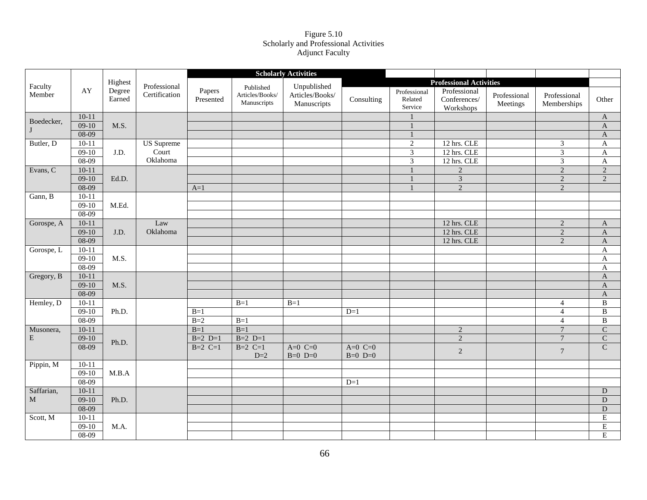#### Figure 5.10 Scholarly and Professional Activities Adjunct Faculty

|                   |           |                  |                               |                     |                                             | <b>Scholarly Activities</b>                   |               |                                    |                                           |                          |                             |                       |
|-------------------|-----------|------------------|-------------------------------|---------------------|---------------------------------------------|-----------------------------------------------|---------------|------------------------------------|-------------------------------------------|--------------------------|-----------------------------|-----------------------|
|                   |           | Highest          |                               |                     |                                             |                                               |               |                                    | <b>Professional Activities</b>            |                          |                             |                       |
| Faculty<br>Member | AY        | Degree<br>Earned | Professional<br>Certification | Papers<br>Presented | Published<br>Articles/Books/<br>Manuscripts | Unpublished<br>Articles/Books/<br>Manuscripts | Consulting    | Professional<br>Related<br>Service | Professional<br>Conferences/<br>Workshops | Professional<br>Meetings | Professional<br>Memberships | Other                 |
| Boedecker,        | $10-11$   |                  |                               |                     |                                             |                                               |               |                                    |                                           |                          |                             | $\mathbf{A}$          |
| $\bf{J}$          | $09-10$   | M.S.             |                               |                     |                                             |                                               |               |                                    |                                           |                          |                             | $\mathbf{A}$          |
|                   | $08-09$   |                  |                               |                     |                                             |                                               |               | $\mathbf{1}$                       |                                           |                          |                             | $\boldsymbol{\rm{A}}$ |
| Butler, D         | $10-11$   |                  | <b>US</b> Supreme             |                     |                                             |                                               |               | $\sqrt{2}$                         | 12 hrs. CLE                               |                          | $\mathfrak{Z}$              | $\mathbf{A}$          |
|                   | $09-10$   | J.D.             | Court                         |                     |                                             |                                               |               | $\ensuremath{\mathfrak{Z}}$        | 12 hrs. CLE                               |                          | $\overline{\mathbf{3}}$     | $\mathbf A$           |
|                   | $08-09$   |                  | Oklahoma                      |                     |                                             |                                               |               | $\overline{3}$                     | 12 hrs. CLE                               |                          | $\overline{3}$              | $\mathbf A$           |
| Evans, C          | $10 - 11$ |                  |                               |                     |                                             |                                               |               |                                    | $\sqrt{2}$                                |                          | $\sqrt{2}$                  | $\overline{2}$        |
|                   | $09-10$   | Ed.D.            |                               |                     |                                             |                                               |               |                                    | $\overline{3}$                            |                          | $\overline{2}$              | $\overline{2}$        |
|                   | $08-09$   |                  |                               | $A=1$               |                                             |                                               |               | $\mathbf{1}$                       | 2                                         |                          | $\sqrt{2}$                  |                       |
| Gann, B           | $10-11$   |                  |                               |                     |                                             |                                               |               |                                    |                                           |                          |                             |                       |
|                   | $09-10$   | M.Ed.            |                               |                     |                                             |                                               |               |                                    |                                           |                          |                             |                       |
|                   | 08-09     |                  |                               |                     |                                             |                                               |               |                                    |                                           |                          |                             |                       |
| Gorospe, A        | $10-11$   |                  | Law                           |                     |                                             |                                               |               |                                    | 12 hrs. CLE                               |                          | 2                           | $\mathbf A$           |
|                   | $09-10$   | J.D.             | Oklahoma                      |                     |                                             |                                               |               |                                    | 12 hrs. CLE                               |                          | $\overline{2}$              | $\mathbf A$           |
|                   | 08-09     |                  |                               |                     |                                             |                                               |               |                                    | 12 hrs. CLE                               |                          | 2                           | $\mathbf A$           |
| Gorospe, L        | $10-11$   |                  |                               |                     |                                             |                                               |               |                                    |                                           |                          |                             | $\mathbf A$           |
|                   | $09-10$   | M.S.             |                               |                     |                                             |                                               |               |                                    |                                           |                          |                             | $\mathbf{A}$          |
|                   | $08-09$   |                  |                               |                     |                                             |                                               |               |                                    |                                           |                          |                             | A                     |
| Gregory, B        | $10 - 11$ |                  |                               |                     |                                             |                                               |               |                                    |                                           |                          |                             | $\boldsymbol{\rm{A}}$ |
|                   | $09-10$   | M.S.             |                               |                     |                                             |                                               |               |                                    |                                           |                          |                             | $\boldsymbol{A}$      |
|                   | 08-09     |                  |                               |                     |                                             |                                               |               |                                    |                                           |                          |                             | $\mathbf{A}$          |
| Hemley, D         | $10-11$   |                  |                               |                     | $B=1$                                       | $B=1$                                         |               |                                    |                                           |                          | $\overline{4}$              | $\, {\bf B}$          |
|                   | $09-10$   | Ph.D.            |                               | $B=1$               |                                             |                                               | $D=1$         |                                    |                                           |                          | $\overline{4}$              | $\overline{B}$        |
|                   | $08-09$   |                  |                               | $B=2$               | $B=1$                                       |                                               |               |                                    |                                           |                          | $\overline{4}$              | $\overline{B}$        |
| Musonera,         | $10-11$   |                  |                               | $B=1$               | $B=1$                                       |                                               |               |                                    | $\overline{2}$                            |                          | $\overline{7}$              | $\overline{C}$        |
| E                 | $09-10$   | Ph.D.            |                               | $B=2$ $D=1$         | $B=2$ $D=1$                                 |                                               |               |                                    | $\overline{2}$                            |                          | $\overline{7}$              | $\overline{C}$        |
|                   | 08-09     |                  |                               | $B=2$ C=1           | $B=2$ C=1                                   | A= $0$ C= $0$                                 | A= $0$ C= $0$ |                                    | 2                                         |                          | $\sqrt{7}$                  | $\overline{C}$        |
|                   | $10 - 11$ |                  |                               |                     | $D=2$                                       | $B=0$ $D=0$                                   | $B=0$ $D=0$   |                                    |                                           |                          |                             |                       |
| Pippin, M         | $09-10$   |                  |                               |                     |                                             |                                               |               |                                    |                                           |                          |                             |                       |
|                   | 08-09     | M.B.A            |                               |                     |                                             |                                               | $D=1$         |                                    |                                           |                          |                             |                       |
| Saffarian,        | $10-11$   |                  |                               |                     |                                             |                                               |               |                                    |                                           |                          |                             | ${\rm D}$             |
| $\mathbf M$       | $09-10$   | Ph.D.            |                               |                     |                                             |                                               |               |                                    |                                           |                          |                             | $\overline{\text{D}}$ |
|                   | $08-09$   |                  |                               |                     |                                             |                                               |               |                                    |                                           |                          |                             | ${\bf D}$             |
| Scott, M          | $10-11$   |                  |                               |                     |                                             |                                               |               |                                    |                                           |                          |                             | $\overline{E}$        |
|                   | $09-10$   | M.A.             |                               |                     |                                             |                                               |               |                                    |                                           |                          |                             | $\overline{E}$        |
|                   | 08-09     |                  |                               |                     |                                             |                                               |               |                                    |                                           |                          |                             | $\overline{E}$        |
|                   |           |                  |                               |                     |                                             |                                               |               |                                    |                                           |                          |                             |                       |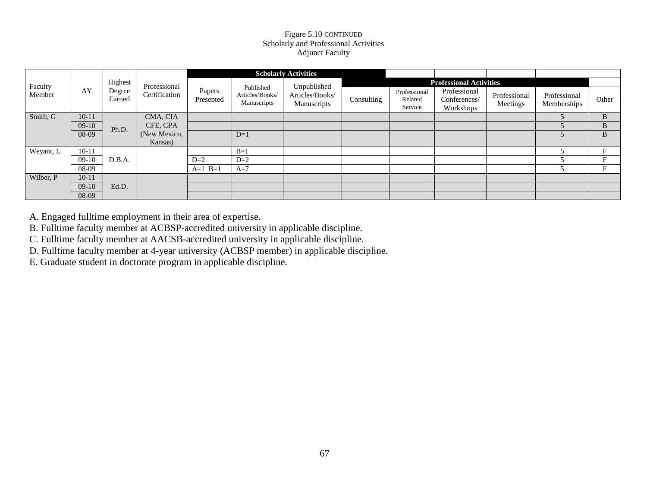### Figure 5.10 CONTINUED Scholarly and Professional Activities Adjunct Faculty

|           |           |                  |               |                     |                                             | <b>Scholarly Activities</b>    |                                |                                    |                                           |                          |                             |              |
|-----------|-----------|------------------|---------------|---------------------|---------------------------------------------|--------------------------------|--------------------------------|------------------------------------|-------------------------------------------|--------------------------|-----------------------------|--------------|
| Faculty   |           | Highest          | Professional  |                     |                                             | Unpublished                    | <b>Professional Activities</b> |                                    |                                           |                          |                             |              |
| Member    | AY        | Degree<br>Earned | Certification | Papers<br>Presented | Published<br>Articles/Books/<br>Manuscripts | Articles/Books/<br>Manuscripts | Consulting                     | Professional<br>Related<br>Service | Professional<br>Conferences/<br>Workshops | Professional<br>Meetings | Professional<br>Memberships | Other        |
| Smith, G  | $10 - 11$ |                  | CMA, CIA      |                     |                                             |                                |                                |                                    |                                           |                          |                             | B            |
|           | $09-10$   | Ph.D.            | CFE, CPA      |                     |                                             |                                |                                |                                    |                                           |                          |                             | B.           |
|           | 08-09     |                  | (New Mexico,  |                     | $D=1$                                       |                                |                                |                                    |                                           |                          |                             | <sub>B</sub> |
|           |           |                  | Kansas)       |                     |                                             |                                |                                |                                    |                                           |                          |                             |              |
| Weyant, L | $10 - 11$ |                  |               |                     | $B=1$                                       |                                |                                |                                    |                                           |                          |                             |              |
|           | $09-10$   | D.B.A.           |               | $D=2$               | $D=2$                                       |                                |                                |                                    |                                           |                          |                             | Е            |
|           | 08-09     |                  |               | $A=1$ $B=1$         | $A=7$                                       |                                |                                |                                    |                                           |                          |                             |              |
| Wilber, P | $10 - 11$ |                  |               |                     |                                             |                                |                                |                                    |                                           |                          |                             |              |
|           | $09-10$   | Ed.D.            |               |                     |                                             |                                |                                |                                    |                                           |                          |                             |              |
|           | 08-09     |                  |               |                     |                                             |                                |                                |                                    |                                           |                          |                             |              |

A. Engaged fulltime employment in their area of expertise.

B. Fulltime faculty member at ACBSP-accredited university in applicable discipline.

C. Fulltime faculty member at AACSB-accredited university in applicable discipline.

D. Fulltime faculty member at 4-year university (ACBSP member) in applicable discipline.

E. Graduate student in doctorate program in applicable discipline.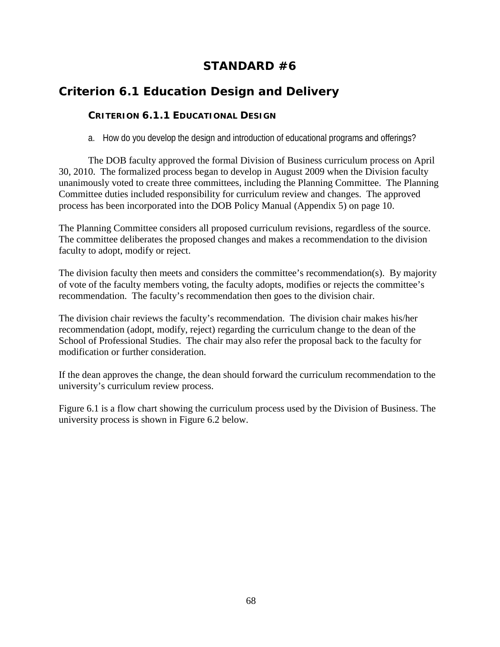# **STANDARD #6**

# *Criterion 6.1 Education Design and Delivery*

## **CRITERION 6.1.1 EDUCATIONAL DESIGN**

a. How do you develop the design and introduction of educational programs and offerings?

The DOB faculty approved the formal Division of Business curriculum process on April 30, 2010. The formalized process began to develop in August 2009 when the Division faculty unanimously voted to create three committees, including the Planning Committee. The Planning Committee duties included responsibility for curriculum review and changes. The approved process has been incorporated into the DOB Policy Manual (Appendix 5) on page 10.

The Planning Committee considers all proposed curriculum revisions, regardless of the source. The committee deliberates the proposed changes and makes a recommendation to the division faculty to adopt, modify or reject.

The division faculty then meets and considers the committee's recommendation(s). By majority of vote of the faculty members voting, the faculty adopts, modifies or rejects the committee's recommendation. The faculty's recommendation then goes to the division chair.

The division chair reviews the faculty's recommendation. The division chair makes his/her recommendation (adopt, modify, reject) regarding the curriculum change to the dean of the School of Professional Studies. The chair may also refer the proposal back to the faculty for modification or further consideration.

If the dean approves the change, the dean should forward the curriculum recommendation to the university's curriculum review process.

Figure 6.1 is a flow chart showing the curriculum process used by the Division of Business. The university process is shown in Figure 6.2 below.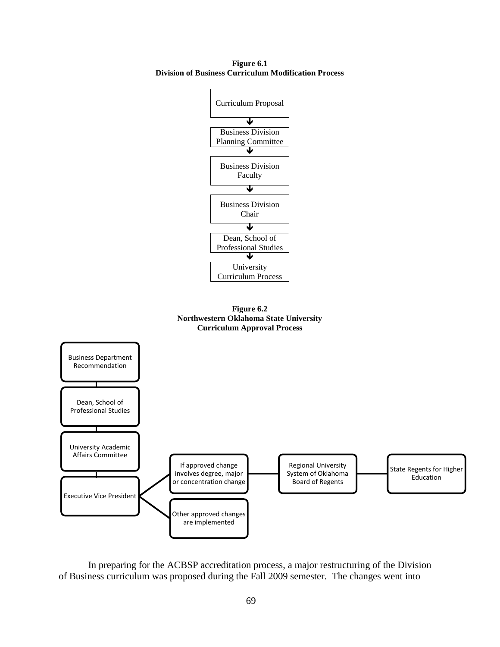**Figure 6.1 Division of Business Curriculum Modification Process**







In preparing for the ACBSP accreditation process, a major restructuring of the Division of Business curriculum was proposed during the Fall 2009 semester. The changes went into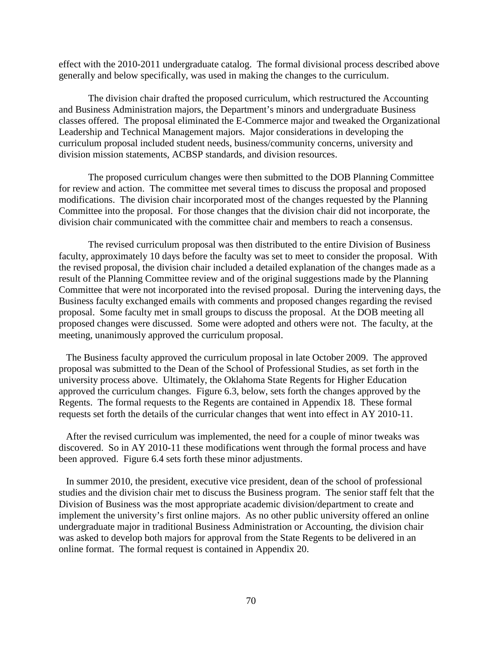effect with the 2010-2011 undergraduate catalog. The formal divisional process described above generally and below specifically, was used in making the changes to the curriculum.

The division chair drafted the proposed curriculum, which restructured the Accounting and Business Administration majors, the Department's minors and undergraduate Business classes offered. The proposal eliminated the E-Commerce major and tweaked the Organizational Leadership and Technical Management majors. Major considerations in developing the curriculum proposal included student needs, business/community concerns, university and division mission statements, ACBSP standards, and division resources.

The proposed curriculum changes were then submitted to the DOB Planning Committee for review and action. The committee met several times to discuss the proposal and proposed modifications. The division chair incorporated most of the changes requested by the Planning Committee into the proposal. For those changes that the division chair did not incorporate, the division chair communicated with the committee chair and members to reach a consensus.

The revised curriculum proposal was then distributed to the entire Division of Business faculty, approximately 10 days before the faculty was set to meet to consider the proposal. With the revised proposal, the division chair included a detailed explanation of the changes made as a result of the Planning Committee review and of the original suggestions made by the Planning Committee that were not incorporated into the revised proposal. During the intervening days, the Business faculty exchanged emails with comments and proposed changes regarding the revised proposal. Some faculty met in small groups to discuss the proposal. At the DOB meeting all proposed changes were discussed. Some were adopted and others were not. The faculty, at the meeting, unanimously approved the curriculum proposal.

The Business faculty approved the curriculum proposal in late October 2009. The approved proposal was submitted to the Dean of the School of Professional Studies, as set forth in the university process above. Ultimately, the Oklahoma State Regents for Higher Education approved the curriculum changes. Figure 6.3, below, sets forth the changes approved by the Regents. The formal requests to the Regents are contained in Appendix 18. These formal requests set forth the details of the curricular changes that went into effect in AY 2010-11.

After the revised curriculum was implemented, the need for a couple of minor tweaks was discovered. So in AY 2010-11 these modifications went through the formal process and have been approved. Figure 6.4 sets forth these minor adjustments.

In summer 2010, the president, executive vice president, dean of the school of professional studies and the division chair met to discuss the Business program. The senior staff felt that the Division of Business was the most appropriate academic division/department to create and implement the university's first online majors. As no other public university offered an online undergraduate major in traditional Business Administration or Accounting, the division chair was asked to develop both majors for approval from the State Regents to be delivered in an online format. The formal request is contained in Appendix 20.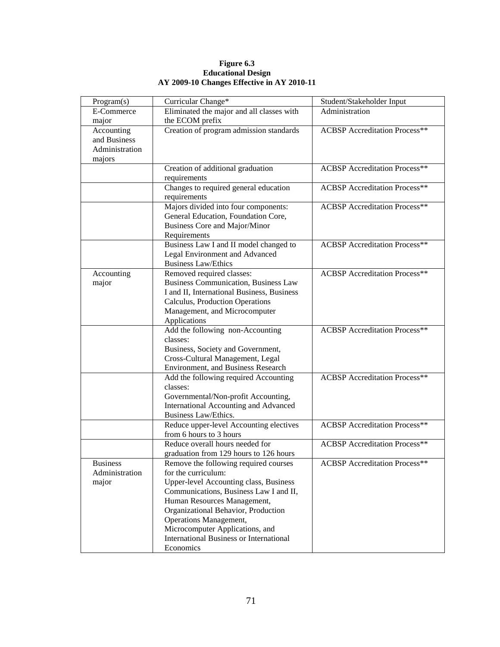**Figure 6.3 Educational Design AY 2009-10 Changes Effective in AY 2010-11**

| Program(s)      | Curricular Change*                                            | Student/Stakeholder Input            |
|-----------------|---------------------------------------------------------------|--------------------------------------|
| E-Commerce      | Eliminated the major and all classes with                     | Administration                       |
| major           | the ECOM prefix                                               |                                      |
| Accounting      | Creation of program admission standards                       | <b>ACBSP</b> Accreditation Process** |
| and Business    |                                                               |                                      |
| Administration  |                                                               |                                      |
| majors          |                                                               |                                      |
|                 | Creation of additional graduation                             | <b>ACBSP</b> Accreditation Process** |
|                 | requirements                                                  |                                      |
|                 | Changes to required general education                         | <b>ACBSP</b> Accreditation Process** |
|                 | requirements                                                  |                                      |
|                 | Majors divided into four components:                          | <b>ACBSP</b> Accreditation Process** |
|                 | General Education, Foundation Core,                           |                                      |
|                 | Business Core and Major/Minor<br>Requirements                 |                                      |
|                 | Business Law I and II model changed to                        | <b>ACBSP</b> Accreditation Process** |
|                 | Legal Environment and Advanced                                |                                      |
|                 | <b>Business Law/Ethics</b>                                    |                                      |
| Accounting      | Removed required classes:                                     | <b>ACBSP</b> Accreditation Process** |
| major           | <b>Business Communication, Business Law</b>                   |                                      |
|                 | I and II, International Business, Business                    |                                      |
|                 | Calculus, Production Operations                               |                                      |
|                 | Management, and Microcomputer                                 |                                      |
|                 | Applications                                                  |                                      |
|                 | Add the following non-Accounting                              | <b>ACBSP</b> Accreditation Process** |
|                 | classes:                                                      |                                      |
|                 | Business, Society and Government,                             |                                      |
|                 | Cross-Cultural Management, Legal                              |                                      |
|                 | Environment, and Business Research                            |                                      |
|                 | Add the following required Accounting                         | <b>ACBSP</b> Accreditation Process** |
|                 | classes:                                                      |                                      |
|                 | Governmental/Non-profit Accounting,                           |                                      |
|                 | International Accounting and Advanced<br>Business Law/Ethics. |                                      |
|                 | Reduce upper-level Accounting electives                       | <b>ACBSP</b> Accreditation Process** |
|                 | from 6 hours to 3 hours                                       |                                      |
|                 | Reduce overall hours needed for                               | <b>ACBSP</b> Accreditation Process** |
|                 | graduation from 129 hours to 126 hours                        |                                      |
| <b>Business</b> | Remove the following required courses                         | <b>ACBSP</b> Accreditation Process** |
| Administration  | for the curriculum:                                           |                                      |
| major           | Upper-level Accounting class, Business                        |                                      |
|                 | Communications, Business Law I and II,                        |                                      |
|                 | Human Resources Management,                                   |                                      |
|                 | Organizational Behavior, Production                           |                                      |
|                 | Operations Management,                                        |                                      |
|                 | Microcomputer Applications, and                               |                                      |
|                 | <b>International Business or International</b>                |                                      |
|                 | Economics                                                     |                                      |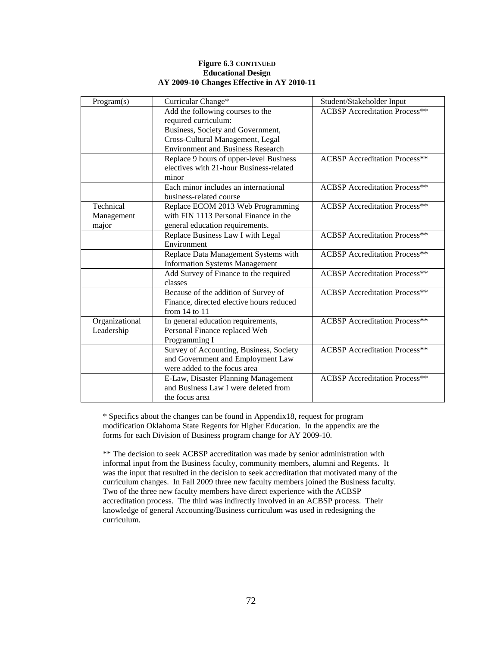#### **Figure 6.3 CONTINUED Educational Design AY 2009-10 Changes Effective in AY 2010-11**

| Program(s)     | Curricular Change*                       | Student/Stakeholder Input            |
|----------------|------------------------------------------|--------------------------------------|
|                | Add the following courses to the         | <b>ACBSP</b> Accreditation Process** |
|                | required curriculum:                     |                                      |
|                | Business, Society and Government,        |                                      |
|                | Cross-Cultural Management, Legal         |                                      |
|                | <b>Environment and Business Research</b> |                                      |
|                | Replace 9 hours of upper-level Business  | <b>ACBSP</b> Accreditation Process** |
|                | electives with 21-hour Business-related  |                                      |
|                | minor                                    |                                      |
|                | Each minor includes an international     | <b>ACBSP</b> Accreditation Process** |
|                | business-related course                  |                                      |
| Technical      | Replace ECOM 2013 Web Programming        | <b>ACBSP</b> Accreditation Process** |
| Management     | with FIN 1113 Personal Finance in the    |                                      |
| major          | general education requirements.          |                                      |
|                | Replace Business Law I with Legal        | <b>ACBSP</b> Accreditation Process** |
|                | Environment                              |                                      |
|                | Replace Data Management Systems with     | <b>ACBSP</b> Accreditation Process** |
|                | <b>Information Systems Management</b>    |                                      |
|                | Add Survey of Finance to the required    | <b>ACBSP</b> Accreditation Process** |
|                | classes                                  |                                      |
|                | Because of the addition of Survey of     | <b>ACBSP</b> Accreditation Process** |
|                | Finance, directed elective hours reduced |                                      |
|                | from $14$ to $11$                        |                                      |
| Organizational | In general education requirements,       | <b>ACBSP</b> Accreditation Process** |
| Leadership     | Personal Finance replaced Web            |                                      |
|                | Programming I                            |                                      |
|                | Survey of Accounting, Business, Society  | <b>ACBSP</b> Accreditation Process** |
|                | and Government and Employment Law        |                                      |
|                | were added to the focus area             |                                      |
|                | E-Law, Disaster Planning Management      | <b>ACBSP</b> Accreditation Process** |
|                | and Business Law I were deleted from     |                                      |
|                | the focus area                           |                                      |

\* Specifics about the changes can be found in Appendix18, request for program modification Oklahoma State Regents for Higher Education. In the appendix are the forms for each Division of Business program change for AY 2009-10.

\*\* The decision to seek ACBSP accreditation was made by senior administration with informal input from the Business faculty, community members, alumni and Regents. It was the input that resulted in the decision to seek accreditation that motivated many of the curriculum changes. In Fall 2009 three new faculty members joined the Business faculty. Two of the three new faculty members have direct experience with the ACBSP accreditation process. The third was indirectly involved in an ACBSP process. Their knowledge of general Accounting/Business curriculum was used in redesigning the curriculum.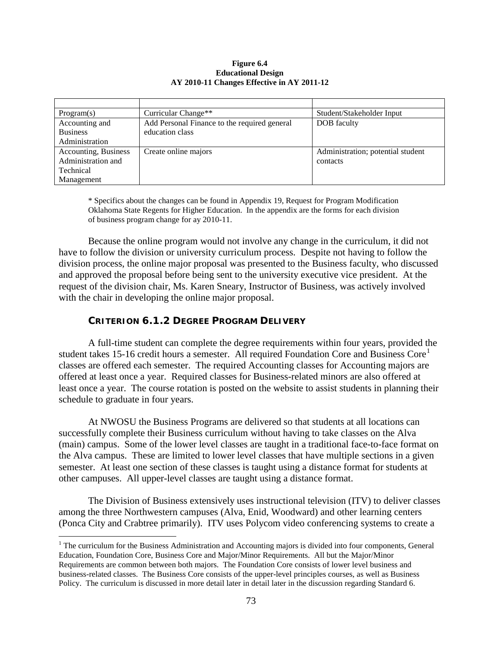#### **Figure 6.4 Educational Design AY 2010-11 Changes Effective in AY 2011-12**

| Program(s)           | Curricular Change**                          | Student/Stakeholder Input         |
|----------------------|----------------------------------------------|-----------------------------------|
| Accounting and       | Add Personal Finance to the required general | DOB faculty                       |
| <b>Business</b>      | education class                              |                                   |
| Administration       |                                              |                                   |
| Accounting, Business | Create online majors                         | Administration; potential student |
| Administration and   |                                              | contacts                          |
| Technical            |                                              |                                   |
| Management           |                                              |                                   |

\* Specifics about the changes can be found in Appendix 19, Request for Program Modification Oklahoma State Regents for Higher Education. In the appendix are the forms for each division of business program change for ay 2010-11.

Because the online program would not involve any change in the curriculum, it did not have to follow the division or university curriculum process. Despite not having to follow the division process, the online major proposal was presented to the Business faculty, who discussed and approved the proposal before being sent to the university executive vice president. At the request of the division chair, Ms. Karen Sneary, Instructor of Business, was actively involved with the chair in developing the online major proposal.

# **CRITERION 6.1.2 DEGREE PROGRAM DELIVERY**

A full-time student can complete the degree requirements within four years, provided the student takes [1](#page-76-0)5-16 credit hours a semester. All required Foundation Core and Business Core<sup>1</sup> classes are offered each semester. The required Accounting classes for Accounting majors are offered at least once a year. Required classes for Business-related minors are also offered at least once a year. The course rotation is posted on the website to assist students in planning their schedule to graduate in four years.

At NWOSU the Business Programs are delivered so that students at all locations can successfully complete their Business curriculum without having to take classes on the Alva (main) campus. Some of the lower level classes are taught in a traditional face-to-face format on the Alva campus. These are limited to lower level classes that have multiple sections in a given semester. At least one section of these classes is taught using a distance format for students at other campuses. All upper-level classes are taught using a distance format.

The Division of Business extensively uses instructional television (ITV) to deliver classes among the three Northwestern campuses (Alva, Enid, Woodward) and other learning centers (Ponca City and Crabtree primarily). ITV uses Polycom video conferencing systems to create a

<span id="page-76-0"></span><sup>&</sup>lt;sup>1</sup> The curriculum for the Business Administration and Accounting majors is divided into four components, General Education, Foundation Core, Business Core and Major/Minor Requirements. All but the Major/Minor Requirements are common between both majors. The Foundation Core consists of lower level business and business-related classes. The Business Core consists of the upper-level principles courses, as well as Business Policy. The curriculum is discussed in more detail later in detail later in the discussion regarding Standard 6.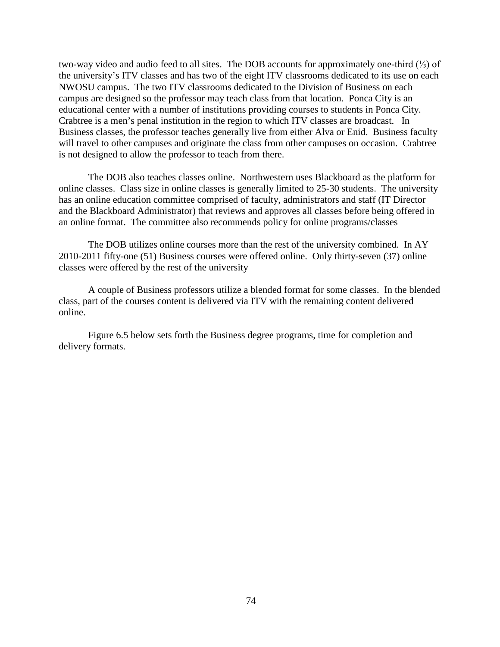two-way video and audio feed to all sites. The DOB accounts for approximately one-third (⅓) of the university's ITV classes and has two of the eight ITV classrooms dedicated to its use on each NWOSU campus. The two ITV classrooms dedicated to the Division of Business on each campus are designed so the professor may teach class from that location. Ponca City is an educational center with a number of institutions providing courses to students in Ponca City. Crabtree is a men's penal institution in the region to which ITV classes are broadcast. In Business classes, the professor teaches generally live from either Alva or Enid. Business faculty will travel to other campuses and originate the class from other campuses on occasion. Crabtree is not designed to allow the professor to teach from there.

The DOB also teaches classes online. Northwestern uses Blackboard as the platform for online classes. Class size in online classes is generally limited to 25-30 students. The university has an online education committee comprised of faculty, administrators and staff (IT Director and the Blackboard Administrator) that reviews and approves all classes before being offered in an online format. The committee also recommends policy for online programs/classes

The DOB utilizes online courses more than the rest of the university combined. In AY 2010-2011 fifty-one (51) Business courses were offered online. Only thirty-seven (37) online classes were offered by the rest of the university

A couple of Business professors utilize a blended format for some classes. In the blended class, part of the courses content is delivered via ITV with the remaining content delivered online.

Figure 6.5 below sets forth the Business degree programs, time for completion and delivery formats.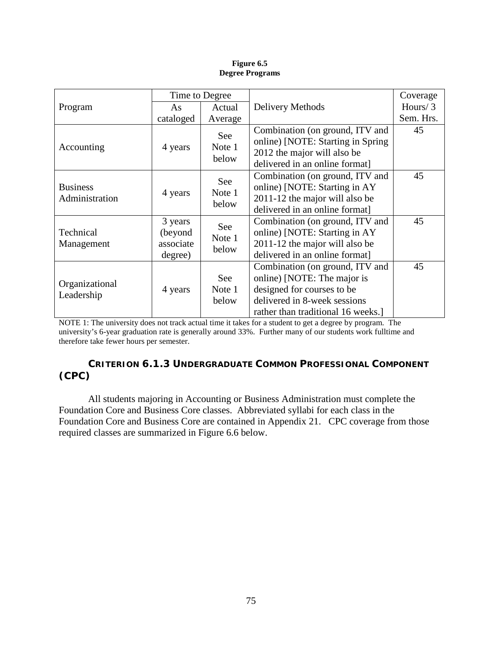|                                   |                                                                      | Time to Degree                |                                                                                                                                                                    | Coverage  |
|-----------------------------------|----------------------------------------------------------------------|-------------------------------|--------------------------------------------------------------------------------------------------------------------------------------------------------------------|-----------|
| Program                           | As                                                                   | Actual                        | Delivery Methods                                                                                                                                                   |           |
|                                   | cataloged                                                            | Average                       |                                                                                                                                                                    | Sem. Hrs. |
| Accounting                        | 4 years                                                              | <b>See</b><br>Note 1<br>below | Combination (on ground, ITV and<br>online) [NOTE: Starting in Spring<br>2012 the major will also be<br>delivered in an online format]                              | 45        |
| <b>Business</b><br>Administration | 4 years                                                              | <b>See</b><br>Note 1<br>below | Combination (on ground, ITV and<br>online) [NOTE: Starting in AY<br>2011-12 the major will also be<br>delivered in an online format]                               | 45        |
| Technical<br>Management           | 3 years<br>See<br>(beyond<br>Note 1<br>associate<br>below<br>degree) |                               | Combination (on ground, ITV and<br>online) [NOTE: Starting in AY<br>2011-12 the major will also be<br>delivered in an online format]                               | 45        |
| Organizational<br>Leadership      | 4 years                                                              | See<br>Note 1<br>below        | Combination (on ground, ITV and<br>online) [NOTE: The major is<br>designed for courses to be<br>delivered in 8-week sessions<br>rather than traditional 16 weeks.] | 45        |

**Figure 6.5 Degree Programs**

NOTE 1: The university does not track actual time it takes for a student to get a degree by program. The university's 6-year graduation rate is generally around 33%. Further many of our students work fulltime and therefore take fewer hours per semester.

# **CRITERION 6.1.3 UNDERGRADUATE COMMON PROFESSIONAL COMPONENT (CPC)**

All students majoring in Accounting or Business Administration must complete the Foundation Core and Business Core classes. Abbreviated syllabi for each class in the Foundation Core and Business Core are contained in Appendix 21. CPC coverage from those required classes are summarized in Figure 6.6 below.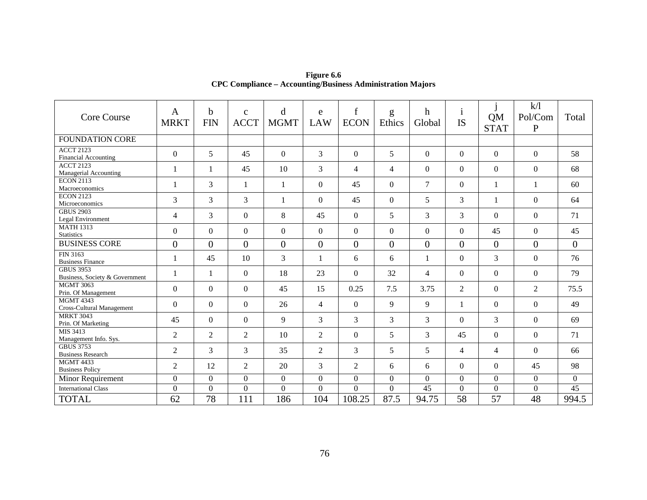| <b>Core Course</b>                                 | $\mathbf{A}$<br><b>MRKT</b> | $\mathbf b$<br><b>FIN</b> | $\mathbf{C}$<br><b>ACCT</b> | d<br><b>MGMT</b> | e<br><b>LAW</b> | $\mathbf f$<br><b>ECON</b> | g<br>Ethics    | h<br>Global      | $\mathbf{1}$<br><b>IS</b> | QM<br><b>STAT</b> | k/l<br>Pol/Com<br>$\mathbf{P}$ | Total          |
|----------------------------------------------------|-----------------------------|---------------------------|-----------------------------|------------------|-----------------|----------------------------|----------------|------------------|---------------------------|-------------------|--------------------------------|----------------|
| <b>FOUNDATION CORE</b>                             |                             |                           |                             |                  |                 |                            |                |                  |                           |                   |                                |                |
| <b>ACCT 2123</b><br><b>Financial Accounting</b>    | $\boldsymbol{0}$            | 5                         | 45                          | $\Omega$         | 3               | $\overline{0}$             | 5              | $\overline{0}$   | $\boldsymbol{0}$          | $\boldsymbol{0}$  | $\boldsymbol{0}$               | 58             |
| <b>ACCT 2123</b><br>Managerial Accounting          | 1                           | 1                         | 45                          | 10               | 3               | $\overline{4}$             | $\overline{4}$ | $\Omega$         | $\Omega$                  | $\overline{0}$    | $\overline{0}$                 | 68             |
| <b>ECON 2113</b><br>Macroeconomics                 |                             | 3                         | $\mathbf{1}$                | $\mathbf{1}$     | $\Omega$        | 45                         | $\Omega$       | $\overline{7}$   | $\Omega$                  | $\mathbf{1}$      | 1                              | 60             |
| <b>ECON 2123</b><br>Microeconomics                 | 3                           | 3                         | 3                           | $\mathbf{1}$     | $\Omega$        | 45                         | $\Omega$       | 5                | 3                         | $\mathbf{1}$      | $\Omega$                       | 64             |
| <b>GBUS 2903</b><br>Legal Environment              | 4                           | 3                         | $\overline{0}$              | 8                | 45              | $\mathbf{0}$               | 5              | 3                | 3                         | $\theta$          | $\overline{0}$                 | 71             |
| <b>MATH 1313</b><br><b>Statistics</b>              | $\boldsymbol{0}$            | $\mathbf{0}$              | $\boldsymbol{0}$            | $\Omega$         | $\Omega$        | $\overline{0}$             | $\Omega$       | $\overline{0}$   | $\overline{0}$            | 45                | $\overline{0}$                 | 45             |
| <b>BUSINESS CORE</b>                               | $\boldsymbol{0}$            | $\overline{0}$            | $\overline{0}$              | $\overline{0}$   | $\overline{0}$  | $\overline{0}$             | $\overline{0}$ | $\overline{0}$   | $\overline{0}$            | $\overline{0}$    | $\overline{0}$                 | $\overline{0}$ |
| FIN 3163<br><b>Business Finance</b>                | 1                           | 45                        | 10                          | 3                | $\mathbf{1}$    | 6                          | 6              | 1                | $\overline{0}$            | 3                 | $\boldsymbol{0}$               | 76             |
| <b>GBUS 3953</b><br>Business, Society & Government | 1                           | 1                         | $\mathbf{0}$                | 18               | 23              | $\mathbf{0}$               | 32             | 4                | $\overline{0}$            | $\theta$          | $\Omega$                       | 79             |
| <b>MGMT 3063</b><br>Prin. Of Management            | $\theta$                    | $\Omega$                  | $\overline{0}$              | 45               | 15              | 0.25                       | 7.5            | 3.75             | 2                         | $\theta$          | $\overline{2}$                 | 75.5           |
| <b>MGMT 4343</b><br>Cross-Cultural Management      | $\overline{0}$              | $\overline{0}$            | $\overline{0}$              | 26               | $\overline{4}$  | $\Omega$                   | 9              | 9                | -1                        | $\theta$          | $\overline{0}$                 | 49             |
| <b>MRKT 3043</b><br>Prin. Of Marketing             | 45                          | $\mathbf{0}$              | $\mathbf{0}$                | 9                | 3               | 3                          | $\overline{3}$ | 3                | $\Omega$                  | 3                 | $\mathbf{0}$                   | 69             |
| MIS 3413<br>Management Info. Sys.                  | $\mathfrak{2}$              | 2                         | $\mathfrak{2}$              | 10               | $\overline{2}$  | $\overline{0}$             | 5              | 3                | 45                        | $\boldsymbol{0}$  | $\overline{0}$                 | 71             |
| <b>GBUS 3753</b><br><b>Business Research</b>       | $\overline{2}$              | 3                         | 3                           | 35               | $\overline{2}$  | 3                          | 5              | 5                | $\overline{4}$            | $\overline{4}$    | $\overline{0}$                 | 66             |
| <b>MGMT 4433</b><br><b>Business Policy</b>         | $\overline{2}$              | 12                        | $\overline{2}$              | 20               | 3               | $\overline{2}$             | 6              | 6                | $\Omega$                  | $\theta$          | 45                             | 98             |
| Minor Requirement                                  | $\boldsymbol{0}$            | $\overline{0}$            | $\mathbf{0}$                | $\overline{0}$   | $\overline{0}$  | $\boldsymbol{0}$           | $\overline{0}$ | $\boldsymbol{0}$ | $\overline{0}$            | $\overline{0}$    | $\overline{0}$                 | $\mathbf{0}$   |
| <b>International Class</b>                         | $\mathbf{0}$                | $\overline{0}$            | $\overline{0}$              | $\mathbf{0}$     | $\overline{0}$  | $\overline{0}$             | $\overline{0}$ | 45               | $\overline{0}$            | $\overline{0}$    | $\overline{0}$                 | 45             |
| <b>TOTAL</b>                                       | 62                          | 78                        | 111                         | 186              | 104             | 108.25                     | 87.5           | 94.75            | 58                        | 57                | 48                             | 994.5          |

**Figure 6.6 CPC Compliance – Accounting/Business Administration Majors**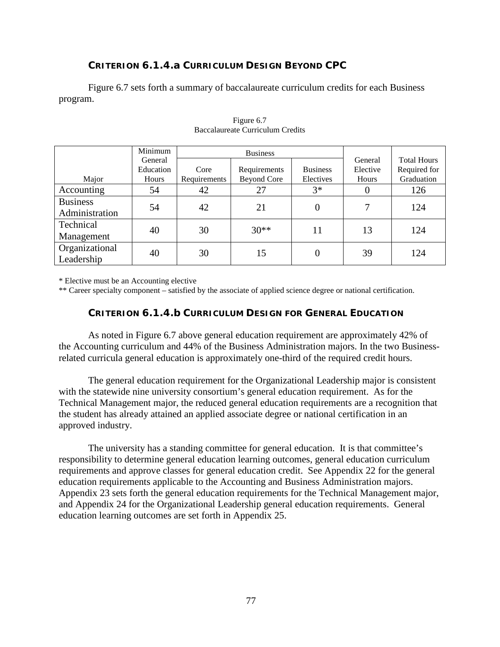# **CRITERION 6.1.4.a CURRICULUM DESIGN BEYOND CPC**

Figure 6.7 sets forth a summary of baccalaureate curriculum credits for each Business program.

|                                   | Minimum              |              | <b>Business</b>    |                 |                     |                                    |
|-----------------------------------|----------------------|--------------|--------------------|-----------------|---------------------|------------------------------------|
|                                   | General<br>Education | Core         | Requirements       | <b>Business</b> | General<br>Elective | <b>Total Hours</b><br>Required for |
| Major                             | <b>Hours</b>         | Requirements | <b>Beyond Core</b> | Electives       | Hours               | Graduation                         |
| Accounting                        | 54                   | 42           | 27                 | $3*$            | U                   | 126                                |
| <b>Business</b><br>Administration | 54                   | 42           | 21                 | 0               |                     | 124                                |
| Technical<br>Management           | 40                   | 30           | $30**$             | 11              | 13                  | 124                                |
| Organizational<br>Leadership      | 40                   | 30           | 15                 | 0               | 39                  | 124                                |

#### Figure 6.7 Baccalaureate Curriculum Credits

\* Elective must be an Accounting elective

\*\* Career specialty component – satisfied by the associate of applied science degree or national certification.

#### **CRITERION 6.1.4.b CURRICULUM DESIGN FOR GENERAL EDUCATION**

As noted in Figure 6.7 above general education requirement are approximately 42% of the Accounting curriculum and 44% of the Business Administration majors. In the two Businessrelated curricula general education is approximately one-third of the required credit hours.

The general education requirement for the Organizational Leadership major is consistent with the statewide nine university consortium's general education requirement. As for the Technical Management major, the reduced general education requirements are a recognition that the student has already attained an applied associate degree or national certification in an approved industry.

The university has a standing committee for general education. It is that committee's responsibility to determine general education learning outcomes, general education curriculum requirements and approve classes for general education credit. See Appendix 22 for the general education requirements applicable to the Accounting and Business Administration majors. Appendix 23 sets forth the general education requirements for the Technical Management major, and Appendix 24 for the Organizational Leadership general education requirements. General education learning outcomes are set forth in Appendix 25.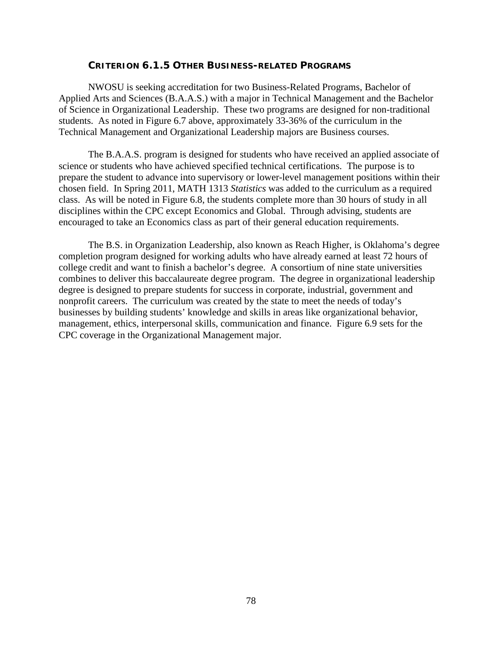#### **CRITERION 6.1.5 OTHER BUSINESS-RELATED PROGRAMS**

NWOSU is seeking accreditation for two Business-Related Programs, Bachelor of Applied Arts and Sciences (B.A.A.S.) with a major in Technical Management and the Bachelor of Science in Organizational Leadership. These two programs are designed for non-traditional students. As noted in Figure 6.7 above, approximately 33-36% of the curriculum in the Technical Management and Organizational Leadership majors are Business courses.

The B.A.A.S. program is designed for students who have received an applied associate of science or students who have achieved specified technical certifications. The purpose is to prepare the student to advance into supervisory or lower-level management positions within their chosen field. In Spring 2011, MATH 1313 *Statistics* was added to the curriculum as a required class. As will be noted in Figure 6.8, the students complete more than 30 hours of study in all disciplines within the CPC except Economics and Global. Through advising, students are encouraged to take an Economics class as part of their general education requirements.

The B.S. in Organization Leadership, also known as Reach Higher, is Oklahoma's degree completion program designed for working adults who have already earned at least 72 hours of college credit and want to finish a bachelor's degree. A consortium of nine state universities combines to deliver this baccalaureate degree program. The degree in organizational leadership degree is designed to prepare students for success in corporate, industrial, government and nonprofit careers. The curriculum was created by the state to meet the needs of today's businesses by building students' knowledge and skills in areas like organizational behavior, management, ethics, interpersonal skills, communication and finance. Figure 6.9 sets for the CPC coverage in the Organizational Management major.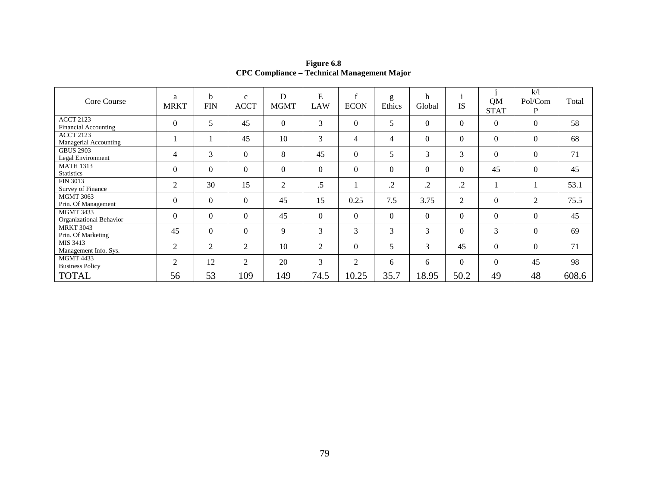| Core Course                                     | a<br><b>MRKT</b> | b<br><b>FIN</b> | $\mathbf{C}$<br><b>ACCT</b> | D<br><b>MGMT</b> | E<br>LAW       | $\mathbf{f}$<br><b>ECON</b> | g<br>Ethics | h<br>Global | <b>IS</b>        | <b>QM</b><br><b>STAT</b> | k/1<br>Pol/Com<br>P | Total |
|-------------------------------------------------|------------------|-----------------|-----------------------------|------------------|----------------|-----------------------------|-------------|-------------|------------------|--------------------------|---------------------|-------|
| <b>ACCT 2123</b><br><b>Financial Accounting</b> | $\Omega$         | 5               | 45                          | $\Omega$         | 3              | $\Omega$                    | 5           | $\theta$    | $\Omega$         | $\Omega$                 | $\Omega$            | 58    |
| <b>ACCT 2123</b><br>Managerial Accounting       |                  |                 | 45                          | 10               | 3              | 4                           | 4           | $\theta$    | $\boldsymbol{0}$ | $\mathbf{0}$             | $\overline{0}$      | 68    |
| <b>GBUS 2903</b><br>Legal Environment           | $\overline{4}$   | 3               | $\boldsymbol{0}$            | 8                | 45             | $\theta$                    | 5           | 3           | 3                | $\mathbf{0}$             | $\overline{0}$      | 71    |
| <b>MATH 1313</b><br><b>Statistics</b>           | $\Omega$         | $\Omega$        | $\mathbf{0}$                | $\theta$         | $\theta$       | $\theta$                    | $\Omega$    | $\theta$    | $\mathbf{0}$     | 45                       | $\mathbf{0}$        | 45    |
| FIN 3013<br>Survey of Finance                   | 2                | 30              | 15                          | 2                | $.5\,$         |                             | .2          | .2          | $\cdot$          |                          |                     | 53.1  |
| <b>MGMT 3063</b><br>Prin. Of Management         | $\Omega$         | $\Omega$        | $\Omega$                    | 45               | 15             | 0.25                        | 7.5         | 3.75        | 2                | $\overline{0}$           | 2                   | 75.5  |
| <b>MGMT 3433</b><br>Organizational Behavior     | $\Omega$         | $\Omega$        | $\Omega$                    | 45               | $\theta$       | $\theta$                    | $\Omega$    | $\theta$    | $\theta$         | $\theta$                 | $\theta$            | 45    |
| <b>MRKT 3043</b><br>Prin. Of Marketing          | 45               | $\Omega$        | $\Omega$                    | 9                | 3              | 3                           | 3           | 3           | $\theta$         | 3                        | $\theta$            | 69    |
| MIS 3413<br>Management Info. Sys.               | 2                | 2               | 2                           | 10               | $\overline{2}$ | $\theta$                    | 5           | 3           | 45               | $\mathbf{0}$             | $\Omega$            | 71    |
| <b>MGMT 4433</b><br><b>Business Policy</b>      | 2                | 12              | 2                           | 20               | 3              | 2                           | 6           | 6           | $\mathbf{0}$     | $\overline{0}$           | 45                  | 98    |
| <b>TOTAL</b>                                    | 56               | 53              | 109                         | 149              | 74.5           | 10.25                       | 35.7        | 18.95       | 50.2             | 49                       | 48                  | 608.6 |

**Figure 6.8 CPC Compliance – Technical Management Major**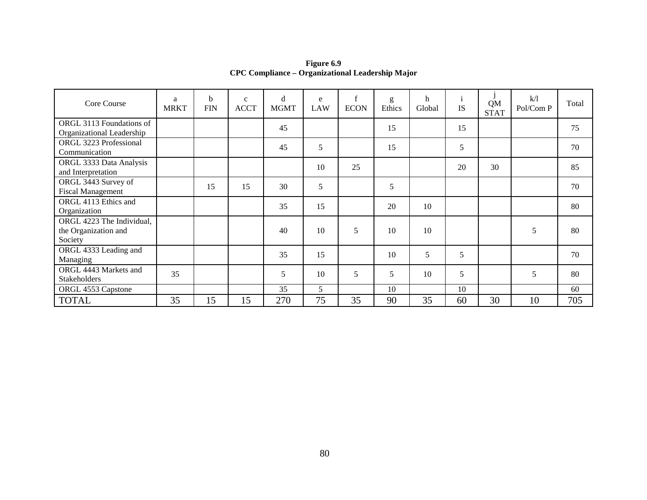| Core Course                                                  | a<br><b>MRKT</b> | b<br><b>FIN</b> | $\mathbf c$<br><b>ACCT</b> | d<br><b>MGMT</b> | e<br><b>LAW</b> | f<br><b>ECON</b> | g<br>Ethics | h<br>Global | -1<br><b>IS</b> | QM<br><b>STAT</b> | k/1<br>Pol/Com P | Total |
|--------------------------------------------------------------|------------------|-----------------|----------------------------|------------------|-----------------|------------------|-------------|-------------|-----------------|-------------------|------------------|-------|
| ORGL 3113 Foundations of<br>Organizational Leadership        |                  |                 |                            | 45               |                 |                  | 15          |             | 15              |                   |                  | 75    |
| ORGL 3223 Professional<br>Communication                      |                  |                 |                            | 45               | 5               |                  | 15          |             | 5               |                   |                  | 70    |
| ORGL 3333 Data Analysis<br>and Interpretation                |                  |                 |                            |                  | 10              | 25               |             |             | 20              | 30                |                  | 85    |
| ORGL 3443 Survey of<br><b>Fiscal Management</b>              |                  | 15              | 15                         | 30               | 5               |                  | 5           |             |                 |                   |                  | 70    |
| ORGL 4113 Ethics and<br>Organization                         |                  |                 |                            | 35               | 15              |                  | 20          | 10          |                 |                   |                  | 80    |
| ORGL 4223 The Individual,<br>the Organization and<br>Society |                  |                 |                            | 40               | 10              | 5                | 10          | 10          |                 |                   | 5                | 80    |
| ORGL 4333 Leading and<br>Managing                            |                  |                 |                            | 35               | 15              |                  | 10          | 5           | 5               |                   |                  | 70    |
| ORGL 4443 Markets and<br><b>Stakeholders</b>                 | 35               |                 |                            | 5                | 10              | 5                | 5           | 10          | 5               |                   | 5                | 80    |
| ORGL 4553 Capstone                                           |                  |                 |                            | 35               | 5               |                  | 10          |             | 10              |                   |                  | 60    |
| <b>TOTAL</b>                                                 | 35               | 15              | 15                         | 270              | 75              | 35               | 90          | 35          | 60              | 30                | 10               | 705   |

**Figure 6.9 CPC Compliance – Organizational Leadership Major**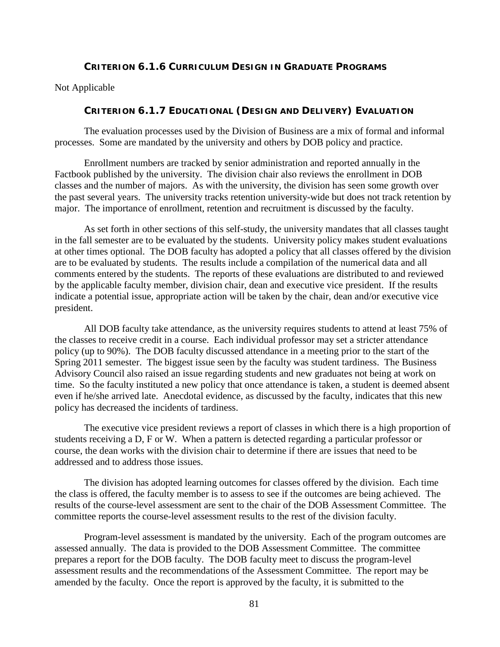### **CRITERION 6.1.6 CURRICULUM DESIGN IN GRADUATE PROGRAMS**

Not Applicable

#### **CRITERION 6.1.7 EDUCATIONAL (DESIGN AND DELIVERY) EVALUATION**

The evaluation processes used by the Division of Business are a mix of formal and informal processes. Some are mandated by the university and others by DOB policy and practice.

Enrollment numbers are tracked by senior administration and reported annually in the Factbook published by the university. The division chair also reviews the enrollment in DOB classes and the number of majors. As with the university, the division has seen some growth over the past several years. The university tracks retention university-wide but does not track retention by major. The importance of enrollment, retention and recruitment is discussed by the faculty.

As set forth in other sections of this self-study, the university mandates that all classes taught in the fall semester are to be evaluated by the students. University policy makes student evaluations at other times optional. The DOB faculty has adopted a policy that all classes offered by the division are to be evaluated by students. The results include a compilation of the numerical data and all comments entered by the students. The reports of these evaluations are distributed to and reviewed by the applicable faculty member, division chair, dean and executive vice president. If the results indicate a potential issue, appropriate action will be taken by the chair, dean and/or executive vice president.

All DOB faculty take attendance, as the university requires students to attend at least 75% of the classes to receive credit in a course. Each individual professor may set a stricter attendance policy (up to 90%). The DOB faculty discussed attendance in a meeting prior to the start of the Spring 2011 semester. The biggest issue seen by the faculty was student tardiness. The Business Advisory Council also raised an issue regarding students and new graduates not being at work on time. So the faculty instituted a new policy that once attendance is taken, a student is deemed absent even if he/she arrived late. Anecdotal evidence, as discussed by the faculty, indicates that this new policy has decreased the incidents of tardiness.

The executive vice president reviews a report of classes in which there is a high proportion of students receiving a D, F or W. When a pattern is detected regarding a particular professor or course, the dean works with the division chair to determine if there are issues that need to be addressed and to address those issues.

The division has adopted learning outcomes for classes offered by the division. Each time the class is offered, the faculty member is to assess to see if the outcomes are being achieved. The results of the course-level assessment are sent to the chair of the DOB Assessment Committee. The committee reports the course-level assessment results to the rest of the division faculty.

Program-level assessment is mandated by the university. Each of the program outcomes are assessed annually. The data is provided to the DOB Assessment Committee. The committee prepares a report for the DOB faculty. The DOB faculty meet to discuss the program-level assessment results and the recommendations of the Assessment Committee. The report may be amended by the faculty. Once the report is approved by the faculty, it is submitted to the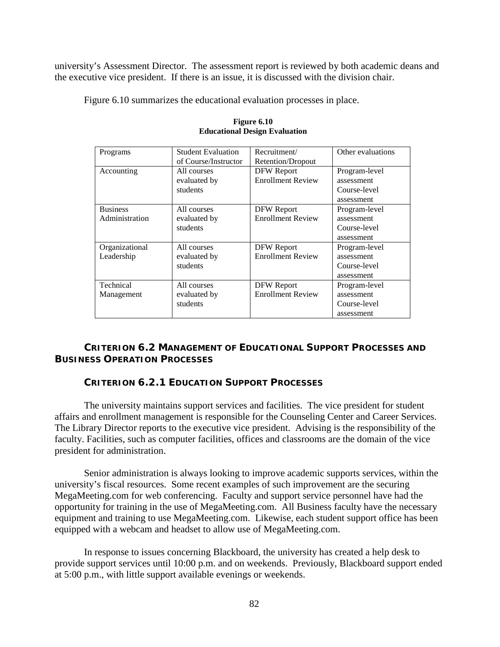university's Assessment Director. The assessment report is reviewed by both academic deans and the executive vice president. If there is an issue, it is discussed with the division chair.

Figure 6.10 summarizes the educational evaluation processes in place.

| Programs        | <b>Student Evaluation</b> | Recruitment/             | Other evaluations |
|-----------------|---------------------------|--------------------------|-------------------|
|                 | of Course/Instructor      | Retention/Dropout        |                   |
| Accounting      | All courses               | <b>DFW Report</b>        | Program-level     |
|                 | evaluated by              | <b>Enrollment Review</b> | assessment        |
|                 | students                  |                          | Course-level      |
|                 |                           |                          | assessment        |
| <b>Business</b> | All courses               | DFW Report               | Program-level     |
| Administration  | evaluated by              | <b>Enrollment Review</b> | assessment        |
|                 | students                  |                          | Course-level      |
|                 |                           |                          | assessment        |
| Organizational  | All courses               | DFW Report               | Program-level     |
| Leadership      | evaluated by              | <b>Enrollment Review</b> | assessment        |
|                 | students                  |                          | Course-level      |
|                 |                           |                          | assessment        |
| Technical       | All courses               | DFW Report               | Program-level     |
| Management      | evaluated by              | <b>Enrollment Review</b> | assessment        |
|                 | students                  |                          | Course-level      |
|                 |                           |                          | assessment        |

#### **Figure 6.10 Educational Design Evaluation**

# **CRITERION 6.2 MANAGEMENT OF EDUCATIONAL SUPPORT PROCESSES AND BUSINESS OPERATION PROCESSES**

### **CRITERION 6.2.1 EDUCATION SUPPORT PROCESSES**

The university maintains support services and facilities. The vice president for student affairs and enrollment management is responsible for the Counseling Center and Career Services. The Library Director reports to the executive vice president. Advising is the responsibility of the faculty. Facilities, such as computer facilities, offices and classrooms are the domain of the vice president for administration.

Senior administration is always looking to improve academic supports services, within the university's fiscal resources. Some recent examples of such improvement are the securing MegaMeeting.com for web conferencing. Faculty and support service personnel have had the opportunity for training in the use of MegaMeeting.com. All Business faculty have the necessary equipment and training to use MegaMeeting.com. Likewise, each student support office has been equipped with a webcam and headset to allow use of MegaMeeting.com.

In response to issues concerning Blackboard, the university has created a help desk to provide support services until 10:00 p.m. and on weekends. Previously, Blackboard support ended at 5:00 p.m., with little support available evenings or weekends.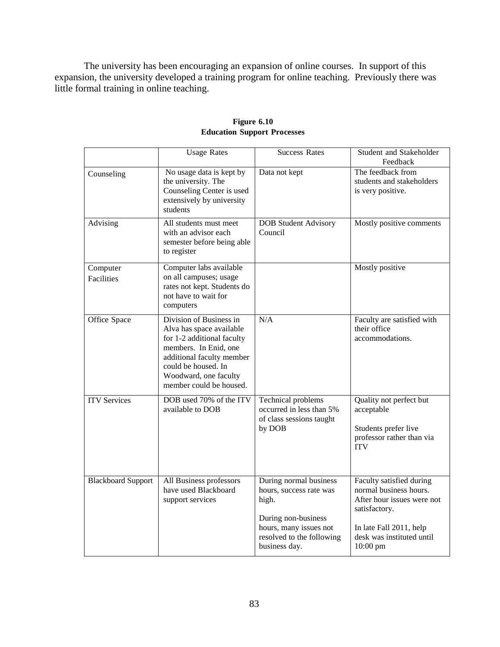The university has been encouraging an expansion of online courses. In support of this expansion, the university developed a training program for online teaching. Previously there was little formal training in online teaching.

|                               | <b>Usage Rates</b>                                                                                                                                                                                                 | <b>Success Rates</b>                                                                                                                                      | Student and Stakeholder<br>Feedback                                                                                                                                   |
|-------------------------------|--------------------------------------------------------------------------------------------------------------------------------------------------------------------------------------------------------------------|-----------------------------------------------------------------------------------------------------------------------------------------------------------|-----------------------------------------------------------------------------------------------------------------------------------------------------------------------|
| Counseling                    | No usage data is kept by<br>the university. The<br>Counseling Center is used<br>extensively by university<br>students                                                                                              | Data not kept                                                                                                                                             | The feedback from<br>students and stakeholders<br>is very positive.                                                                                                   |
| Advising                      | All students must meet<br>with an advisor each<br>semester before being able<br>to register                                                                                                                        | <b>DOB</b> Student Advisory<br>Council                                                                                                                    | Mostly positive comments                                                                                                                                              |
| Computer<br><b>Facilities</b> | Computer labs available<br>on all campuses; usage<br>rates not kept. Students do<br>not have to wait for<br>computers                                                                                              |                                                                                                                                                           | Mostly positive                                                                                                                                                       |
| Office Space                  | Division of Business in<br>Alva has space available<br>for 1-2 additional faculty<br>members. In Enid, one<br>additional faculty member<br>could be housed. In<br>Woodward, one faculty<br>member could be housed. | N/A                                                                                                                                                       | Faculty are satisfied with<br>their office<br>accommodations.                                                                                                         |
| <b>ITV</b> Services           | DOB used 70% of the ITV<br>available to DOB                                                                                                                                                                        | Technical problems<br>occurred in less than 5%<br>of class sessions taught<br>by DOB                                                                      | Quality not perfect but<br>acceptable<br>Students prefer live<br>professor rather than via<br><b>ITV</b>                                                              |
| <b>Blackboard Support</b>     | All Business professors<br>have used Blackboard<br>support services                                                                                                                                                | During normal business<br>hours, success rate was<br>high.<br>During non-business<br>hours, many issues not<br>resolved to the following<br>business day. | Faculty satisfied during<br>normal business hours.<br>After hour issues were not<br>satisfactory.<br>In late Fall 2011, help<br>desk was instituted until<br>10:00 pm |

# **Figure 6.10 Education Support Processes**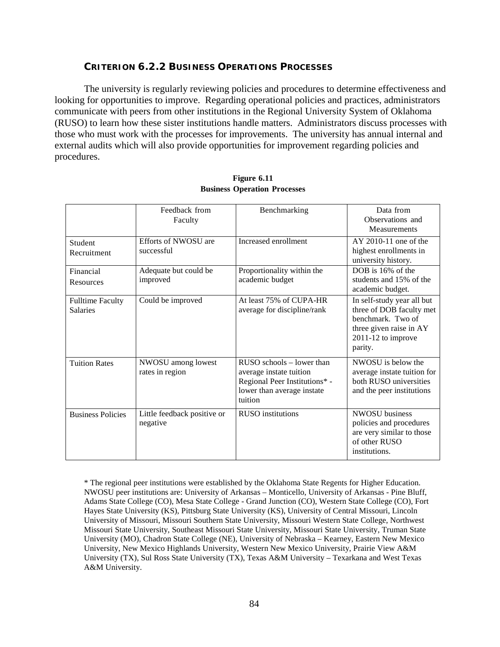### **CRITERION 6.2.2 BUSINESS OPERATIONS PROCESSES**

The university is regularly reviewing policies and procedures to determine effectiveness and looking for opportunities to improve. Regarding operational policies and practices, administrators communicate with peers from other institutions in the Regional University System of Oklahoma (RUSO) to learn how these sister institutions handle matters. Administrators discuss processes with those who must work with the processes for improvements. The university has annual internal and external audits which will also provide opportunities for improvement regarding policies and procedures.

|                                            | Feedback from<br>Faculty                  | Benchmarking                                                                                                                       | Data from<br>Observations and<br>Measurements                                                                                             |
|--------------------------------------------|-------------------------------------------|------------------------------------------------------------------------------------------------------------------------------------|-------------------------------------------------------------------------------------------------------------------------------------------|
| Student<br>Recruitment                     | <b>Efforts of NWOSU</b> are<br>successful | Increased enrollment                                                                                                               | $AY$ 2010-11 one of the<br>highest enrollments in<br>university history.                                                                  |
| Financial<br>Resources                     | Adequate but could be<br>improved         | Proportionality within the<br>academic budget                                                                                      | DOB is 16% of the<br>students and 15% of the<br>academic budget.                                                                          |
| <b>Fulltime Faculty</b><br><b>Salaries</b> | Could be improved                         | At least 75% of CUPA-HR<br>average for discipline/rank                                                                             | In self-study year all but<br>three of DOB faculty met<br>benchmark. Two of<br>three given raise in AY<br>$2011-12$ to improve<br>parity. |
| <b>Tuition Rates</b>                       | NWOSU among lowest<br>rates in region     | $RUSO$ schools $-$ lower than<br>average instate tuition<br>Regional Peer Institutions* -<br>lower than average instate<br>tuition | NWOSU is below the<br>average instate tuition for<br>both RUSO universities<br>and the peer institutions                                  |
| <b>Business Policies</b>                   | Little feedback positive or<br>negative   | <b>RUSO</b> institutions                                                                                                           | <b>NWOSU</b> business<br>policies and procedures<br>are very similar to those<br>of other RUSO<br>institutions.                           |

**Figure 6.11 Business Operation Processes**

\* The regional peer institutions were established by the Oklahoma State Regents for Higher Education. NWOSU peer institutions are: University of Arkansas – Monticello, University of Arkansas - Pine Bluff, Adams State College (CO), Mesa State College - Grand Junction (CO), Western State College (CO), Fort Hayes State University (KS), Pittsburg State University (KS), University of Central Missouri, Lincoln University of Missouri, Missouri Southern State University, Missouri Western State College, Northwest Missouri State University, Southeast Missouri State University, Missouri State University, Truman State University (MO), Chadron State College (NE), University of Nebraska – Kearney, Eastern New Mexico University, New Mexico Highlands University, Western New Mexico University, Prairie View A&M University (TX), Sul Ross State University (TX), Texas A&M University – Texarkana and West Texas A&M University.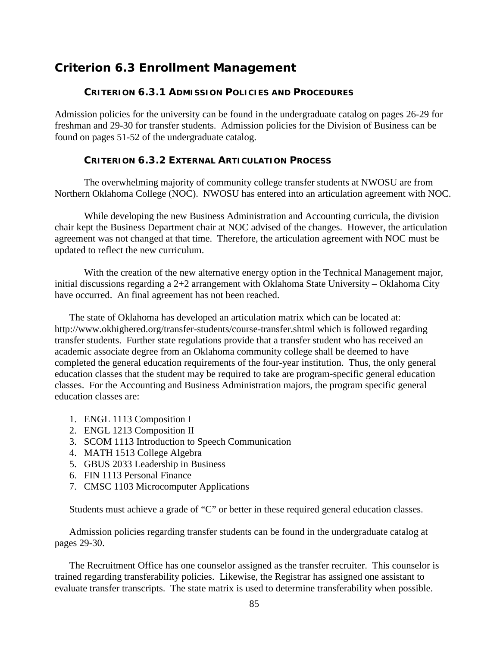# *Criterion 6.3 Enrollment Management*

# **CRITERION 6.3.1 ADMISSION POLICIES AND PROCEDURES**

Admission policies for the university can be found in the undergraduate catalog on pages 26-29 for freshman and 29-30 for transfer students. Admission policies for the Division of Business can be found on pages 51-52 of the undergraduate catalog.

#### **CRITERION 6.3.2 EXTERNAL ARTICULATION PROCESS**

The overwhelming majority of community college transfer students at NWOSU are from Northern Oklahoma College (NOC). NWOSU has entered into an articulation agreement with NOC.

While developing the new Business Administration and Accounting curricula, the division chair kept the Business Department chair at NOC advised of the changes. However, the articulation agreement was not changed at that time. Therefore, the articulation agreement with NOC must be updated to reflect the new curriculum.

With the creation of the new alternative energy option in the Technical Management major, initial discussions regarding a 2+2 arrangement with Oklahoma State University – Oklahoma City have occurred. An final agreement has not been reached.

The state of Oklahoma has developed an articulation matrix which can be located at: http://www.okhighered.org/transfer-students/course-transfer.shtml which is followed regarding transfer students. Further state regulations provide that a transfer student who has received an academic associate degree from an Oklahoma community college shall be deemed to have completed the general education requirements of the four-year institution. Thus, the only general education classes that the student may be required to take are program-specific general education classes. For the Accounting and Business Administration majors, the program specific general education classes are:

- 1. ENGL 1113 Composition I
- 2. ENGL 1213 Composition II
- 3. SCOM 1113 Introduction to Speech Communication
- 4. MATH 1513 College Algebra
- 5. GBUS 2033 Leadership in Business
- 6. FIN 1113 Personal Finance
- 7. CMSC 1103 Microcomputer Applications

Students must achieve a grade of "C" or better in these required general education classes.

Admission policies regarding transfer students can be found in the undergraduate catalog at pages 29-30.

The Recruitment Office has one counselor assigned as the transfer recruiter. This counselor is trained regarding transferability policies. Likewise, the Registrar has assigned one assistant to evaluate transfer transcripts. The state matrix is used to determine transferability when possible.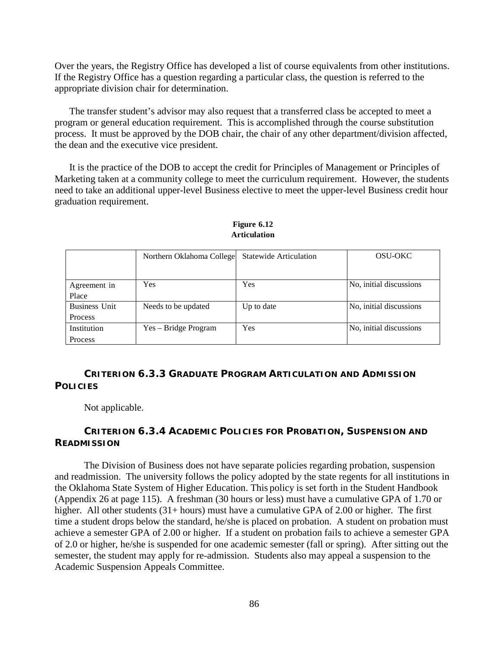Over the years, the Registry Office has developed a list of course equivalents from other institutions. If the Registry Office has a question regarding a particular class, the question is referred to the appropriate division chair for determination.

The transfer student's advisor may also request that a transferred class be accepted to meet a program or general education requirement. This is accomplished through the course substitution process. It must be approved by the DOB chair, the chair of any other department/division affected, the dean and the executive vice president.

It is the practice of the DOB to accept the credit for Principles of Management or Principles of Marketing taken at a community college to meet the curriculum requirement. However, the students need to take an additional upper-level Business elective to meet the upper-level Business credit hour graduation requirement.

|                      | Northern Oklahoma College | <b>Statewide Articulation</b> | OSU-OKC                 |
|----------------------|---------------------------|-------------------------------|-------------------------|
|                      |                           |                               |                         |
| Agreement in         | Yes                       | Yes                           | No, initial discussions |
| Place                |                           |                               |                         |
| <b>Business Unit</b> | Needs to be updated       | Up to date                    | No, initial discussions |
| Process              |                           |                               |                         |
| Institution          | Yes – Bridge Program      | Yes                           | No, initial discussions |
| Process              |                           |                               |                         |

**Figure 6.12 Articulation**

# **CRITERION 6.3.3 GRADUATE PROGRAM ARTICULATION AND ADMISSION POLICIES**

Not applicable.

# **CRITERION 6.3.4 ACADEMIC POLICIES FOR PROBATION, SUSPENSION AND READMISSION**

The Division of Business does not have separate policies regarding probation, suspension and readmission. The university follows the policy adopted by the state regents for all institutions in the Oklahoma State System of Higher Education. This policy is set forth in the Student Handbook (Appendix 26 at page 115). A freshman (30 hours or less) must have a cumulative GPA of 1.70 or higher. All other students (31+ hours) must have a cumulative GPA of 2.00 or higher. The first time a student drops below the standard, he/she is placed on probation. A student on probation must achieve a semester GPA of 2.00 or higher. If a student on probation fails to achieve a semester GPA of 2.0 or higher, he/she is suspended for one academic semester (fall or spring). After sitting out the semester, the student may apply for re-admission. Students also may appeal a suspension to the Academic Suspension Appeals Committee.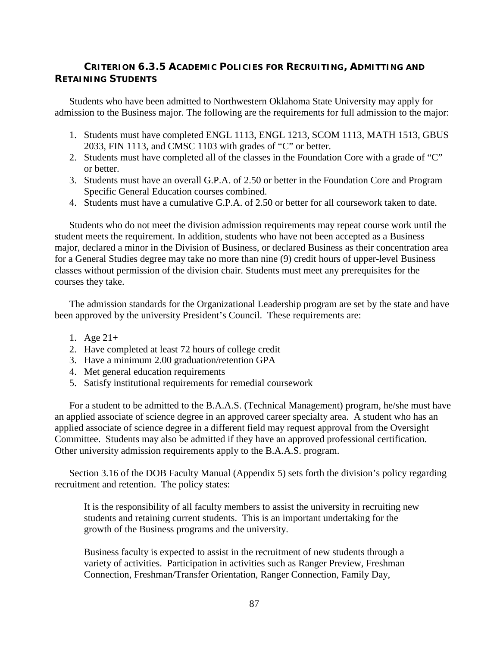# **CRITERION 6.3.5 ACADEMIC POLICIES FOR RECRUITING, ADMITTING AND RETAINING STUDENTS**

Students who have been admitted to Northwestern Oklahoma State University may apply for admission to the Business major. The following are the requirements for full admission to the major:

- 1. Students must have completed ENGL 1113, ENGL 1213, SCOM 1113, MATH 1513, GBUS 2033, FIN 1113, and CMSC 1103 with grades of "C" or better.
- 2. Students must have completed all of the classes in the Foundation Core with a grade of "C" or better.
- 3. Students must have an overall G.P.A. of 2.50 or better in the Foundation Core and Program Specific General Education courses combined.
- 4. Students must have a cumulative G.P.A. of 2.50 or better for all coursework taken to date.

Students who do not meet the division admission requirements may repeat course work until the student meets the requirement. In addition, students who have not been accepted as a Business major, declared a minor in the Division of Business, or declared Business as their concentration area for a General Studies degree may take no more than nine (9) credit hours of upper-level Business classes without permission of the division chair. Students must meet any prerequisites for the courses they take.

The admission standards for the Organizational Leadership program are set by the state and have been approved by the university President's Council. These requirements are:

- 1. Age 21+
- 2. Have completed at least 72 hours of college credit
- 3. Have a minimum 2.00 graduation/retention GPA
- 4. Met general education requirements
- 5. Satisfy institutional requirements for remedial coursework

For a student to be admitted to the B.A.A.S. (Technical Management) program, he/she must have an applied associate of science degree in an approved career specialty area. A student who has an applied associate of science degree in a different field may request approval from the Oversight Committee. Students may also be admitted if they have an approved professional certification. Other university admission requirements apply to the B.A.A.S. program.

Section 3.16 of the DOB Faculty Manual (Appendix 5) sets forth the division's policy regarding recruitment and retention. The policy states:

It is the responsibility of all faculty members to assist the university in recruiting new students and retaining current students. This is an important undertaking for the growth of the Business programs and the university.

Business faculty is expected to assist in the recruitment of new students through a variety of activities. Participation in activities such as Ranger Preview, Freshman Connection, Freshman/Transfer Orientation, Ranger Connection, Family Day,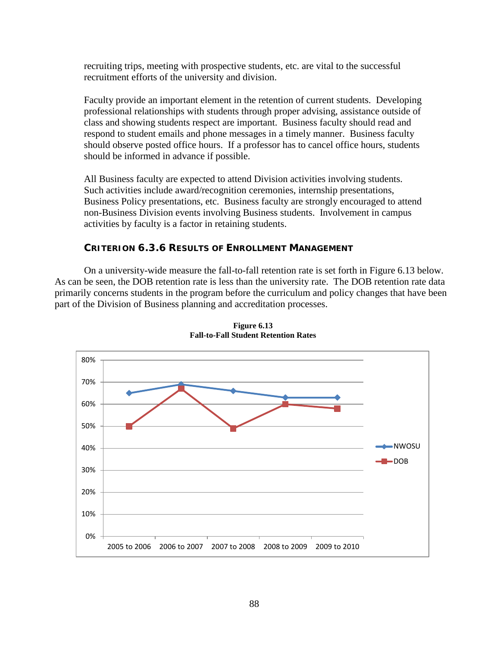recruiting trips, meeting with prospective students, etc. are vital to the successful recruitment efforts of the university and division.

Faculty provide an important element in the retention of current students. Developing professional relationships with students through proper advising, assistance outside of class and showing students respect are important. Business faculty should read and respond to student emails and phone messages in a timely manner. Business faculty should observe posted office hours. If a professor has to cancel office hours, students should be informed in advance if possible.

All Business faculty are expected to attend Division activities involving students. Such activities include award/recognition ceremonies, internship presentations, Business Policy presentations, etc. Business faculty are strongly encouraged to attend non-Business Division events involving Business students. Involvement in campus activities by faculty is a factor in retaining students.

### **CRITERION 6.3.6 RESULTS OF ENROLLMENT MANAGEMENT**

On a university-wide measure the fall-to-fall retention rate is set forth in Figure 6.13 below. As can be seen, the DOB retention rate is less than the university rate. The DOB retention rate data primarily concerns students in the program before the curriculum and policy changes that have been part of the Division of Business planning and accreditation processes.



**Figure 6.13 Fall-to-Fall Student Retention Rates**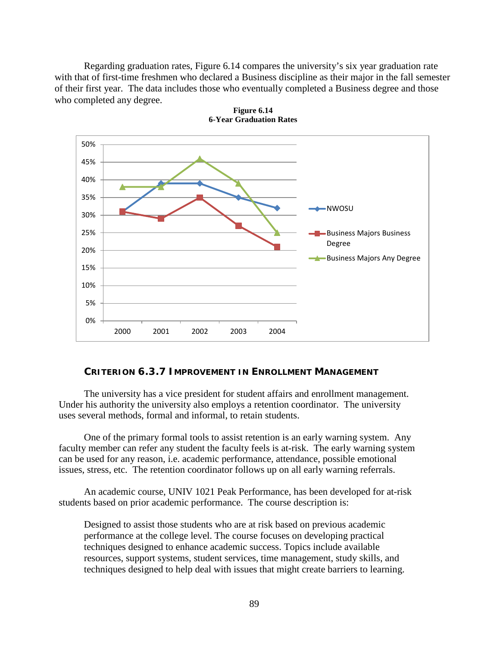Regarding graduation rates, Figure 6.14 compares the university's six year graduation rate with that of first-time freshmen who declared a Business discipline as their major in the fall semester of their first year. The data includes those who eventually completed a Business degree and those who completed any degree.



**Figure 6.14 6-Year Graduation Rates**

### **CRITERION 6.3.7 IMPROVEMENT IN ENROLLMENT MANAGEMENT**

The university has a vice president for student affairs and enrollment management. Under his authority the university also employs a retention coordinator. The university uses several methods, formal and informal, to retain students.

One of the primary formal tools to assist retention is an early warning system. Any faculty member can refer any student the faculty feels is at-risk. The early warning system can be used for any reason, i.e. academic performance, attendance, possible emotional issues, stress, etc. The retention coordinator follows up on all early warning referrals.

An academic course, UNIV 1021 Peak Performance, has been developed for at-risk students based on prior academic performance. The course description is:

Designed to assist those students who are at risk based on previous academic performance at the college level. The course focuses on developing practical techniques designed to enhance academic success. Topics include available resources, support systems, student services, time management, study skills, and techniques designed to help deal with issues that might create barriers to learning.